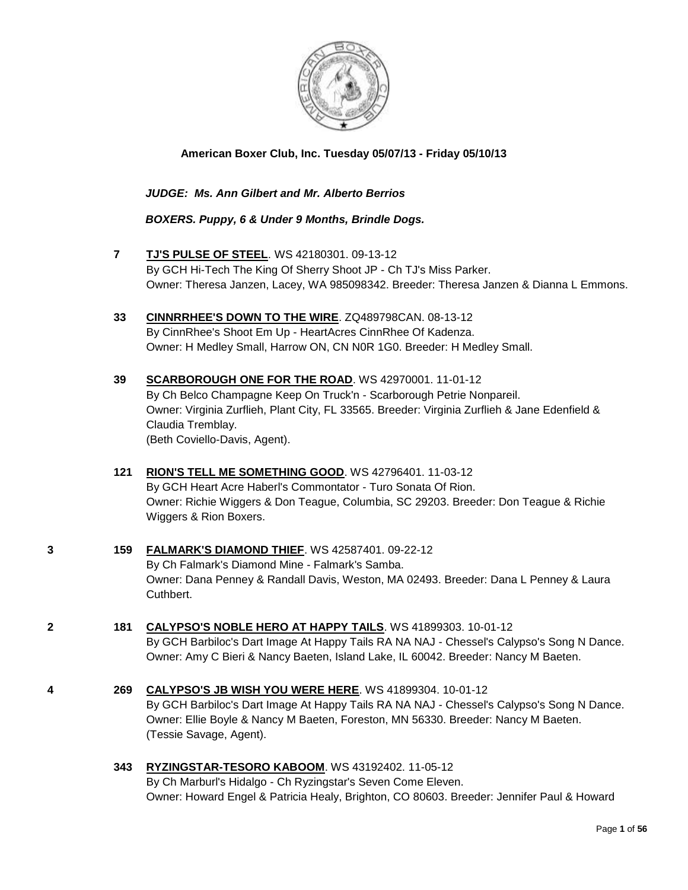

**American Boxer Club, Inc. Tuesday 05/07/13 - Friday 05/10/13** 

 *JUDGE: Ms. Ann Gilbert and Mr. Alberto Berrios*

 *BOXERS. Puppy, 6 & Under 9 Months, Brindle Dogs.*

- **7 [TJ'S PULSE OF STEEL](http://www.infodog.com/files/bdogrsl1.prg;makc=WS%2042180301;mdog=TJ_s_Pulse_Of_Steel;wins=all)**. WS 42180301. 09-13-12 By GCH Hi-Tech The King Of Sherry Shoot JP - Ch TJ's Miss Parker. Owner: Theresa Janzen, Lacey, WA 985098342. Breeder: Theresa Janzen & Dianna L Emmons.
- **33 [CINNRRHEE'S DOWN TO THE WIRE](http://www.infodog.com/files/bdogrsl1.prg;makc=ZQ489798CAN;mdog=CinnrRhee_s_Down_To_The_Wire;wins=all)**. ZQ489798CAN. 08-13-12 By CinnRhee's Shoot Em Up - HeartAcres CinnRhee Of Kadenza. Owner: H Medley Small, Harrow ON, CN N0R 1G0. Breeder: H Medley Small.
- **39 [SCARBOROUGH ONE FOR THE ROAD](http://www.infodog.com/files/bdogrsl1.prg;makc=WS%2042970001;mdog=Scarborough_One_For_The_Road;wins=all)**. WS 42970001. 11-01-12 By Ch Belco Champagne Keep On Truck'n - Scarborough Petrie Nonpareil. Owner: Virginia Zurflieh, Plant City, FL 33565. Breeder: Virginia Zurflieh & Jane Edenfield & Claudia Tremblay. (Beth Coviello-Davis, Agent).
- **121 [RION'S TELL ME SOMETHING GOOD](http://www.infodog.com/files/bdogrsl1.prg;makc=WS%2042796401;mdog=Rion_s_Tell_Me_Something_Good;wins=all)**. WS 42796401. 11-03-12 By GCH Heart Acre Haberl's Commontator - Turo Sonata Of Rion. Owner: Richie Wiggers & Don Teague, Columbia, SC 29203. Breeder: Don Teague & Richie Wiggers & Rion Boxers.
- **3 159 [FALMARK'S DIAMOND THIEF](http://www.infodog.com/files/bdogrsl1.prg;makc=WS%2042587401;mdog=Falmark_s_Diamond_Thief;wins=all)**. WS 42587401. 09-22-12 By Ch Falmark's Diamond Mine - Falmark's Samba. Owner: Dana Penney & Randall Davis, Weston, MA 02493. Breeder: Dana L Penney & Laura Cuthbert.
- **2 181 [CALYPSO'S NOBLE HERO AT HAPPY TAILS](http://www.infodog.com/files/bdogrsl1.prg;makc=WS%2041899303;mdog=Calypso_s_Noble_Hero_At_Happy_Tails;wins=all)**. WS 41899303. 10-01-12 By GCH Barbiloc's Dart Image At Happy Tails RA NA NAJ - Chessel's Calypso's Song N Dance. Owner: Amy C Bieri & Nancy Baeten, Island Lake, IL 60042. Breeder: Nancy M Baeten.
- **4 269 [CALYPSO'S JB WISH YOU WERE HERE](http://www.infodog.com/files/bdogrsl1.prg;makc=WS%2041899304;mdog=Calypso_s_JB_Wish_You_Were_Here;wins=all)**. WS 41899304. 10-01-12 By GCH Barbiloc's Dart Image At Happy Tails RA NA NAJ - Chessel's Calypso's Song N Dance. Owner: Ellie Boyle & Nancy M Baeten, Foreston, MN 56330. Breeder: Nancy M Baeten. (Tessie Savage, Agent).
	- **343 [RYZINGSTAR-TESORO KABOOM](http://www.infodog.com/files/bdogrsl1.prg;makc=WS%2043192402;mdog=Ryzingstar-Tesoro_Kaboom;wins=all)**. WS 43192402. 11-05-12 By Ch Marburl's Hidalgo - Ch Ryzingstar's Seven Come Eleven. Owner: Howard Engel & Patricia Healy, Brighton, CO 80603. Breeder: Jennifer Paul & Howard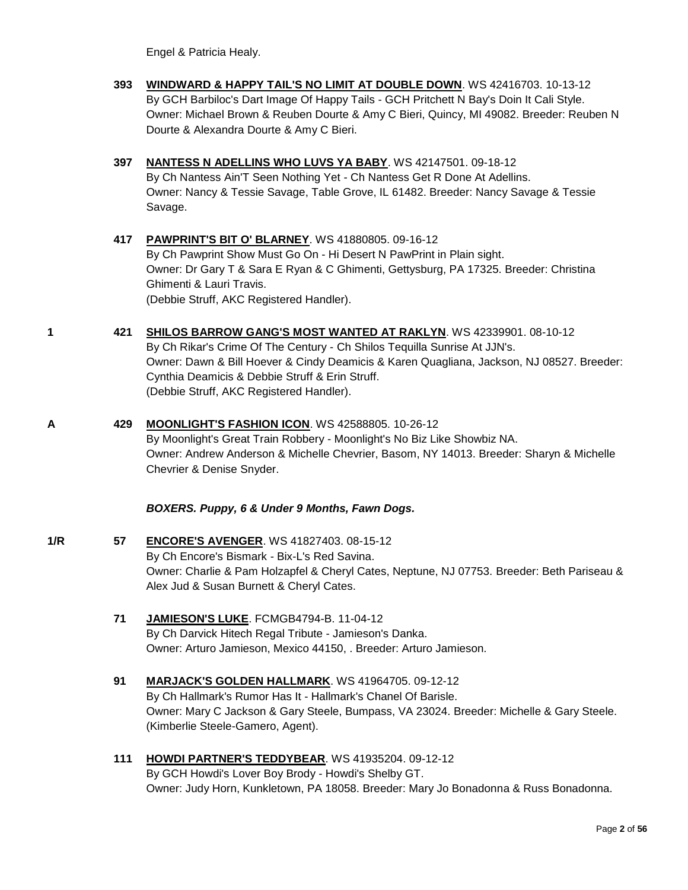Engel & Patricia Healy.

- **393 [WINDWARD & HAPPY TAIL'S NO LIMIT AT DOUBLE DOWN](http://www.infodog.com/files/bdogrsl1.prg;makc=WS%2042416703;mdog=Windward_&_Happy_Tail_s_No_Limit_At_Double_Down;wins=all)**. WS 42416703. 10-13-12 By GCH Barbiloc's Dart Image Of Happy Tails - GCH Pritchett N Bay's Doin It Cali Style. Owner: Michael Brown & Reuben Dourte & Amy C Bieri, Quincy, MI 49082. Breeder: Reuben N Dourte & Alexandra Dourte & Amy C Bieri.
- **397 [NANTESS N ADELLINS WHO LUVS YA BABY](http://www.infodog.com/files/bdogrsl1.prg;makc=WS%2042147501;mdog=Nantess_N_Adellins_Who_Luvs_Ya_Baby;wins=all)**. WS 42147501. 09-18-12 By Ch Nantess Ain'T Seen Nothing Yet - Ch Nantess Get R Done At Adellins. Owner: Nancy & Tessie Savage, Table Grove, IL 61482. Breeder: Nancy Savage & Tessie Savage.
- **417 [PAWPRINT'S BIT O' BLARNEY](http://www.infodog.com/files/bdogrsl1.prg;makc=WS%2041880805;mdog=Pawprint_s_Bit_O__Blarney;wins=all)**. WS 41880805. 09-16-12 By Ch Pawprint Show Must Go On - Hi Desert N PawPrint in Plain sight. Owner: Dr Gary T & Sara E Ryan & C Ghimenti, Gettysburg, PA 17325. Breeder: Christina Ghimenti & Lauri Travis. (Debbie Struff, AKC Registered Handler).
- **1 421 [SHILOS BARROW GANG'S MOST WANTED AT RAKLYN](http://www.infodog.com/files/bdogrsl1.prg;makc=WS%2042339901;mdog=Shilos_Barrow_Gang_s_Most_Wanted_At_Raklyn;wins=all)**. WS 42339901. 08-10-12 By Ch Rikar's Crime Of The Century - Ch Shilos Tequilla Sunrise At JJN's. Owner: Dawn & Bill Hoever & Cindy Deamicis & Karen Quagliana, Jackson, NJ 08527. Breeder: Cynthia Deamicis & Debbie Struff & Erin Struff. (Debbie Struff, AKC Registered Handler).
- **A 429 [MOONLIGHT'S FASHION ICON](http://www.infodog.com/files/bdogrsl1.prg;makc=WS%2042588805;mdog=Moonlight_s_Fashion_Icon;wins=all)**. WS 42588805. 10-26-12 By Moonlight's Great Train Robbery - Moonlight's No Biz Like Showbiz NA. Owner: Andrew Anderson & Michelle Chevrier, Basom, NY 14013. Breeder: Sharyn & Michelle Chevrier & Denise Snyder.

#### *BOXERS. Puppy, 6 & Under 9 Months, Fawn Dogs.*

- **1/R 57 [ENCORE'S AVENGER](http://www.infodog.com/files/bdogrsl1.prg;makc=WS%2041827403;mdog=Encore_s_Avenger;wins=all)**. WS 41827403. 08-15-12 By Ch Encore's Bismark - Bix-L's Red Savina. Owner: Charlie & Pam Holzapfel & Cheryl Cates, Neptune, NJ 07753. Breeder: Beth Pariseau & Alex Jud & Susan Burnett & Cheryl Cates.
	- **71 [JAMIESON'S LUKE](http://www.infodog.com/files/bdogrsl1.prg;makc=FCMGB4794-B;mdog=Jamieson_s_Luke;wins=all)**. FCMGB4794-B. 11-04-12 By Ch Darvick Hitech Regal Tribute - Jamieson's Danka. Owner: Arturo Jamieson, Mexico 44150, . Breeder: Arturo Jamieson.
	- **91 [MARJACK'S GOLDEN HALLMARK](http://www.infodog.com/files/bdogrsl1.prg;makc=WS%2041964705;mdog=Marjack_s_Golden_Hallmark;wins=all)**. WS 41964705. 09-12-12 By Ch Hallmark's Rumor Has It - Hallmark's Chanel Of Barisle. Owner: Mary C Jackson & Gary Steele, Bumpass, VA 23024. Breeder: Michelle & Gary Steele. (Kimberlie Steele-Gamero, Agent).
	- **111 [HOWDI PARTNER'S TEDDYBEAR](http://www.infodog.com/files/bdogrsl1.prg;makc=WS%2041935204;mdog=Howdi_Partner_s_Teddybear;wins=all)**. WS 41935204. 09-12-12 By GCH Howdi's Lover Boy Brody - Howdi's Shelby GT. Owner: Judy Horn, Kunkletown, PA 18058. Breeder: Mary Jo Bonadonna & Russ Bonadonna.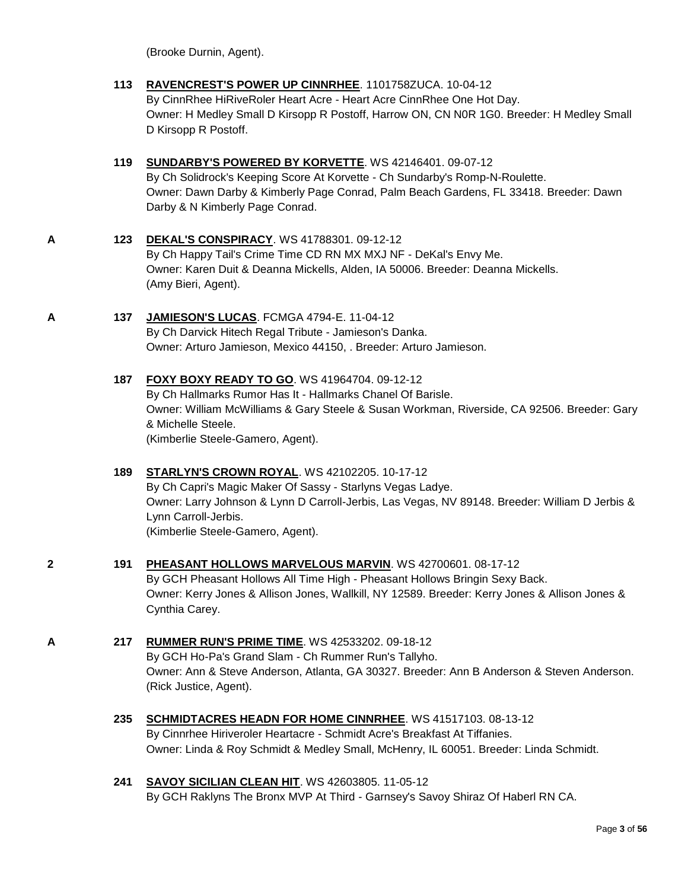(Brooke Durnin, Agent).

**113 [RAVENCREST'S POWER UP CINNRHEE](http://www.infodog.com/files/bdogrsl1.prg;makc=%201101758ZUCA;mdog=Ravencrest_s_Power_Up_CinnRhee;wins=all)**. 1101758ZUCA. 10-04-12 By CinnRhee HiRiveRoler Heart Acre - Heart Acre CinnRhee One Hot Day. Owner: H Medley Small D Kirsopp R Postoff, Harrow ON, CN N0R 1G0. Breeder: H Medley Small D Kirsopp R Postoff.

#### **119 [SUNDARBY'S POWERED BY KORVETTE](http://www.infodog.com/files/bdogrsl1.prg;makc=WS%2042146401;mdog=Sundarby_s_Powered_By_Korvette;wins=all)**. WS 42146401. 09-07-12 By Ch Solidrock's Keeping Score At Korvette - Ch Sundarby's Romp-N-Roulette. Owner: Dawn Darby & Kimberly Page Conrad, Palm Beach Gardens, FL 33418. Breeder: Dawn Darby & N Kimberly Page Conrad.

- **A 123 [DEKAL'S CONSPIRACY](http://www.infodog.com/files/bdogrsl1.prg;makc=WS%2041788301;mdog=DeKal_s_Conspiracy;wins=all)**. WS 41788301. 09-12-12 By Ch Happy Tail's Crime Time CD RN MX MXJ NF - DeKal's Envy Me. Owner: Karen Duit & Deanna Mickells, Alden, IA 50006. Breeder: Deanna Mickells. (Amy Bieri, Agent).
- **A 137 [JAMIESON'S LUCAS](http://www.infodog.com/files/bdogrsl1.prg;makc=FCMGA%204794-E;mdog=Jamieson_s_Lucas;wins=all)**. FCMGA 4794-E. 11-04-12 By Ch Darvick Hitech Regal Tribute - Jamieson's Danka. Owner: Arturo Jamieson, Mexico 44150, . Breeder: Arturo Jamieson.
	- **187 [FOXY BOXY READY TO GO](http://www.infodog.com/files/bdogrsl1.prg;makc=WS%2041964704;mdog=Foxy_Boxy_Ready_To_Go;wins=all)**. WS 41964704. 09-12-12 By Ch Hallmarks Rumor Has It - Hallmarks Chanel Of Barisle. Owner: William McWilliams & Gary Steele & Susan Workman, Riverside, CA 92506. Breeder: Gary & Michelle Steele. (Kimberlie Steele-Gamero, Agent).

#### **189 [STARLYN'S CROWN ROYAL](http://www.infodog.com/files/bdogrsl1.prg;makc=WS%2042102205;mdog=Starlyn_s_Crown_Royal;wins=all)**. WS 42102205. 10-17-12 By Ch Capri's Magic Maker Of Sassy - Starlyns Vegas Ladye. Owner: Larry Johnson & Lynn D Carroll-Jerbis, Las Vegas, NV 89148. Breeder: William D Jerbis & Lynn Carroll-Jerbis. (Kimberlie Steele-Gamero, Agent).

- **2 191 [PHEASANT HOLLOWS MARVELOUS MARVIN](http://www.infodog.com/files/bdogrsl1.prg;makc=WS%2042700601;mdog=Pheasant_Hollows_Marvelous_Marvin;wins=all)**. WS 42700601. 08-17-12 By GCH Pheasant Hollows All Time High - Pheasant Hollows Bringin Sexy Back. Owner: Kerry Jones & Allison Jones, Wallkill, NY 12589. Breeder: Kerry Jones & Allison Jones & Cynthia Carey.
- **A 217 [RUMMER RUN'S PRIME TIME](http://www.infodog.com/files/bdogrsl1.prg;makc=WS%2042533202;mdog=Rummer_Run_s_Prime_Time;wins=all)**. WS 42533202. 09-18-12 By GCH Ho-Pa's Grand Slam - Ch Rummer Run's Tallyho. Owner: Ann & Steve Anderson, Atlanta, GA 30327. Breeder: Ann B Anderson & Steven Anderson. (Rick Justice, Agent).
	- **235 [SCHMIDTACRES HEADN FOR HOME CINNRHEE](http://www.infodog.com/files/bdogrsl1.prg;makc=WS%2041517103;mdog=Schmidtacres_Headn_For_Home_Cinnrhee;wins=all)**. WS 41517103. 08-13-12 By Cinnrhee Hiriveroler Heartacre - Schmidt Acre's Breakfast At Tiffanies. Owner: Linda & Roy Schmidt & Medley Small, McHenry, IL 60051. Breeder: Linda Schmidt.
	- **241 [SAVOY SICILIAN CLEAN HIT](http://www.infodog.com/files/bdogrsl1.prg;makc=WS%2042603805;mdog=Savoy_Sicilian_Clean_Hit;wins=all)**. WS 42603805. 11-05-12 By GCH Raklyns The Bronx MVP At Third - Garnsey's Savoy Shiraz Of Haberl RN CA.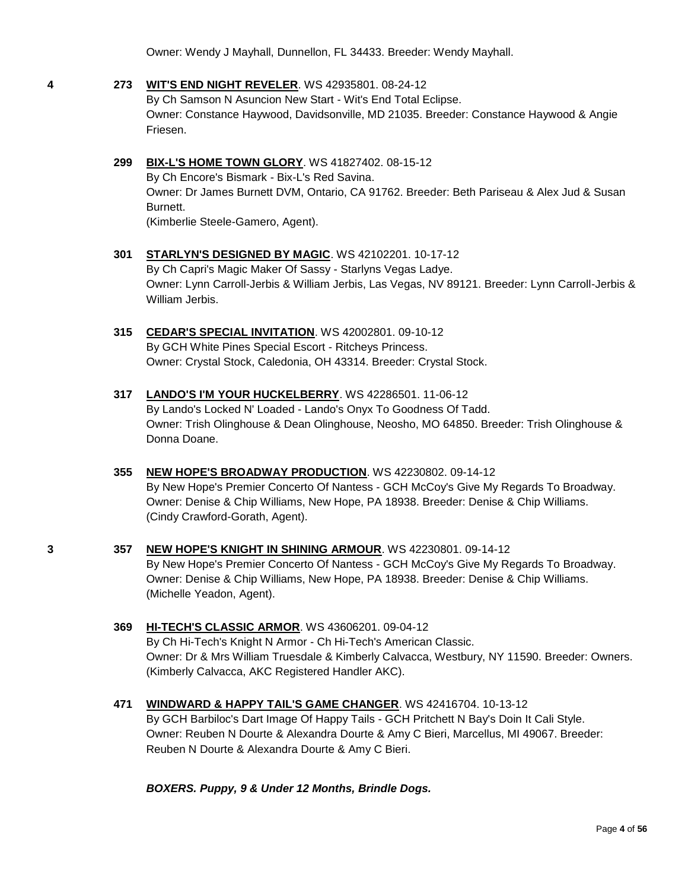Owner: Wendy J Mayhall, Dunnellon, FL 34433. Breeder: Wendy Mayhall.

#### **4 273 [WIT'S END NIGHT REVELER](http://www.infodog.com/files/bdogrsl1.prg;makc=WS%2042935801;mdog=Wit_s_End_Night_Reveler;wins=all)**. WS 42935801. 08-24-12

By Ch Samson N Asuncion New Start - Wit's End Total Eclipse. Owner: Constance Haywood, Davidsonville, MD 21035. Breeder: Constance Haywood & Angie Friesen.

#### **299 [BIX-L'S HOME TOWN GLORY](http://www.infodog.com/files/bdogrsl1.prg;makc=WS%2041827402;mdog=Bix-L_s_Home_Town_Glory;wins=all)**. WS 41827402. 08-15-12

By Ch Encore's Bismark - Bix-L's Red Savina. Owner: Dr James Burnett DVM, Ontario, CA 91762. Breeder: Beth Pariseau & Alex Jud & Susan Burnett. (Kimberlie Steele-Gamero, Agent).

#### **301 [STARLYN'S DESIGNED BY MAGIC](http://www.infodog.com/files/bdogrsl1.prg;makc=WS%2042102201;mdog=Starlyn_s_Designed_By_Magic;wins=all)**. WS 42102201. 10-17-12

By Ch Capri's Magic Maker Of Sassy - Starlyns Vegas Ladye. Owner: Lynn Carroll-Jerbis & William Jerbis, Las Vegas, NV 89121. Breeder: Lynn Carroll-Jerbis & William Jerbis.

#### **315 [CEDAR'S SPECIAL INVITATION](http://www.infodog.com/files/bdogrsl1.prg;makc=WS%2042002801;mdog=Cedar_s_Special_Invitation;wins=all)**. WS 42002801. 09-10-12 By GCH White Pines Special Escort - Ritcheys Princess. Owner: Crystal Stock, Caledonia, OH 43314. Breeder: Crystal Stock.

#### **317 [LANDO'S I'M YOUR HUCKELBERRY](http://www.infodog.com/files/bdogrsl1.prg;makc=WS%2042286501;mdog=Lando_s_I_m_Your_Huckelberry;wins=all)**. WS 42286501. 11-06-12 By Lando's Locked N' Loaded - Lando's Onyx To Goodness Of Tadd. Owner: Trish Olinghouse & Dean Olinghouse, Neosho, MO 64850. Breeder: Trish Olinghouse & Donna Doane.

#### **355 [NEW HOPE'S BROADWAY PRODUCTION](http://www.infodog.com/files/bdogrsl1.prg;makc=WS%2042230802;mdog=New_Hope_s_Broadway_Production;wins=all)**. WS 42230802. 09-14-12

By New Hope's Premier Concerto Of Nantess - GCH McCoy's Give My Regards To Broadway. Owner: Denise & Chip Williams, New Hope, PA 18938. Breeder: Denise & Chip Williams. (Cindy Crawford-Gorath, Agent).

## **3 357 [NEW HOPE'S KNIGHT IN SHINING ARMOUR](http://www.infodog.com/files/bdogrsl1.prg;makc=WS%2042230801;mdog=New_Hope_s_Knight_In_Shining_Armour;wins=all)**. WS 42230801. 09-14-12

By New Hope's Premier Concerto Of Nantess - GCH McCoy's Give My Regards To Broadway. Owner: Denise & Chip Williams, New Hope, PA 18938. Breeder: Denise & Chip Williams. (Michelle Yeadon, Agent).

#### **369 [HI-TECH'S CLASSIC ARMOR](http://www.infodog.com/files/bdogrsl1.prg;makc=WS%2043606201;mdog=Hi-Tech_s_Classic_Armor;wins=all)**. WS 43606201. 09-04-12

By Ch Hi-Tech's Knight N Armor - Ch Hi-Tech's American Classic. Owner: Dr & Mrs William Truesdale & Kimberly Calvacca, Westbury, NY 11590. Breeder: Owners. (Kimberly Calvacca, AKC Registered Handler AKC).

#### **471 [WINDWARD & HAPPY TAIL'S GAME CHANGER](http://www.infodog.com/files/bdogrsl1.prg;makc=WS%2042416704;mdog=Windward_&_Happy_Tail_s_Game_Changer;wins=all)**. WS 42416704. 10-13-12

By GCH Barbiloc's Dart Image Of Happy Tails - GCH Pritchett N Bay's Doin It Cali Style. Owner: Reuben N Dourte & Alexandra Dourte & Amy C Bieri, Marcellus, MI 49067. Breeder: Reuben N Dourte & Alexandra Dourte & Amy C Bieri.

#### *BOXERS. Puppy, 9 & Under 12 Months, Brindle Dogs.*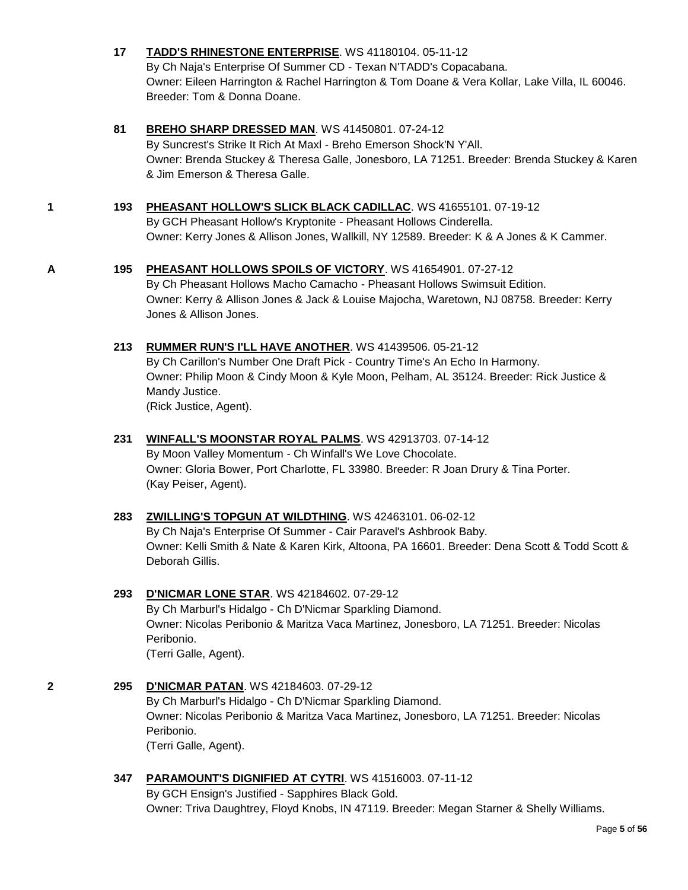#### **17 [TADD'S RHINESTONE ENTERPRISE](http://www.infodog.com/files/bdogrsl1.prg;makc=WS%2041180104;mdog=TADD_s_Rhinestone_Enterprise;wins=all)**. WS 41180104. 05-11-12

By Ch Naja's Enterprise Of Summer CD - Texan N'TADD's Copacabana. Owner: Eileen Harrington & Rachel Harrington & Tom Doane & Vera Kollar, Lake Villa, IL 60046. Breeder: Tom & Donna Doane.

#### **81 [BREHO SHARP DRESSED MAN](http://www.infodog.com/files/bdogrsl1.prg;makc=WS%2041450801;mdog=Breho_Sharp_Dressed_Man;wins=all)**. WS 41450801. 07-24-12

By Suncrest's Strike It Rich At Maxl - Breho Emerson Shock'N Y'All. Owner: Brenda Stuckey & Theresa Galle, Jonesboro, LA 71251. Breeder: Brenda Stuckey & Karen & Jim Emerson & Theresa Galle.

#### **1 193 [PHEASANT HOLLOW'S SLICK BLACK CADILLAC](http://www.infodog.com/files/bdogrsl1.prg;makc=WS%2041655101;mdog=Pheasant_Hollow_s_Slick_Black_Cadillac;wins=all)**. WS 41655101. 07-19-12

By GCH Pheasant Hollow's Kryptonite - Pheasant Hollows Cinderella. Owner: Kerry Jones & Allison Jones, Wallkill, NY 12589. Breeder: K & A Jones & K Cammer.

#### **A 195 [PHEASANT HOLLOWS SPOILS OF VICTORY](http://www.infodog.com/files/bdogrsl1.prg;makc=WS%2041654901;mdog=Pheasant_Hollows_Spoils_Of_Victory;wins=all)**. WS 41654901. 07-27-12

By Ch Pheasant Hollows Macho Camacho - Pheasant Hollows Swimsuit Edition. Owner: Kerry & Allison Jones & Jack & Louise Majocha, Waretown, NJ 08758. Breeder: Kerry Jones & Allison Jones.

#### **213 [RUMMER RUN'S I'LL HAVE ANOTHER](http://www.infodog.com/files/bdogrsl1.prg;makc=WS%2041439506;mdog=Rummer_Run_s_I_ll_Have_Another;wins=all)**. WS 41439506. 05-21-12

By Ch Carillon's Number One Draft Pick - Country Time's An Echo In Harmony. Owner: Philip Moon & Cindy Moon & Kyle Moon, Pelham, AL 35124. Breeder: Rick Justice & Mandy Justice.

(Rick Justice, Agent).

#### **231 [WINFALL'S MOONSTAR ROYAL PALMS](http://www.infodog.com/files/bdogrsl1.prg;makc=WS%2042913703;mdog=Winfall_s_Moonstar_Royal_Palms;wins=all)**. WS 42913703. 07-14-12

By Moon Valley Momentum - Ch Winfall's We Love Chocolate. Owner: Gloria Bower, Port Charlotte, FL 33980. Breeder: R Joan Drury & Tina Porter. (Kay Peiser, Agent).

#### **283 [ZWILLING'S TOPGUN AT WILDTHING](http://www.infodog.com/files/bdogrsl1.prg;makc=WS%2042463101;mdog=Zwilling_s_Topgun_At_Wildthing;wins=all)**. WS 42463101. 06-02-12

By Ch Naja's Enterprise Of Summer - Cair Paravel's Ashbrook Baby. Owner: Kelli Smith & Nate & Karen Kirk, Altoona, PA 16601. Breeder: Dena Scott & Todd Scott & Deborah Gillis.

#### **293 [D'NICMAR LONE STAR](http://www.infodog.com/files/bdogrsl1.prg;makc=WS%2042184602;mdog=D_Nicmar_Lone_Star;wins=all)**. WS 42184602. 07-29-12

By Ch Marburl's Hidalgo - Ch D'Nicmar Sparkling Diamond. Owner: Nicolas Peribonio & Maritza Vaca Martinez, Jonesboro, LA 71251. Breeder: Nicolas Peribonio. (Terri Galle, Agent).

#### **2 295 [D'NICMAR PATAN](http://www.infodog.com/files/bdogrsl1.prg;makc=WS%2042184603;mdog=D_Nicmar_Patan;wins=all)**. WS 42184603. 07-29-12 By Ch Marburl's Hidalgo - Ch D'Nicmar Sparkling Diamond. Owner: Nicolas Peribonio & Maritza Vaca Martinez, Jonesboro, LA 71251. Breeder: Nicolas Peribonio. (Terri Galle, Agent).

#### **347 [PARAMOUNT'S DIGNIFIED AT CYTRI](http://www.infodog.com/files/bdogrsl1.prg;makc=WS%2041516003;mdog=Paramount_s_Dignified_At_Cytri;wins=all)**. WS 41516003. 07-11-12

By GCH Ensign's Justified - Sapphires Black Gold. Owner: Triva Daughtrey, Floyd Knobs, IN 47119. Breeder: Megan Starner & Shelly Williams.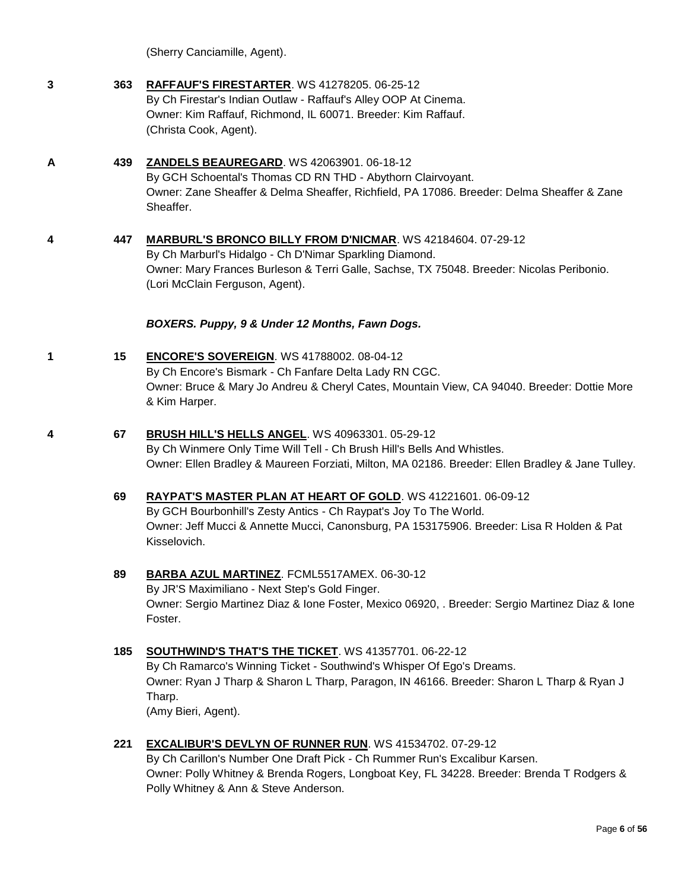(Sherry Canciamille, Agent).

| -3 | 363 | <b>RAFFAUF'S FIRESTARTER. WS 41278205. 06-25-12</b><br>By Ch Firestar's Indian Outlaw - Raffauf's Alley OOP At Cinema.<br>Owner: Kim Raffauf, Richmond, IL 60071. Breeder: Kim Raffauf.<br>(Christa Cook, Agent). |
|----|-----|-------------------------------------------------------------------------------------------------------------------------------------------------------------------------------------------------------------------|
|    | 439 | <b>ZANDELS BEAUREGARD.</b> WS 42063901, 06-18-12                                                                                                                                                                  |

By GCH Schoental's Thomas CD RN THD - Abythorn Clairvoyant. Owner: Zane Sheaffer & Delma Sheaffer, Richfield, PA 17086. Breeder: Delma Sheaffer & Zane Sheaffer.

### **4 447 [MARBURL'S BRONCO BILLY FROM D'NICMAR](http://www.infodog.com/files/bdogrsl1.prg;makc=WS%2042184604;mdog=Marburl_s_Bronco_Billy_From_D_Nicmar;wins=all)**. WS 42184604. 07-29-12 By Ch Marburl's Hidalgo - Ch D'Nimar Sparkling Diamond. Owner: Mary Frances Burleson & Terri Galle, Sachse, TX 75048. Breeder: Nicolas Peribonio. (Lori McClain Ferguson, Agent).

#### *BOXERS. Puppy, 9 & Under 12 Months, Fawn Dogs.*

- **1 15 [ENCORE'S SOVEREIGN](http://www.infodog.com/files/bdogrsl1.prg;makc=WS%2041788002;mdog=Encore_s_Sovereign;wins=all)**. WS 41788002. 08-04-12 By Ch Encore's Bismark - Ch Fanfare Delta Lady RN CGC. Owner: Bruce & Mary Jo Andreu & Cheryl Cates, Mountain View, CA 94040. Breeder: Dottie More & Kim Harper.
- **4 67 [BRUSH HILL'S HELLS ANGEL](http://www.infodog.com/files/bdogrsl1.prg;makc=WS%2040963301;mdog=Brush_Hill_s_Hells_Angel;wins=all)**. WS 40963301. 05-29-12 By Ch Winmere Only Time Will Tell - Ch Brush Hill's Bells And Whistles. Owner: Ellen Bradley & Maureen Forziati, Milton, MA 02186. Breeder: Ellen Bradley & Jane Tulley.

#### **69 [RAYPAT'S MASTER PLAN AT HEART OF GOLD](http://www.infodog.com/files/bdogrsl1.prg;makc=WS%2041221601;mdog=Raypat_s_Master_Plan_At_Heart_Of_Gold;wins=all)**. WS 41221601. 06-09-12 By GCH Bourbonhill's Zesty Antics - Ch Raypat's Joy To The World. Owner: Jeff Mucci & Annette Mucci, Canonsburg, PA 153175906. Breeder: Lisa R Holden & Pat Kisselovich.

**89 [BARBA AZUL MARTINEZ](http://www.infodog.com/files/bdogrsl1.prg;makc=FCML5517AMEX;mdog=Barba_Azul_Martinez;wins=all)**. FCML5517AMEX. 06-30-12 By JR'S Maximiliano - Next Step's Gold Finger. Owner: Sergio Martinez Diaz & Ione Foster, Mexico 06920, . Breeder: Sergio Martinez Diaz & Ione Foster.

### **185 [SOUTHWIND'S THAT'S THE TICKET](http://www.infodog.com/files/bdogrsl1.prg;makc=WS%2041357701;mdog=Southwind_s_That_s_The_Ticket;wins=all)**. WS 41357701. 06-22-12 By Ch Ramarco's Winning Ticket - Southwind's Whisper Of Ego's Dreams. Owner: Ryan J Tharp & Sharon L Tharp, Paragon, IN 46166. Breeder: Sharon L Tharp & Ryan J Tharp. (Amy Bieri, Agent).

**221 [EXCALIBUR'S DEVLYN OF RUNNER RUN](http://www.infodog.com/files/bdogrsl1.prg;makc=WS%2041534702;mdog=Excalibur_s_Devlyn_Of_Runner_Run;wins=all)**. WS 41534702. 07-29-12 By Ch Carillon's Number One Draft Pick - Ch Rummer Run's Excalibur Karsen. Owner: Polly Whitney & Brenda Rogers, Longboat Key, FL 34228. Breeder: Brenda T Rodgers & Polly Whitney & Ann & Steve Anderson.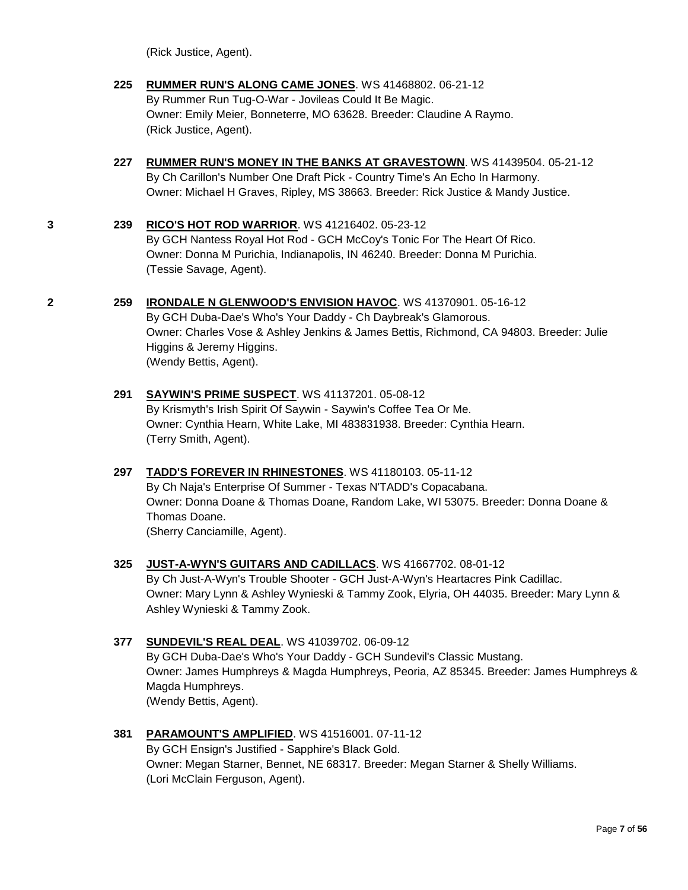(Rick Justice, Agent).

- **225 [RUMMER RUN'S ALONG CAME JONES](http://www.infodog.com/files/bdogrsl1.prg;makc=WS%2041468802;mdog=Rummer_Run_s_Along_Came_Jones;wins=all)**. WS 41468802. 06-21-12 By Rummer Run Tug-O-War - Jovileas Could It Be Magic. Owner: Emily Meier, Bonneterre, MO 63628. Breeder: Claudine A Raymo. (Rick Justice, Agent).
- **227 [RUMMER RUN'S MONEY IN THE BANKS AT](http://www.infodog.com/files/bdogrsl1.prg;makc=WS%2041439504;mdog=Rummer_Run_s_Money_In_The_Banks_At_Gravestown;wins=all) GRAVESTOWN**. WS 41439504. 05-21-12 By Ch Carillon's Number One Draft Pick - Country Time's An Echo In Harmony. Owner: Michael H Graves, Ripley, MS 38663. Breeder: Rick Justice & Mandy Justice.

#### **3 239 [RICO'S HOT ROD WARRIOR](http://www.infodog.com/files/bdogrsl1.prg;makc=WS%2041216402;mdog=Rico_s_Hot_Rod_Warrior;wins=all)**. WS 41216402. 05-23-12

By GCH Nantess Royal Hot Rod - GCH McCoy's Tonic For The Heart Of Rico. Owner: Donna M Purichia, Indianapolis, IN 46240. Breeder: Donna M Purichia. (Tessie Savage, Agent).

#### **2 259 [IRONDALE N GLENWOOD'S ENVISION HAVOC](http://www.infodog.com/files/bdogrsl1.prg;makc=WS%2041370901;mdog=Irondale_N_Glenwood_s_Envision_Havoc;wins=all)**. WS 41370901. 05-16-12

By GCH Duba-Dae's Who's Your Daddy - Ch Daybreak's Glamorous. Owner: Charles Vose & Ashley Jenkins & James Bettis, Richmond, CA 94803. Breeder: Julie Higgins & Jeremy Higgins. (Wendy Bettis, Agent).

#### **291 [SAYWIN'S PRIME SUSPECT](http://www.infodog.com/files/bdogrsl1.prg;makc=WS%2041137201;mdog=Saywin_s_Prime_Suspect;wins=all)**. WS 41137201. 05-08-12 By Krismyth's Irish Spirit Of Saywin - Saywin's Coffee Tea Or Me. Owner: Cynthia Hearn, White Lake, MI 483831938. Breeder: Cynthia Hearn. (Terry Smith, Agent).

#### **297 [TADD'S FOREVER IN RHINESTONES](http://www.infodog.com/files/bdogrsl1.prg;makc=WS%2041180103;mdog=TADD_s_Forever_In_Rhinestones;wins=all)**. WS 41180103. 05-11-12

By Ch Naja's Enterprise Of Summer - Texas N'TADD's Copacabana. Owner: Donna Doane & Thomas Doane, Random Lake, WI 53075. Breeder: Donna Doane & Thomas Doane. (Sherry Canciamille, Agent).

## **325 [JUST-A-WYN'S GUITARS AND CADILLACS](http://www.infodog.com/files/bdogrsl1.prg;makc=WS%2041667702;mdog=Just-A-Wyn_s_Guitars_And_Cadillacs;wins=all)**. WS 41667702. 08-01-12

By Ch Just-A-Wyn's Trouble Shooter - GCH Just-A-Wyn's Heartacres Pink Cadillac. Owner: Mary Lynn & Ashley Wynieski & Tammy Zook, Elyria, OH 44035. Breeder: Mary Lynn & Ashley Wynieski & Tammy Zook.

#### **377 [SUNDEVIL'S REAL DEAL](http://www.infodog.com/files/bdogrsl1.prg;makc=WS%2041039702;mdog=Sundevil_s_Real_Deal;wins=all)**. WS 41039702. 06-09-12

By GCH Duba-Dae's Who's Your Daddy - GCH Sundevil's Classic Mustang. Owner: James Humphreys & Magda Humphreys, Peoria, AZ 85345. Breeder: James Humphreys & Magda Humphreys. (Wendy Bettis, Agent).

#### **381 [PARAMOUNT'S AMPLIFIED](http://www.infodog.com/files/bdogrsl1.prg;makc=WS%2041516001;mdog=Paramount_s_Amplified;wins=all)**. WS 41516001. 07-11-12

By GCH Ensign's Justified - Sapphire's Black Gold. Owner: Megan Starner, Bennet, NE 68317. Breeder: Megan Starner & Shelly Williams. (Lori McClain Ferguson, Agent).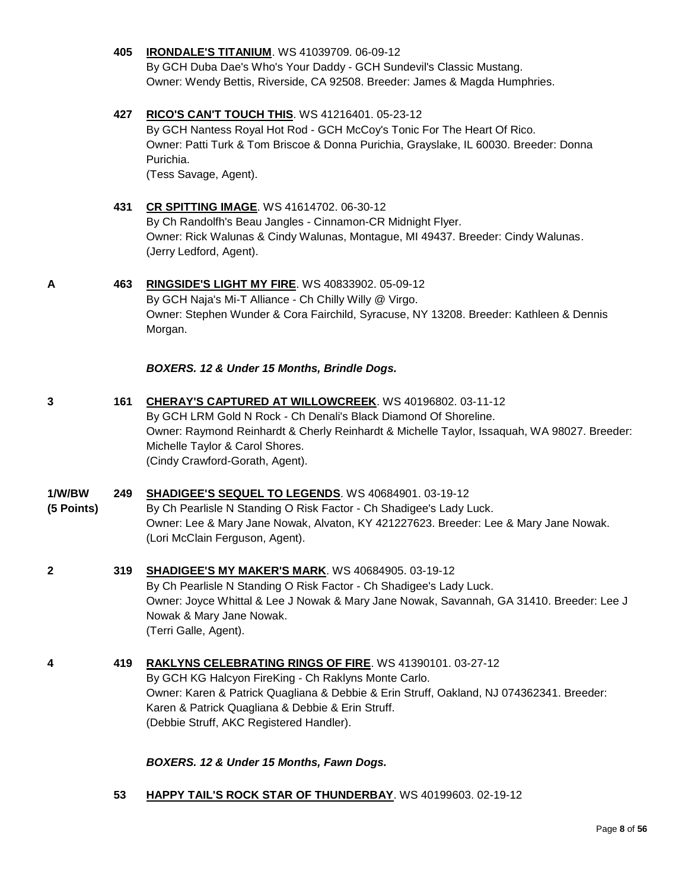#### **405 [IRONDALE'S TITANIUM](http://www.infodog.com/files/bdogrsl1.prg;makc=WS%2041039709;mdog=Irondale_s_Titanium;wins=all)**. WS 41039709. 06-09-12

By GCH Duba Dae's Who's Your Daddy - GCH Sundevil's Classic Mustang. Owner: Wendy Bettis, Riverside, CA 92508. Breeder: James & Magda Humphries.

#### **427 [RICO'S CAN'T TOUCH THIS](http://www.infodog.com/files/bdogrsl1.prg;makc=WS%2041216401;mdog=Rico_s_Can_t_Touch_This;wins=all)**. WS 41216401. 05-23-12

By GCH Nantess Royal Hot Rod - GCH McCoy's Tonic For The Heart Of Rico. Owner: Patti Turk & Tom Briscoe & Donna Purichia, Grayslake, IL 60030. Breeder: Donna Purichia.

(Tess Savage, Agent).

#### **431 [CR SPITTING IMAGE](http://www.infodog.com/files/bdogrsl1.prg;makc=WS%2041614702;mdog=CR_Spitting_Image;wins=all)**. WS 41614702. 06-30-12

By Ch Randolfh's Beau Jangles - Cinnamon-CR Midnight Flyer. Owner: Rick Walunas & Cindy Walunas, Montague, MI 49437. Breeder: Cindy Walunas. (Jerry Ledford, Agent).

#### **A 463 [RINGSIDE'S LIGHT MY FIRE](http://www.infodog.com/files/bdogrsl1.prg;makc=WS%2040833902;mdog=Ringside_s_Light_My_Fire;wins=all)**. WS 40833902. 05-09-12

By GCH Naja's Mi-T Alliance - Ch Chilly Willy @ Virgo. Owner: Stephen Wunder & Cora Fairchild, Syracuse, NY 13208. Breeder: Kathleen & Dennis Morgan.

#### *BOXERS. 12 & Under 15 Months, Brindle Dogs.*

**3 161 [CHERAY'S CAPTURED AT WILLOWCREEK](http://www.infodog.com/files/bdogrsl1.prg;makc=WS%2040196802;mdog=Cheray_s_Captured_At_Willowcreek;wins=all)**. WS 40196802. 03-11-12 By GCH LRM Gold N Rock - Ch Denali's Black Diamond Of Shoreline. Owner: Raymond Reinhardt & Cherly Reinhardt & Michelle Taylor, Issaquah, WA 98027. Breeder: Michelle Taylor & Carol Shores. (Cindy Crawford-Gorath, Agent).

#### **1/W/BW 249 [SHADIGEE'S SEQUEL TO LEGENDS](http://www.infodog.com/files/bdogrsl1.prg;makc=WS%2040684901;mdog=Shadigee_s_Sequel_To_Legends;wins=all)**. WS 40684901. 03-19-12

**(5 Points)** By Ch Pearlisle N Standing O Risk Factor - Ch Shadigee's Lady Luck. Owner: Lee & Mary Jane Nowak, Alvaton, KY 421227623. Breeder: Lee & Mary Jane Nowak. (Lori McClain Ferguson, Agent).

# **2 319 [SHADIGEE'S MY MAKER'S MARK](http://www.infodog.com/files/bdogrsl1.prg;makc=WS%2040684905;mdog=Shadigee_s_My_Maker_s_Mark;wins=all)**. WS 40684905. 03-19-12 By Ch Pearlisle N Standing O Risk Factor - Ch Shadigee's Lady Luck.

Owner: Joyce Whittal & Lee J Nowak & Mary Jane Nowak, Savannah, GA 31410. Breeder: Lee J Nowak & Mary Jane Nowak. (Terri Galle, Agent).

#### **4 419 [RAKLYNS CELEBRATING RINGS OF FIRE](http://www.infodog.com/files/bdogrsl1.prg;makc=WS%2041390101;mdog=Raklyns_Celebrating_Rings_Of_Fire;wins=all)**. WS 41390101. 03-27-12

By GCH KG Halcyon FireKing - Ch Raklyns Monte Carlo. Owner: Karen & Patrick Quagliana & Debbie & Erin Struff, Oakland, NJ 074362341. Breeder: Karen & Patrick Quagliana & Debbie & Erin Struff. (Debbie Struff, AKC Registered Handler).

*BOXERS. 12 & Under 15 Months, Fawn Dogs.*

**53 [HAPPY TAIL'S ROCK STAR OF THUNDERBAY](http://www.infodog.com/files/bdogrsl1.prg;makc=WS%2040199603;mdog=Happy_Tail_s_Rock_Star_Of_Thunderbay;wins=all)**. WS 40199603. 02-19-12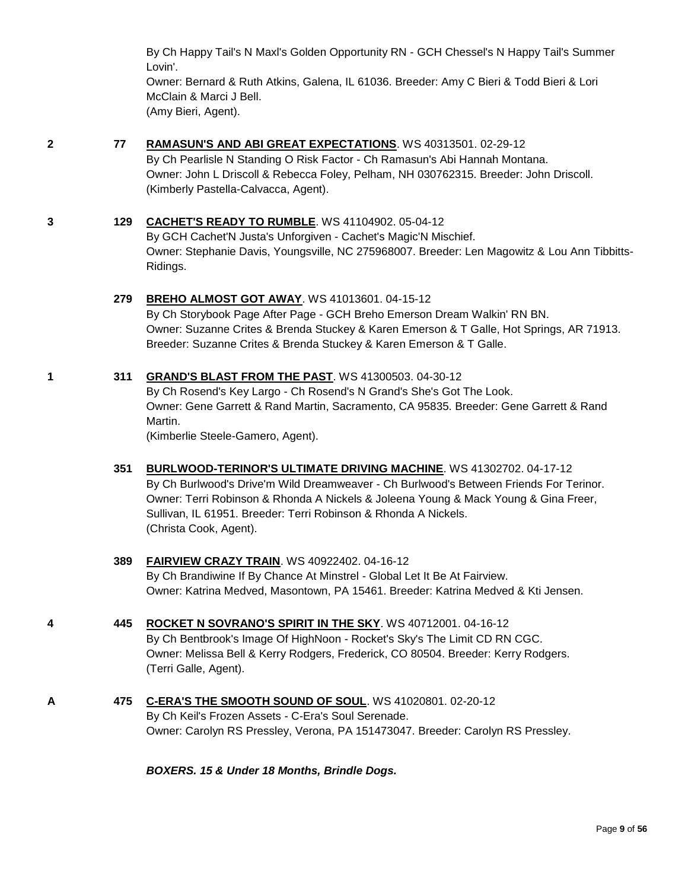By Ch Happy Tail's N Maxl's Golden Opportunity RN - GCH Chessel's N Happy Tail's Summer Lovin'.

Owner: Bernard & Ruth Atkins, Galena, IL 61036. Breeder: Amy C Bieri & Todd Bieri & Lori McClain & Marci J Bell. (Amy Bieri, Agent).

#### **2 77 [RAMASUN'S AND ABI GREAT EXPECTATIONS](http://www.infodog.com/files/bdogrsl1.prg;makc=WS%2040313501;mdog=Ramasun_s_And_Abi_Great_Expectations;wins=all)**. WS 40313501. 02-29-12

By Ch Pearlisle N Standing O Risk Factor - Ch Ramasun's Abi Hannah Montana. Owner: John L Driscoll & Rebecca Foley, Pelham, NH 030762315. Breeder: John Driscoll. (Kimberly Pastella-Calvacca, Agent).

#### **3 129 [CACHET'S READY TO RUMBLE](http://www.infodog.com/files/bdogrsl1.prg;makc=WS%2041104902;mdog=Cachet_s_Ready_To_Rumble;wins=all)**. WS 41104902. 05-04-12

By GCH Cachet'N Justa's Unforgiven - Cachet's Magic'N Mischief. Owner: Stephanie Davis, Youngsville, NC 275968007. Breeder: Len Magowitz & Lou Ann Tibbitts-Ridings.

#### **279 [BREHO ALMOST GOT AWAY](http://www.infodog.com/files/bdogrsl1.prg;makc=WS%2041013601;mdog=Breho_Almost_Got_Away;wins=all)**. WS 41013601. 04-15-12

By Ch Storybook Page After Page - GCH Breho Emerson Dream Walkin' RN BN. Owner: Suzanne Crites & Brenda Stuckey & Karen Emerson & T Galle, Hot Springs, AR 71913. Breeder: Suzanne Crites & Brenda Stuckey & Karen Emerson & T Galle.

#### **1 311 [GRAND'S BLAST FROM THE PAST](http://www.infodog.com/files/bdogrsl1.prg;makc=WS%2041300503;mdog=Grand_s_Blast_From_The_Past;wins=all)**. WS 41300503. 04-30-12

By Ch Rosend's Key Largo - Ch Rosend's N Grand's She's Got The Look. Owner: Gene Garrett & Rand Martin, Sacramento, CA 95835. Breeder: Gene Garrett & Rand Martin.

(Kimberlie Steele-Gamero, Agent).

#### **351 [BURLWOOD-TERINOR'S ULTIMATE DRIVING MACHINE](http://www.infodog.com/files/bdogrsl1.prg;makc=WS%2041302702;mdog=Burlwood-Terinor_s_Ultimate_Driving_Machine;wins=all)**. WS 41302702. 04-17-12 By Ch Burlwood's Drive'm Wild Dreamweaver - Ch Burlwood's Between Friends For Terinor. Owner: Terri Robinson & Rhonda A Nickels & Joleena Young & Mack Young & Gina Freer, Sullivan, IL 61951. Breeder: Terri Robinson & Rhonda A Nickels. (Christa Cook, Agent).

### **389 [FAIRVIEW CRAZY TRAIN](http://www.infodog.com/files/bdogrsl1.prg;makc=WS%2040922402;mdog=Fairview_Crazy_Train;wins=all)**. WS 40922402. 04-16-12 By Ch Brandiwine If By Chance At Minstrel - Global Let It Be At Fairview. Owner: Katrina Medved, Masontown, PA 15461. Breeder: Katrina Medved & Kti Jensen.

- **4 445 [ROCKET N SOVRANO'S SPIRIT IN THE SKY](http://www.infodog.com/files/bdogrsl1.prg;makc=WS%2040712001;mdog=Rocket_N_Sovrano_s_Spirit_In_The_Sky;wins=all)**. WS 40712001. 04-16-12 By Ch Bentbrook's Image Of HighNoon - Rocket's Sky's The Limit CD RN CGC. Owner: Melissa Bell & Kerry Rodgers, Frederick, CO 80504. Breeder: Kerry Rodgers. (Terri Galle, Agent).
- **A 475 [C-ERA'S THE SMOOTH SOUND OF SOUL](http://www.infodog.com/files/bdogrsl1.prg;makc=WS%2041020801;mdog=C-Era_s_The_Smooth_Sound_Of_Soul;wins=all)**. WS 41020801. 02-20-12 By Ch Keil's Frozen Assets - C-Era's Soul Serenade. Owner: Carolyn RS Pressley, Verona, PA 151473047. Breeder: Carolyn RS Pressley.

*BOXERS. 15 & Under 18 Months, Brindle Dogs.*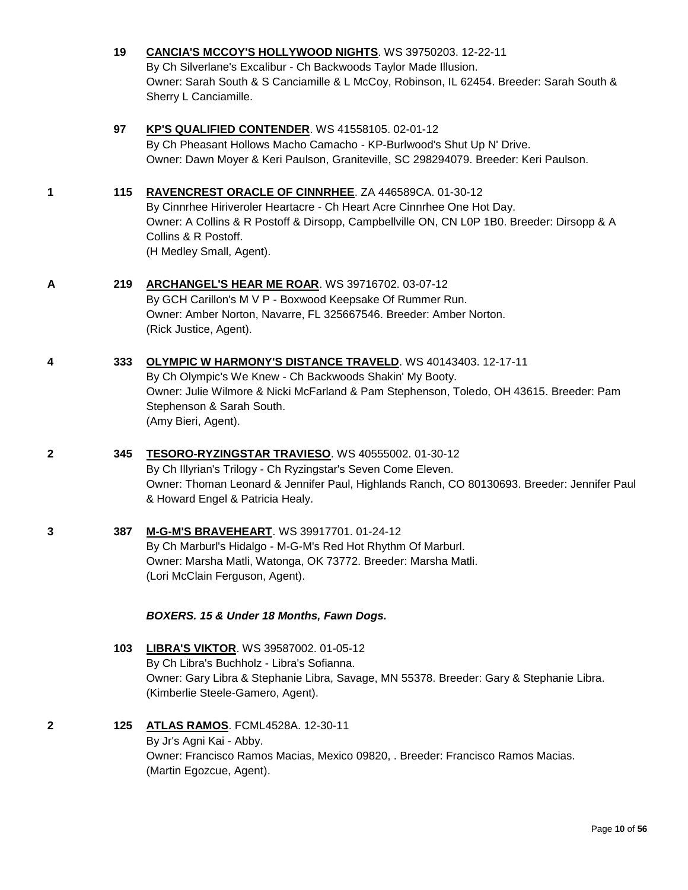|   | 19  | <b>CANCIA'S MCCOY'S HOLLYWOOD NIGHTS. WS 39750203. 12-22-11</b><br>By Ch Silverlane's Excalibur - Ch Backwoods Taylor Made Illusion.<br>Owner: Sarah South & S Canciamille & L McCoy, Robinson, IL 62454. Breeder: Sarah South &<br>Sherry L Canciamille.                         |
|---|-----|-----------------------------------------------------------------------------------------------------------------------------------------------------------------------------------------------------------------------------------------------------------------------------------|
|   | 97  | KP'S QUALIFIED CONTENDER. WS 41558105. 02-01-12<br>By Ch Pheasant Hollows Macho Camacho - KP-Burlwood's Shut Up N' Drive.<br>Owner: Dawn Moyer & Keri Paulson, Graniteville, SC 298294079. Breeder: Keri Paulson.                                                                 |
| 1 | 115 | RAVENCREST ORACLE OF CINNRHEE. ZA 446589CA. 01-30-12<br>By Cinnrhee Hiriveroler Heartacre - Ch Heart Acre Cinnrhee One Hot Day.<br>Owner: A Collins & R Postoff & Dirsopp, Campbellville ON, CN L0P 1B0. Breeder: Dirsopp & A<br>Collins & R Postoff.<br>(H Medley Small, Agent). |
| А | 219 | ARCHANGEL'S HEAR ME ROAR. WS 39716702. 03-07-12<br>By GCH Carillon's M V P - Boxwood Keepsake Of Rummer Run.<br>Owner: Amber Norton, Navarre, FL 325667546. Breeder: Amber Norton.<br>(Rick Justice, Agent).                                                                      |
| 4 | 333 | <b>OLYMPIC W HARMONY'S DISTANCE TRAVELD.</b> WS 40143403. 12-17-11<br>By Ch Olympic's We Knew - Ch Backwoods Shakin' My Booty.<br>Owner: Julie Wilmore & Nicki McFarland & Pam Stephenson, Toledo, OH 43615. Breeder: Pam<br>Stephenson & Sarah South.<br>(Amy Bieri, Agent).     |
| 2 | 345 | TESORO-RYZINGSTAR TRAVIESO. WS 40555002. 01-30-12<br>By Ch Illyrian's Trilogy - Ch Ryzingstar's Seven Come Eleven.<br>Owner: Thoman Leonard & Jennifer Paul, Highlands Ranch, CO 80130693. Breeder: Jennifer Paul<br>& Howard Engel & Patricia Healy.                             |
| 3 | 387 | M-G-M'S BRAVEHEART. WS 39917701. 01-24-12<br>By Ch Marburl's Hidalgo - M-G-M's Red Hot Rhythm Of Marburl.<br>Owner: Marsha Matli, Watonga, OK 73772. Breeder: Marsha Matli.<br>(Lori McClain Ferguson, Agent).                                                                    |
|   |     | BOXERS. 15 & Under 18 Months, Fawn Dogs.                                                                                                                                                                                                                                          |
|   | 103 | LIBRA'S VIKTOR. WS 39587002. 01-05-12<br>By Ch Libra's Buchholz - Libra's Sofianna.<br>Owner: Gary Libra & Stephanie Libra, Savage, MN 55378. Breeder: Gary & Stephanie Libra.<br>(Kimberlie Steele-Gamero, Agent).                                                               |
| 2 | 125 | <b>ATLAS RAMOS.</b> FCML4528A. 12-30-11<br>By Jr's Agni Kai - Abby.<br>Owner: Francisco Ramos Macias, Mexico 09820, . Breeder: Francisco Ramos Macias.<br>(Martin Egozcue, Agent).                                                                                                |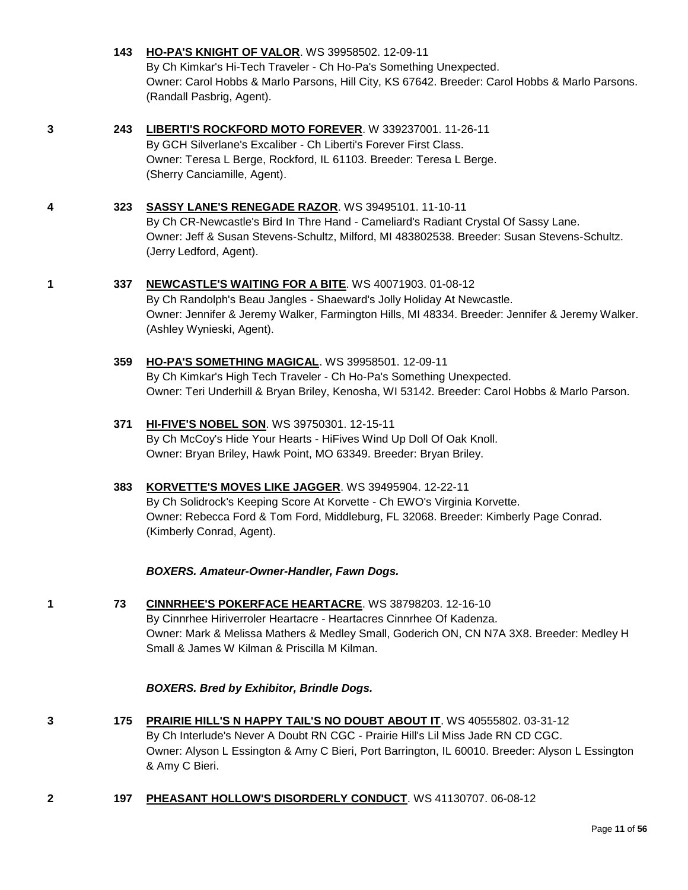|   | 143 | <b>HO-PA'S KNIGHT OF VALOR. WS 39958502. 12-09-11</b>                                                                                                                                                                                                                     |
|---|-----|---------------------------------------------------------------------------------------------------------------------------------------------------------------------------------------------------------------------------------------------------------------------------|
|   |     | By Ch Kimkar's Hi-Tech Traveler - Ch Ho-Pa's Something Unexpected.<br>Owner: Carol Hobbs & Marlo Parsons, Hill City, KS 67642. Breeder: Carol Hobbs & Marlo Parsons.<br>(Randall Pasbrig, Agent).                                                                         |
| 3 | 243 | LIBERTI'S ROCKFORD MOTO FOREVER. W 339237001. 11-26-11<br>By GCH Silverlane's Excaliber - Ch Liberti's Forever First Class.<br>Owner: Teresa L Berge, Rockford, IL 61103. Breeder: Teresa L Berge.<br>(Sherry Canciamille, Agent).                                        |
| 4 | 323 | SASSY LANE'S RENEGADE RAZOR. WS 39495101. 11-10-11<br>By Ch CR-Newcastle's Bird In Thre Hand - Cameliard's Radiant Crystal Of Sassy Lane.<br>Owner: Jeff & Susan Stevens-Schultz, Milford, MI 483802538. Breeder: Susan Stevens-Schultz.<br>(Jerry Ledford, Agent).       |
| 1 | 337 | <b>NEWCASTLE'S WAITING FOR A BITE. WS 40071903. 01-08-12</b><br>By Ch Randolph's Beau Jangles - Shaeward's Jolly Holiday At Newcastle.<br>Owner: Jennifer & Jeremy Walker, Farmington Hills, MI 48334. Breeder: Jennifer & Jeremy Walker.<br>(Ashley Wynieski, Agent).    |
|   | 359 | HO-PA'S SOMETHING MAGICAL. WS 39958501. 12-09-11<br>By Ch Kimkar's High Tech Traveler - Ch Ho-Pa's Something Unexpected.<br>Owner: Teri Underhill & Bryan Briley, Kenosha, WI 53142. Breeder: Carol Hobbs & Marlo Parson.                                                 |
|   | 371 | <b>HI-FIVE'S NOBEL SON. WS 39750301. 12-15-11</b><br>By Ch McCoy's Hide Your Hearts - HiFives Wind Up Doll Of Oak Knoll.<br>Owner: Bryan Briley, Hawk Point, MO 63349. Breeder: Bryan Briley.                                                                             |
|   | 383 | KORVETTE'S MOVES LIKE JAGGER. WS 39495904. 12-22-11<br>By Ch Solidrock's Keeping Score At Korvette - Ch EWO's Virginia Korvette.<br>Owner: Rebecca Ford & Tom Ford, Middleburg, FL 32068. Breeder: Kimberly Page Conrad.<br>(Kimberly Conrad, Agent).                     |
|   |     | BOXERS. Amateur-Owner-Handler, Fawn Dogs.                                                                                                                                                                                                                                 |
| 1 | 73  | CINNRHEE'S POKERFACE HEARTACRE. WS 38798203. 12-16-10<br>By Cinnrhee Hiriverroler Heartacre - Heartacres Cinnrhee Of Kadenza.<br>Owner: Mark & Melissa Mathers & Medley Small, Goderich ON, CN N7A 3X8. Breeder: Medley H<br>Small & James W Kilman & Priscilla M Kilman. |
|   |     | <b>BOXERS. Bred by Exhibitor, Brindle Dogs.</b>                                                                                                                                                                                                                           |

- **3 175 [PRAIRIE HILL'S N HAPPY TAIL'S NO DOUBT ABOUT IT](http://www.infodog.com/files/bdogrsl1.prg;makc=WS%2040555802;mdog=Prairie_Hill_s_N_Happy_Tail_s_No_Doubt_About_It;wins=all)**. WS 40555802. 03-31-12 By Ch Interlude's Never A Doubt RN CGC - Prairie Hill's Lil Miss Jade RN CD CGC. Owner: Alyson L Essington & Amy C Bieri, Port Barrington, IL 60010. Breeder: Alyson L Essington & Amy C Bieri.
- **2 197 [PHEASANT HOLLOW'S DISORDERLY CONDUCT](http://www.infodog.com/files/bdogrsl1.prg;makc=WS%2041130707;mdog=Pheasant_Hollow_s_Disorderly_Conduct;wins=all)**. WS 41130707. 06-08-12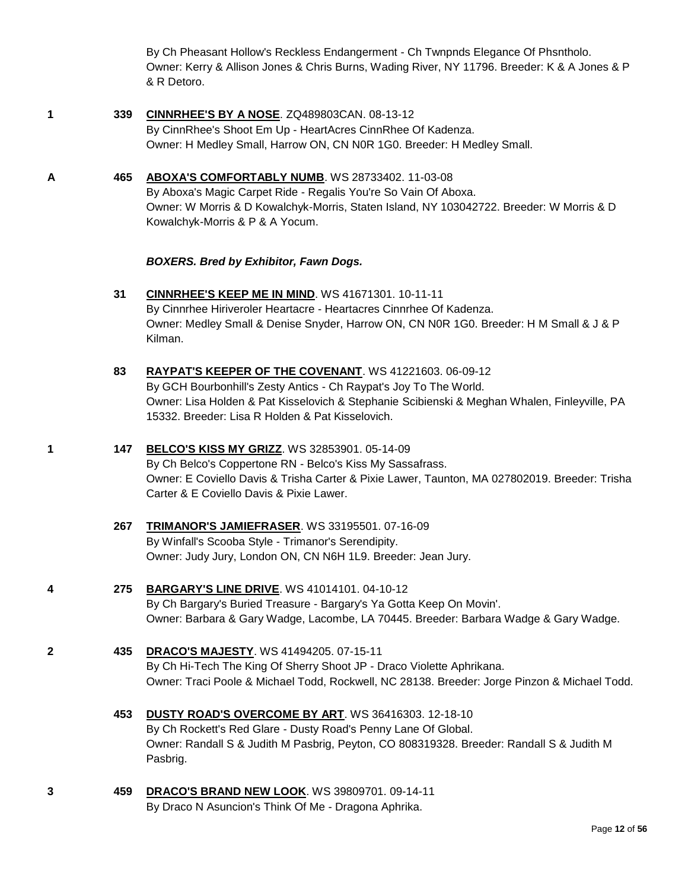By Ch Pheasant Hollow's Reckless Endangerment - Ch Twnpnds Elegance Of Phsntholo. Owner: Kerry & Allison Jones & Chris Burns, Wading River, NY 11796. Breeder: K & A Jones & P & R Detoro.

- **1 339 [CINNRHEE'S BY A NOSE](http://www.infodog.com/files/bdogrsl1.prg;makc=ZQ489803CAN;mdog=CinnRhee_s_By_A_Nose;wins=all)**. ZQ489803CAN. 08-13-12 By CinnRhee's Shoot Em Up - HeartAcres CinnRhee Of Kadenza. Owner: H Medley Small, Harrow ON, CN N0R 1G0. Breeder: H Medley Small.
- **A 465 [ABOXA'S COMFORTABLY NUMB](http://www.infodog.com/files/bdogrsl1.prg;makc=WS%2028733402;mdog=Aboxa_s_Comfortably_Numb;wins=all)**. WS 28733402. 11-03-08

By Aboxa's Magic Carpet Ride - Regalis You're So Vain Of Aboxa. Owner: W Morris & D Kowalchyk-Morris, Staten Island, NY 103042722. Breeder: W Morris & D Kowalchyk-Morris & P & A Yocum.

#### *BOXERS. Bred by Exhibitor, Fawn Dogs.*

- **31 [CINNRHEE'S KEEP ME IN MIND](http://www.infodog.com/files/bdogrsl1.prg;makc=WS%2041671301;mdog=Cinnrhee_s_Keep_Me_In_Mind;wins=all)**. WS 41671301. 10-11-11 By Cinnrhee Hiriveroler Heartacre - Heartacres Cinnrhee Of Kadenza. Owner: Medley Small & Denise Snyder, Harrow ON, CN N0R 1G0. Breeder: H M Small & J & P Kilman.
- **83 [RAYPAT'S KEEPER OF THE COVENANT](http://www.infodog.com/files/bdogrsl1.prg;makc=WS%2041221603;mdog=Raypat_s_Keeper_Of_The_Covenant;wins=all)**. WS 41221603. 06-09-12 By GCH Bourbonhill's Zesty Antics - Ch Raypat's Joy To The World. Owner: Lisa Holden & Pat Kisselovich & Stephanie Scibienski & Meghan Whalen, Finleyville, PA 15332. Breeder: Lisa R Holden & Pat Kisselovich.

#### **1 147 [BELCO'S KISS MY GRIZZ](http://www.infodog.com/files/bdogrsl1.prg;makc=WS%2032853901;mdog=Belco_s_Kiss_My_Grizz;wins=all)**. WS 32853901. 05-14-09

By Ch Belco's Coppertone RN - Belco's Kiss My Sassafrass. Owner: E Coviello Davis & Trisha Carter & Pixie Lawer, Taunton, MA 027802019. Breeder: Trisha Carter & E Coviello Davis & Pixie Lawer.

**267 [TRIMANOR'S JAMIEFRASER](http://www.infodog.com/files/bdogrsl1.prg;makc=WS%2033195501;mdog=Trimanor_s_Jamiefraser;wins=all)**. WS 33195501. 07-16-09 By Winfall's Scooba Style - Trimanor's Serendipity. Owner: Judy Jury, London ON, CN N6H 1L9. Breeder: Jean Jury.

# **4 275 [BARGARY'S LINE DRIVE](http://www.infodog.com/files/bdogrsl1.prg;makc=WS%2041014101;mdog=Bargary_s_Line_Drive;wins=all)**. WS 41014101. 04-10-12

By Ch Bargary's Buried Treasure - Bargary's Ya Gotta Keep On Movin'. Owner: Barbara & Gary Wadge, Lacombe, LA 70445. Breeder: Barbara Wadge & Gary Wadge.

**2 435 [DRACO'S MAJESTY](http://www.infodog.com/files/bdogrsl1.prg;makc=WS%2041494205;mdog=Draco_s_Majesty;wins=all)**. WS 41494205. 07-15-11

By Ch Hi-Tech The King Of Sherry Shoot JP - Draco Violette Aphrikana. Owner: Traci Poole & Michael Todd, Rockwell, NC 28138. Breeder: Jorge Pinzon & Michael Todd.

- **453 [DUSTY ROAD'S OVERCOME BY ART](http://www.infodog.com/files/bdogrsl1.prg;makc=WS%2036416303;mdog=Dusty_Road_s_Overcome_By_Art;wins=all)**. WS 36416303. 12-18-10 By Ch Rockett's Red Glare - Dusty Road's Penny Lane Of Global. Owner: Randall S & Judith M Pasbrig, Peyton, CO 808319328. Breeder: Randall S & Judith M Pasbrig.
- **3 459 [DRACO'S BRAND NEW LOOK](http://www.infodog.com/files/bdogrsl1.prg;makc=WS%2039809701;mdog=Draco_s_Brand_New_Look;wins=all)**. WS 39809701. 09-14-11 By Draco N Asuncion's Think Of Me - Dragona Aphrika.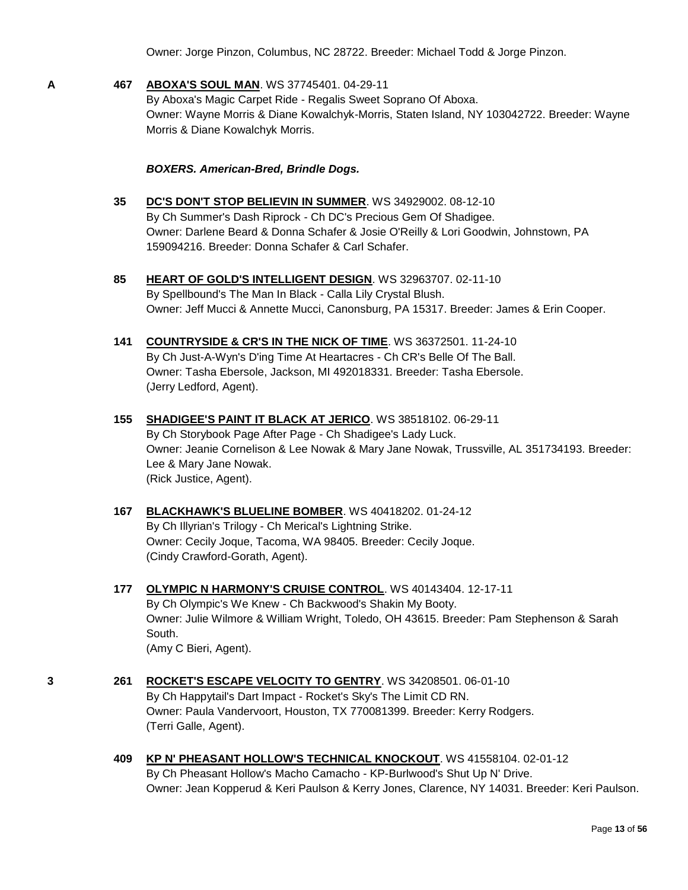Owner: Jorge Pinzon, Columbus, NC 28722. Breeder: Michael Todd & Jorge Pinzon.

**A 467 [ABOXA'S SOUL MAN](http://www.infodog.com/files/bdogrsl1.prg;makc=WS%2037745401;mdog=Aboxa_s_Soul_Man;wins=all)**. WS 37745401. 04-29-11

By Aboxa's Magic Carpet Ride - Regalis Sweet Soprano Of Aboxa. Owner: Wayne Morris & Diane Kowalchyk-Morris, Staten Island, NY 103042722. Breeder: Wayne Morris & Diane Kowalchyk Morris.

#### *BOXERS. American-Bred, Brindle Dogs.*

- **35 [DC'S DON'T STOP BELIEVIN IN SUMMER](http://www.infodog.com/files/bdogrsl1.prg;makc=WS%2034929002;mdog=DC_s_Don_t_Stop_Believin_In_Summer;wins=all)**. WS 34929002. 08-12-10 By Ch Summer's Dash Riprock - Ch DC's Precious Gem Of Shadigee. Owner: Darlene Beard & Donna Schafer & Josie O'Reilly & Lori Goodwin, Johnstown, PA 159094216. Breeder: Donna Schafer & Carl Schafer.
- **85 [HEART OF GOLD'S INTELLIGENT DESIGN](http://www.infodog.com/files/bdogrsl1.prg;makc=WS%2032963707;mdog=Heart_Of_Gold_s_Intelligent_Design;wins=all)**. WS 32963707. 02-11-10 By Spellbound's The Man In Black - Calla Lily Crystal Blush. Owner: Jeff Mucci & Annette Mucci, Canonsburg, PA 15317. Breeder: James & Erin Cooper.
- **141 [COUNTRYSIDE & CR'S IN THE NICK OF TIME](http://www.infodog.com/files/bdogrsl1.prg;makc=WS%2036372501;mdog=Countryside_&_CR_s_In_The_Nick_Of_Time;wins=all)**. WS 36372501. 11-24-10 By Ch Just-A-Wyn's D'ing Time At Heartacres - Ch CR's Belle Of The Ball. Owner: Tasha Ebersole, Jackson, MI 492018331. Breeder: Tasha Ebersole. (Jerry Ledford, Agent).
- **155 [SHADIGEE'S PAINT IT BLACK AT JERICO](http://www.infodog.com/files/bdogrsl1.prg;makc=WS%2038518102;mdog=Shadigee_s_Paint_It_Black_At_Jerico;wins=all)**. WS 38518102. 06-29-11 By Ch Storybook Page After Page - Ch Shadigee's Lady Luck. Owner: Jeanie Cornelison & Lee Nowak & Mary Jane Nowak, Trussville, AL 351734193. Breeder: Lee & Mary Jane Nowak. (Rick Justice, Agent).

#### **167 [BLACKHAWK'S BLUELINE BOMBER](http://www.infodog.com/files/bdogrsl1.prg;makc=WS%2040418202;mdog=Blackhawk_s_Blueline_Bomber;wins=all)**. WS 40418202. 01-24-12 By Ch Illyrian's Trilogy - Ch Merical's Lightning Strike. Owner: Cecily Joque, Tacoma, WA 98405. Breeder: Cecily Joque. (Cindy Crawford-Gorath, Agent).

- **177 [OLYMPIC N HARMONY'S CRUISE CONTROL](http://www.infodog.com/files/bdogrsl1.prg;makc=WS%2040143404;mdog=Olympic_N_Harmony_s_Cruise_Control;wins=all)**. WS 40143404. 12-17-11 By Ch Olympic's We Knew - Ch Backwood's Shakin My Booty. Owner: Julie Wilmore & William Wright, Toledo, OH 43615. Breeder: Pam Stephenson & Sarah South. (Amy C Bieri, Agent).
- **3 261 [ROCKET'S ESCAPE VELOCITY TO GENTRY](http://www.infodog.com/files/bdogrsl1.prg;makc=WS%2034208501;mdog=Rocket_s_Escape_Velocity_To_Gentry;wins=all)**. WS 34208501. 06-01-10 By Ch Happytail's Dart Impact - Rocket's Sky's The Limit CD RN. Owner: Paula Vandervoort, Houston, TX 770081399. Breeder: Kerry Rodgers. (Terri Galle, Agent).
	- **409 [KP N' PHEASANT HOLLOW'S TECHNICAL KNOCKOUT](http://www.infodog.com/files/bdogrsl1.prg;makc=WS%2041558104;mdog=KP_N__Pheasant_Hollow_s_Technical_Knockout;wins=all)**. WS 41558104. 02-01-12 By Ch Pheasant Hollow's Macho Camacho - KP-Burlwood's Shut Up N' Drive. Owner: Jean Kopperud & Keri Paulson & Kerry Jones, Clarence, NY 14031. Breeder: Keri Paulson.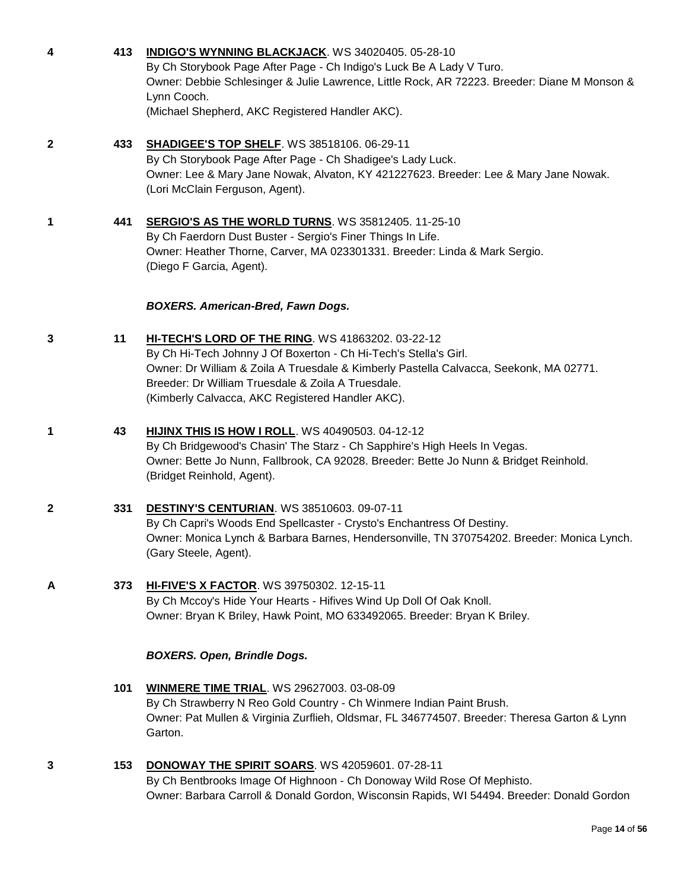| 4 | 413 | INDIGO'S WYNNING BLACKJACK. WS 34020405. 05-28-10<br>By Ch Storybook Page After Page - Ch Indigo's Luck Be A Lady V Turo.<br>Owner: Debbie Schlesinger & Julie Lawrence, Little Rock, AR 72223. Breeder: Diane M Monson &<br>Lynn Cooch.<br>(Michael Shepherd, AKC Registered Handler AKC).                               |
|---|-----|---------------------------------------------------------------------------------------------------------------------------------------------------------------------------------------------------------------------------------------------------------------------------------------------------------------------------|
| 2 | 433 | <b>SHADIGEE'S TOP SHELF. WS 38518106. 06-29-11</b><br>By Ch Storybook Page After Page - Ch Shadigee's Lady Luck.<br>Owner: Lee & Mary Jane Nowak, Alvaton, KY 421227623. Breeder: Lee & Mary Jane Nowak.<br>(Lori McClain Ferguson, Agent).                                                                               |
| 1 | 441 | SERGIO'S AS THE WORLD TURNS. WS 35812405. 11-25-10<br>By Ch Faerdorn Dust Buster - Sergio's Finer Things In Life.<br>Owner: Heather Thorne, Carver, MA 023301331. Breeder: Linda & Mark Sergio.<br>(Diego F Garcia, Agent).                                                                                               |
|   |     | <b>BOXERS. American-Bred, Fawn Dogs.</b>                                                                                                                                                                                                                                                                                  |
| 3 | 11  | HI-TECH'S LORD OF THE RING. WS 41863202. 03-22-12<br>By Ch Hi-Tech Johnny J Of Boxerton - Ch Hi-Tech's Stella's Girl.<br>Owner: Dr William & Zoila A Truesdale & Kimberly Pastella Calvacca, Seekonk, MA 02771.<br>Breeder: Dr William Truesdale & Zoila A Truesdale.<br>(Kimberly Calvacca, AKC Registered Handler AKC). |
| 1 | 43  | <b>HIJINX THIS IS HOW I ROLL. WS 40490503. 04-12-12</b><br>By Ch Bridgewood's Chasin' The Starz - Ch Sapphire's High Heels In Vegas.<br>Owner: Bette Jo Nunn, Fallbrook, CA 92028. Breeder: Bette Jo Nunn & Bridget Reinhold.<br>(Bridget Reinhold, Agent).                                                               |
| 2 | 331 | <b>DESTINY'S CENTURIAN. WS 38510603. 09-07-11</b><br>By Ch Capri's Woods End Spellcaster - Crysto's Enchantress Of Destiny.<br>Owner: Monica Lynch & Barbara Barnes, Hendersonville, TN 370754202. Breeder: Monica Lynch.<br>(Gary Steele, Agent).                                                                        |
| А | 373 | HI-FIVE'S X FACTOR. WS 39750302. 12-15-11<br>By Ch Mccoy's Hide Your Hearts - Hifives Wind Up Doll Of Oak Knoll.<br>Owner: Bryan K Briley, Hawk Point, MO 633492065. Breeder: Bryan K Briley.                                                                                                                             |
|   |     | <b>BOXERS. Open, Brindle Dogs.</b>                                                                                                                                                                                                                                                                                        |
|   | 101 | <b>WINMERE TIME TRIAL. WS 29627003. 03-08-09</b><br>By Ch Strawberry N Reo Gold Country - Ch Winmere Indian Paint Brush.<br>Owner: Pat Mullen & Virginia Zurflieh, Oldsmar, FL 346774507. Breeder: Theresa Garton & Lynn<br>Garton.                                                                                       |
| 3 | 153 | DONOWAY THE SPIRIT SOARS. WS 42059601. 07-28-11<br>By Ch Bentbrooks Image Of Highnoon - Ch Donoway Wild Rose Of Mephisto.<br>Owner: Barbara Carroll & Donald Gordon, Wisconsin Rapids, WI 54494. Breeder: Donald Gordon                                                                                                   |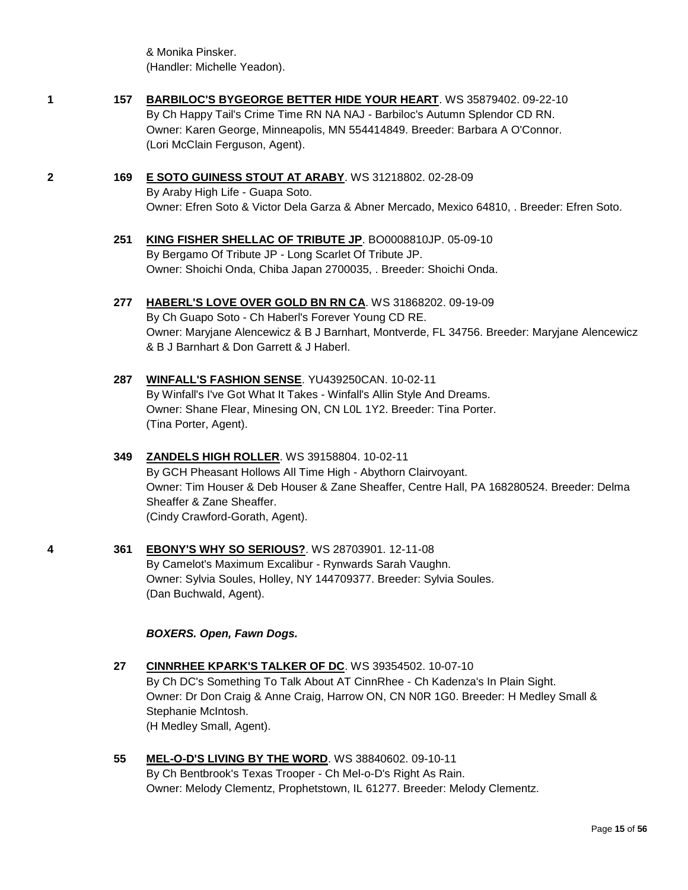& Monika Pinsker. (Handler: Michelle Yeadon).

- **1 157 [BARBILOC'S BYGEORGE BETTER HIDE YOUR HEART](http://www.infodog.com/files/bdogrsl1.prg;makc=WS%2035879402;mdog=Barbiloc_s_ByGeorge_Better_Hide_Your_Heart;wins=all)**. WS 35879402. 09-22-10 By Ch Happy Tail's Crime Time RN NA NAJ - Barbiloc's Autumn Splendor CD RN. Owner: Karen George, Minneapolis, MN 554414849. Breeder: Barbara A O'Connor. (Lori McClain Ferguson, Agent).
- **2 169 [E SOTO GUINESS STOUT AT ARABY](http://www.infodog.com/files/bdogrsl1.prg;makc=WS%2031218802;mdog=E_Soto_Guiness_Stout_At_Araby;wins=all)**. WS 31218802. 02-28-09 By Araby High Life - Guapa Soto. Owner: Efren Soto & Victor Dela Garza & Abner Mercado, Mexico 64810, . Breeder: Efren Soto.
	- **251 [KING FISHER SHELLAC OF TRIBUTE JP](http://www.infodog.com/files/bdogrsl1.prg;makc=BO0008810JP;mdog=King_Fisher_Shellac_Of_Tribute_JP;wins=all)**. BO0008810JP. 05-09-10 By Bergamo Of Tribute JP - Long Scarlet Of Tribute JP. Owner: Shoichi Onda, Chiba Japan 2700035, . Breeder: Shoichi Onda.
	- **277 [HABERL'S LOVE OVER GOLD BN RN CA](http://www.infodog.com/files/bdogrsl1.prg;makc=WS%2031868202;mdog=Haberl_s_Love_Over_Gold_BN_RN_CA;wins=all)**. WS 31868202. 09-19-09

By Ch Guapo Soto - Ch Haberl's Forever Young CD RE. Owner: Maryjane Alencewicz & B J Barnhart, Montverde, FL 34756. Breeder: Maryjane Alencewicz & B J Barnhart & Don Garrett & J Haberl.

**287 [WINFALL'S FASHION SENSE](http://www.infodog.com/files/bdogrsl1.prg;makc=YU439250CAN;mdog=Winfall_s_Fashion_Sense;wins=all)**. YU439250CAN. 10-02-11 By Winfall's I've Got What It Takes - Winfall's Allin Style And Dreams. Owner: Shane Flear, Minesing ON, CN L0L 1Y2. Breeder: Tina Porter. (Tina Porter, Agent).

#### **349 [ZANDELS HIGH ROLLER](http://www.infodog.com/files/bdogrsl1.prg;makc=WS%2039158804;mdog=Zandels_High_Roller;wins=all)**. WS 39158804. 10-02-11 By GCH Pheasant Hollows All Time High - Abythorn Clairvoyant. Owner: Tim Houser & Deb Houser & Zane Sheaffer, Centre Hall, PA 168280524. Breeder: Delma Sheaffer & Zane Sheaffer. (Cindy Crawford-Gorath, Agent).

**4 361 [EBONY'S WHY SO SERIOUS?](http://www.infodog.com/files/bdogrsl1.prg;makc=WS%2028703901;mdog=Ebony_s_Why_So_Serious?;wins=all)**. WS 28703901. 12-11-08 By Camelot's Maximum Excalibur - Rynwards Sarah Vaughn. Owner: Sylvia Soules, Holley, NY 144709377. Breeder: Sylvia Soules. (Dan Buchwald, Agent).

#### *BOXERS. Open, Fawn Dogs.*

- **27 [CINNRHEE KPARK'S TALKER OF DC](http://www.infodog.com/files/bdogrsl1.prg;makc=WS%2039354502;mdog=CinnRhee_KPark_s_Talker_Of_DC;wins=all)**. WS 39354502. 10-07-10 By Ch DC's Something To Talk About AT CinnRhee - Ch Kadenza's In Plain Sight. Owner: Dr Don Craig & Anne Craig, Harrow ON, CN N0R 1G0. Breeder: H Medley Small & Stephanie McIntosh. (H Medley Small, Agent).
- **55 [MEL-O-D'S LIVING BY THE WORD](http://www.infodog.com/files/bdogrsl1.prg;makc=WS%2038840602;mdog=Mel-o-D_s_Living_By_The_Word;wins=all)**. WS 38840602. 09-10-11 By Ch Bentbrook's Texas Trooper - Ch Mel-o-D's Right As Rain. Owner: Melody Clementz, Prophetstown, IL 61277. Breeder: Melody Clementz.

Page **15** of **56**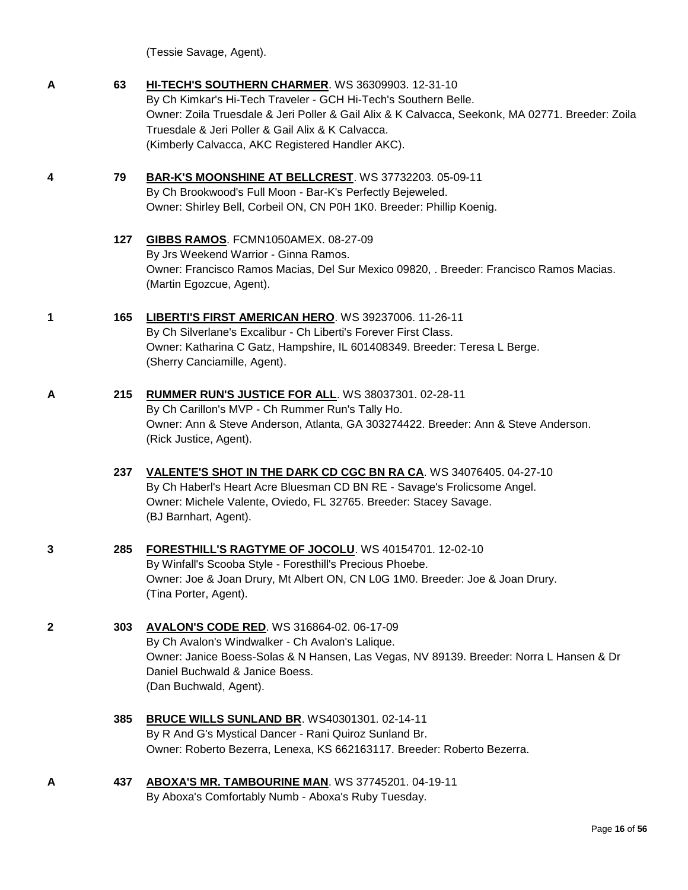|              |     | (Tessie Savage, Agent).                                                                                                                                                                                                                                                                                                           |
|--------------|-----|-----------------------------------------------------------------------------------------------------------------------------------------------------------------------------------------------------------------------------------------------------------------------------------------------------------------------------------|
| A            | 63  | HI-TECH'S SOUTHERN CHARMER. WS 36309903. 12-31-10<br>By Ch Kimkar's Hi-Tech Traveler - GCH Hi-Tech's Southern Belle.<br>Owner: Zoila Truesdale & Jeri Poller & Gail Alix & K Calvacca, Seekonk, MA 02771. Breeder: Zoila<br>Truesdale & Jeri Poller & Gail Alix & K Calvacca.<br>(Kimberly Calvacca, AKC Registered Handler AKC). |
| 4            | 79  | BAR-K'S MOONSHINE AT BELLCREST. WS 37732203. 05-09-11<br>By Ch Brookwood's Full Moon - Bar-K's Perfectly Bejeweled.<br>Owner: Shirley Bell, Corbeil ON, CN P0H 1K0. Breeder: Phillip Koenig.                                                                                                                                      |
|              | 127 | GIBBS RAMOS. FCMN1050AMEX. 08-27-09<br>By Jrs Weekend Warrior - Ginna Ramos.<br>Owner: Francisco Ramos Macias, Del Sur Mexico 09820, . Breeder: Francisco Ramos Macias.<br>(Martin Egozcue, Agent).                                                                                                                               |
| 1            | 165 | LIBERTI'S FIRST AMERICAN HERO. WS 39237006. 11-26-11<br>By Ch Silverlane's Excalibur - Ch Liberti's Forever First Class.<br>Owner: Katharina C Gatz, Hampshire, IL 601408349. Breeder: Teresa L Berge.<br>(Sherry Canciamille, Agent).                                                                                            |
| A            | 215 | RUMMER RUN'S JUSTICE FOR ALL. WS 38037301. 02-28-11<br>By Ch Carillon's MVP - Ch Rummer Run's Tally Ho.<br>Owner: Ann & Steve Anderson, Atlanta, GA 303274422. Breeder: Ann & Steve Anderson.<br>(Rick Justice, Agent).                                                                                                           |
|              | 237 | VALENTE'S SHOT IN THE DARK CD CGC BN RA CA. WS 34076405. 04-27-10<br>By Ch Haberl's Heart Acre Bluesman CD BN RE - Savage's Frolicsome Angel.<br>Owner: Michele Valente, Oviedo, FL 32765. Breeder: Stacey Savage.<br>(BJ Barnhart, Agent).                                                                                       |
|              | 285 | <b>FORESTHILL'S RAGTYME OF JOCOLU.</b> WS 40154701. 12-02-10<br>By Winfall's Scooba Style - Foresthill's Precious Phoebe.<br>Owner: Joe & Joan Drury, Mt Albert ON, CN L0G 1M0. Breeder: Joe & Joan Drury.<br>(Tina Porter, Agent).                                                                                               |
| $\mathbf{2}$ | 303 | <b>AVALON'S CODE RED.</b> WS 316864-02. 06-17-09<br>By Ch Avalon's Windwalker - Ch Avalon's Lalique.<br>Owner: Janice Boess-Solas & N Hansen, Las Vegas, NV 89139. Breeder: Norra L Hansen & Dr<br>Daniel Buchwald & Janice Boess.<br>(Dan Buchwald, Agent).                                                                      |
|              | 385 | BRUCE WILLS SUNLAND BR. WS40301301. 02-14-11<br>By R And G's Mystical Dancer - Rani Quiroz Sunland Br.<br>Owner: Roberto Bezerra, Lenexa, KS 662163117. Breeder: Roberto Bezerra.                                                                                                                                                 |
| A            | 437 | ABOXA'S MR. TAMBOURINE MAN. WS 37745201. 04-19-11                                                                                                                                                                                                                                                                                 |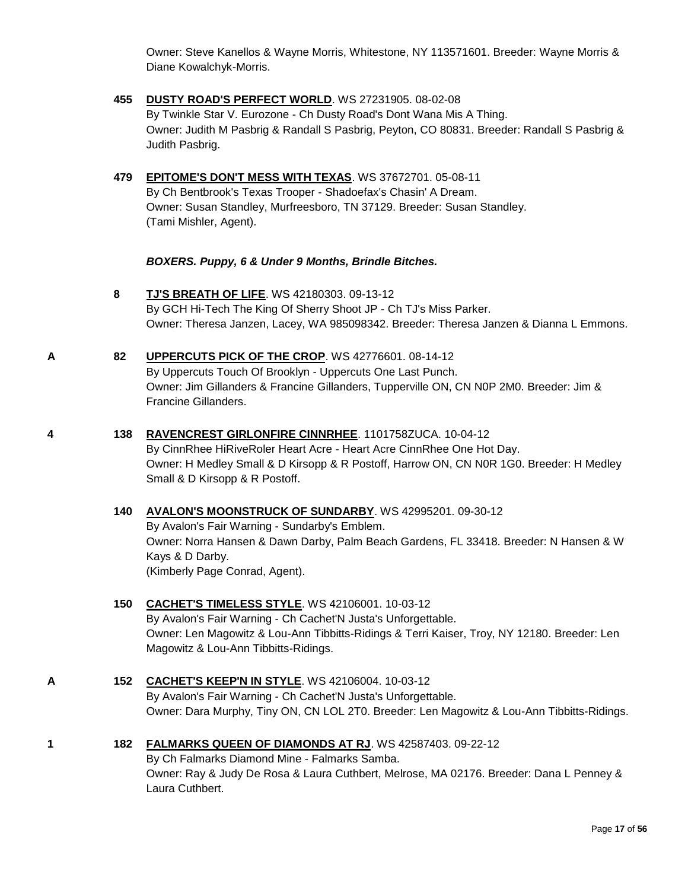Owner: Steve Kanellos & Wayne Morris, Whitestone, NY 113571601. Breeder: Wayne Morris & Diane Kowalchyk-Morris.

- **455 [DUSTY ROAD'S PERFECT WORLD](http://www.infodog.com/files/bdogrsl1.prg;makc=WS%2027231905;mdog=Dusty_Road_s_Perfect_World;wins=all)**. WS 27231905. 08-02-08 By Twinkle Star V. Eurozone - Ch Dusty Road's Dont Wana Mis A Thing. Owner: Judith M Pasbrig & Randall S Pasbrig, Peyton, CO 80831. Breeder: Randall S Pasbrig & Judith Pasbrig.
- **479 [EPITOME'S DON'T MESS WITH TEXAS](http://www.infodog.com/files/bdogrsl1.prg;makc=WS%2037672701;mdog=Epitome_s_Don_t_Mess_With_Texas;wins=all)**. WS 37672701. 05-08-11 By Ch Bentbrook's Texas Trooper - Shadoefax's Chasin' A Dream. Owner: Susan Standley, Murfreesboro, TN 37129. Breeder: Susan Standley. (Tami Mishler, Agent).

#### *BOXERS. Puppy, 6 & Under 9 Months, Brindle Bitches.*

- **8 [TJ'S BREATH OF LIFE](http://www.infodog.com/files/bdogrsl1.prg;makc=WS%2042180303;mdog=TJ_s_Breath_Of_Life;wins=all)**. WS 42180303. 09-13-12 By GCH Hi-Tech The King Of Sherry Shoot JP - Ch TJ's Miss Parker. Owner: Theresa Janzen, Lacey, WA 985098342. Breeder: Theresa Janzen & Dianna L Emmons.
- **A 82 [UPPERCUTS PICK OF THE CROP](http://www.infodog.com/files/bdogrsl1.prg;makc=WS%2042776601;mdog=Uppercuts_Pick_Of_The_Crop;wins=all)**. WS 42776601. 08-14-12 By Uppercuts Touch Of Brooklyn - Uppercuts One Last Punch. Owner: Jim Gillanders & Francine Gillanders, Tupperville ON, CN N0P 2M0. Breeder: Jim & Francine Gillanders.
- **4 138 [RAVENCREST GIRLONFIRE CINNRHEE](http://www.infodog.com/files/bdogrsl1.prg;makc=1101758ZUCA;mdog=Ravencrest_GirlOnFire_CinnRhee;wins=all)**. 1101758ZUCA. 10-04-12 By CinnRhee HiRiveRoler Heart Acre - Heart Acre CinnRhee One Hot Day. Owner: H Medley Small & D Kirsopp & R Postoff, Harrow ON, CN N0R 1G0. Breeder: H Medley Small & D Kirsopp & R Postoff.
	- **140 [AVALON'S MOONSTRUCK OF SUNDARBY](http://www.infodog.com/files/bdogrsl1.prg;makc=WS%2042995201;mdog=Avalon_s_Moonstruck_Of_Sundarby;wins=all)**. WS 42995201. 09-30-12 By Avalon's Fair Warning - Sundarby's Emblem. Owner: Norra Hansen & Dawn Darby, Palm Beach Gardens, FL 33418. Breeder: N Hansen & W Kays & D Darby. (Kimberly Page Conrad, Agent).

#### **150 [CACHET'S TIMELESS STYLE](http://www.infodog.com/files/bdogrsl1.prg;makc=WS%2042106001;mdog=Cachet_s_Timeless_Style;wins=all)**. WS 42106001. 10-03-12 By Avalon's Fair Warning - Ch Cachet'N Justa's Unforgettable. Owner: Len Magowitz & Lou-Ann Tibbitts-Ridings & Terri Kaiser, Troy, NY 12180. Breeder: Len Magowitz & Lou-Ann Tibbitts-Ridings.

- **A 152 [CACHET'S KEEP'N IN STYLE](http://www.infodog.com/files/bdogrsl1.prg;makc=WS%2042106004;mdog=Cachet_s_Keep_N_In_Style;wins=all)**. WS 42106004. 10-03-12 By Avalon's Fair Warning - Ch Cachet'N Justa's Unforgettable. Owner: Dara Murphy, Tiny ON, CN LOL 2T0. Breeder: Len Magowitz & Lou-Ann Tibbitts-Ridings.
- **1 182 [FALMARKS QUEEN OF DIAMONDS AT RJ](http://www.infodog.com/files/bdogrsl1.prg;makc=WS%2042587403;mdog=Falmarks_Queen_Of_Diamonds_At_RJ;wins=all)**. WS 42587403. 09-22-12 By Ch Falmarks Diamond Mine - Falmarks Samba. Owner: Ray & Judy De Rosa & Laura Cuthbert, Melrose, MA 02176. Breeder: Dana L Penney & Laura Cuthbert.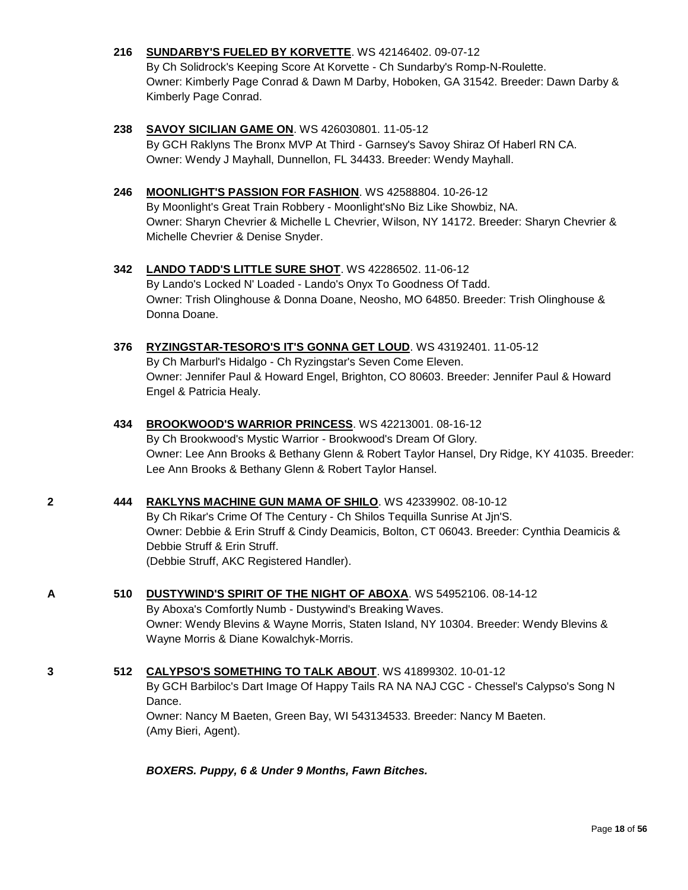#### **216 [SUNDARBY'S FUELED BY KORVETTE](http://www.infodog.com/files/bdogrsl1.prg;makc=WS%2042146402;mdog=Sundarby_s_Fueled_By_Korvette;wins=all)**. WS 42146402. 09-07-12

By Ch Solidrock's Keeping Score At Korvette - Ch Sundarby's Romp-N-Roulette. Owner: Kimberly Page Conrad & Dawn M Darby, Hoboken, GA 31542. Breeder: Dawn Darby & Kimberly Page Conrad.

#### **238 [SAVOY SICILIAN GAME ON](http://www.infodog.com/files/bdogrsl1.prg;makc=WS%20426030801;mdog=Savoy_Sicilian_Game_On;wins=all)**. WS 426030801. 11-05-12

By GCH Raklyns The Bronx MVP At Third - Garnsey's Savoy Shiraz Of Haberl RN CA. Owner: Wendy J Mayhall, Dunnellon, FL 34433. Breeder: Wendy Mayhall.

#### **246 [MOONLIGHT'S PASSION FOR FASHION](http://www.infodog.com/files/bdogrsl1.prg;makc=WS%2042588804;mdog=Moonlight_s_Passion_For_Fashion;wins=all)**. WS 42588804. 10-26-12

By Moonlight's Great Train Robbery - Moonlight'sNo Biz Like Showbiz, NA. Owner: Sharyn Chevrier & Michelle L Chevrier, Wilson, NY 14172. Breeder: Sharyn Chevrier & Michelle Chevrier & Denise Snyder.

#### **342 [LANDO TADD'S LITTLE SURE SHOT](http://www.infodog.com/files/bdogrsl1.prg;makc=WS%2042286502;mdog=Lando_Tadd_s_Little_Sure_Shot;wins=all)**. WS 42286502. 11-06-12

By Lando's Locked N' Loaded - Lando's Onyx To Goodness Of Tadd. Owner: Trish Olinghouse & Donna Doane, Neosho, MO 64850. Breeder: Trish Olinghouse & Donna Doane.

#### **376 [RYZINGSTAR-TESORO'S IT'S GONNA GET LOUD](http://www.infodog.com/files/bdogrsl1.prg;makc=WS%2043192401;mdog=Ryzingstar-Tesoro_s_It_s_Gonna_Get_Loud;wins=all)**. WS 43192401. 11-05-12

By Ch Marburl's Hidalgo - Ch Ryzingstar's Seven Come Eleven. Owner: Jennifer Paul & Howard Engel, Brighton, CO 80603. Breeder: Jennifer Paul & Howard Engel & Patricia Healy.

#### **434 [BROOKWOOD'S WARRIOR PRINCESS](http://www.infodog.com/files/bdogrsl1.prg;makc=WS%2042213001;mdog=Brookwood_s_Warrior_Princess;wins=all)**. WS 42213001. 08-16-12 By Ch Brookwood's Mystic Warrior - Brookwood's Dream Of Glory. Owner: Lee Ann Brooks & Bethany Glenn & Robert Taylor Hansel, Dry Ridge, KY 41035. Breeder: Lee Ann Brooks & Bethany Glenn & Robert Taylor Hansel.

#### **2 444 [RAKLYNS MACHINE GUN MAMA OF SHILO](http://www.infodog.com/files/bdogrsl1.prg;makc=WS%2042339902;mdog=Raklyns_Machine_Gun_Mama_Of_Shilo;wins=all)**. WS 42339902. 08-10-12

By Ch Rikar's Crime Of The Century - Ch Shilos Tequilla Sunrise At Jjn'S. Owner: Debbie & Erin Struff & Cindy Deamicis, Bolton, CT 06043. Breeder: Cynthia Deamicis & Debbie Struff & Erin Struff. (Debbie Struff, AKC Registered Handler).

#### **A 510 [DUSTYWIND'S SPIRIT OF THE NIGHT OF ABOXA](http://www.infodog.com/files/bdogrsl1.prg;makc=WS%2054952106;mdog=Dustywind_s_Spirit_Of_The_Night_Of_Aboxa;wins=all)**. WS 54952106. 08-14-12

By Aboxa's Comfortly Numb - Dustywind's Breaking Waves. Owner: Wendy Blevins & Wayne Morris, Staten Island, NY 10304. Breeder: Wendy Blevins & Wayne Morris & Diane Kowalchyk-Morris.

#### **3 512 [CALYPSO'S SOMETHING TO TALK ABOUT](http://www.infodog.com/files/bdogrsl1.prg;makc=WS%2041899302;mdog=Calypso_s_Something_To_Talk_About;wins=all)**. WS 41899302. 10-01-12

By GCH Barbiloc's Dart Image Of Happy Tails RA NA NAJ CGC - Chessel's Calypso's Song N Dance. Owner: Nancy M Baeten, Green Bay, WI 543134533. Breeder: Nancy M Baeten. (Amy Bieri, Agent).

*BOXERS. Puppy, 6 & Under 9 Months, Fawn Bitches.*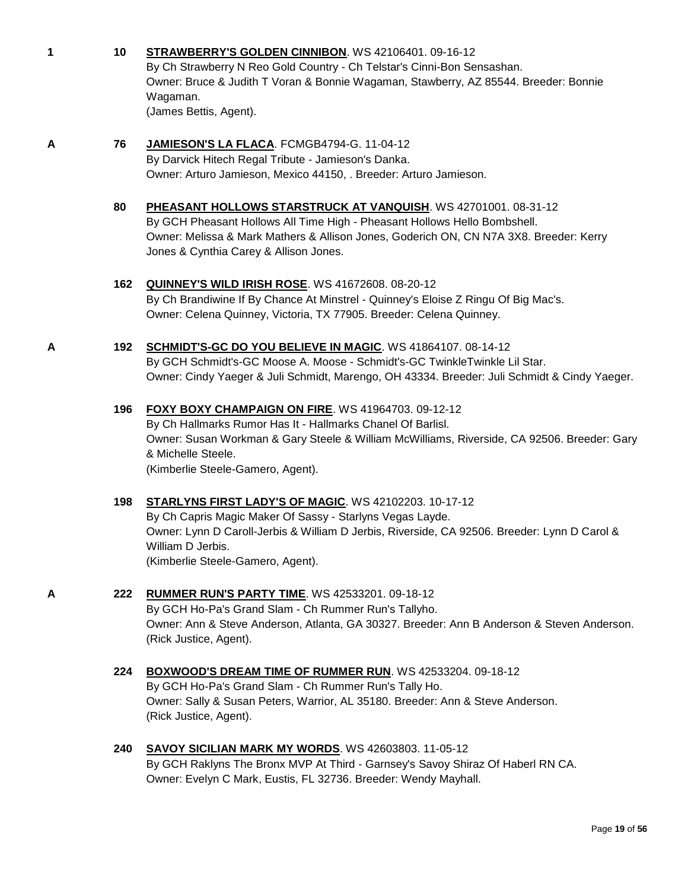|  |  | STRAWBERRY'S GOLDEN CINNIBON. WS 42106401. 09-16-12 |
|--|--|-----------------------------------------------------|
|--|--|-----------------------------------------------------|

By Ch Strawberry N Reo Gold Country - Ch Telstar's Cinni-Bon Sensashan. Owner: Bruce & Judith T Voran & Bonnie Wagaman, Stawberry, AZ 85544. Breeder: Bonnie Wagaman.

(James Bettis, Agent).

### **A 76 [JAMIESON'S LA FLACA](http://www.infodog.com/files/bdogrsl1.prg;makc=FCMGB4794-G;mdog=Jamieson_s_La_Flaca;wins=all)**. FCMGB4794-G. 11-04-12

By Darvick Hitech Regal Tribute - Jamieson's Danka. Owner: Arturo Jamieson, Mexico 44150, . Breeder: Arturo Jamieson.

#### **80 [PHEASANT HOLLOWS STARSTRUCK AT VANQUISH](http://www.infodog.com/files/bdogrsl1.prg;makc=WS%2042701001;mdog=Pheasant_Hollows_Starstruck_At_Vanquish;wins=all)**. WS 42701001. 08-31-12 By GCH Pheasant Hollows All Time High - Pheasant Hollows Hello Bombshell. Owner: Melissa & Mark Mathers & Allison Jones, Goderich ON, CN N7A 3X8. Breeder: Kerry Jones & Cynthia Carey & Allison Jones.

### **162 [QUINNEY'S WILD IRISH ROSE](http://www.infodog.com/files/bdogrsl1.prg;makc=WS%2041672608;mdog=Quinney_s_Wild_Irish_Rose;wins=all)**. WS 41672608. 08-20-12

By Ch Brandiwine If By Chance At Minstrel - Quinney's Eloise Z Ringu Of Big Mac's. Owner: Celena Quinney, Victoria, TX 77905. Breeder: Celena Quinney.

### **A 192 [SCHMIDT'S-GC DO YOU BELIEVE IN MAGIC](http://www.infodog.com/files/bdogrsl1.prg;makc=WS%2041864107;mdog=Schmidt_s-GC_Do_You_Believe_In_Magic;wins=all)**. WS 41864107. 08-14-12

By GCH Schmidt's-GC Moose A. Moose - Schmidt's-GC TwinkleTwinkle Lil Star. Owner: Cindy Yaeger & Juli Schmidt, Marengo, OH 43334. Breeder: Juli Schmidt & Cindy Yaeger.

### **196 [FOXY BOXY CHAMPAIGN ON FIRE](http://www.infodog.com/files/bdogrsl1.prg;makc=WS%2041964703;mdog=Foxy_Boxy_Champaign_On_Fire;wins=all)**. WS 41964703. 09-12-12

By Ch Hallmarks Rumor Has It - Hallmarks Chanel Of Barlisl. Owner: Susan Workman & Gary Steele & William McWilliams, Riverside, CA 92506. Breeder: Gary & Michelle Steele. (Kimberlie Steele-Gamero, Agent).

### **198 [STARLYNS FIRST LADY'S OF MAGIC](http://www.infodog.com/files/bdogrsl1.prg;makc=WS%2042102203;mdog=Starlyns_First_Lady_s_Of_Magic;wins=all)**. WS 42102203. 10-17-12

By Ch Capris Magic Maker Of Sassy - Starlyns Vegas Layde. Owner: Lynn D Caroll-Jerbis & William D Jerbis, Riverside, CA 92506. Breeder: Lynn D Carol & William D Jerbis. (Kimberlie Steele-Gamero, Agent).

# **A 222 [RUMMER RUN'S PARTY TIME](http://www.infodog.com/files/bdogrsl1.prg;makc=WS%2042533201;mdog=Rummer_Run_s_Party_Time;wins=all)**. WS 42533201. 09-18-12

By GCH Ho-Pa's Grand Slam - Ch Rummer Run's Tallyho. Owner: Ann & Steve Anderson, Atlanta, GA 30327. Breeder: Ann B Anderson & Steven Anderson. (Rick Justice, Agent).

#### **224 [BOXWOOD'S DREAM TIME OF RUMMER RUN](http://www.infodog.com/files/bdogrsl1.prg;makc=WS%2042533204;mdog=Boxwood_s_Dream_Time_Of_Rummer_Run;wins=all)**. WS 42533204. 09-18-12 By GCH Ho-Pa's Grand Slam - Ch Rummer Run's Tally Ho. Owner: Sally & Susan Peters, Warrior, AL 35180. Breeder: Ann & Steve Anderson. (Rick Justice, Agent).

#### **240 [SAVOY SICILIAN MARK MY WORDS](http://www.infodog.com/files/bdogrsl1.prg;makc=WS%2042603803;mdog=Savoy_Sicilian_Mark_My_Words;wins=all)**. WS 42603803. 11-05-12 By GCH Raklyns The Bronx MVP At Third - Garnsey's Savoy Shiraz Of Haberl RN CA. Owner: Evelyn C Mark, Eustis, FL 32736. Breeder: Wendy Mayhall.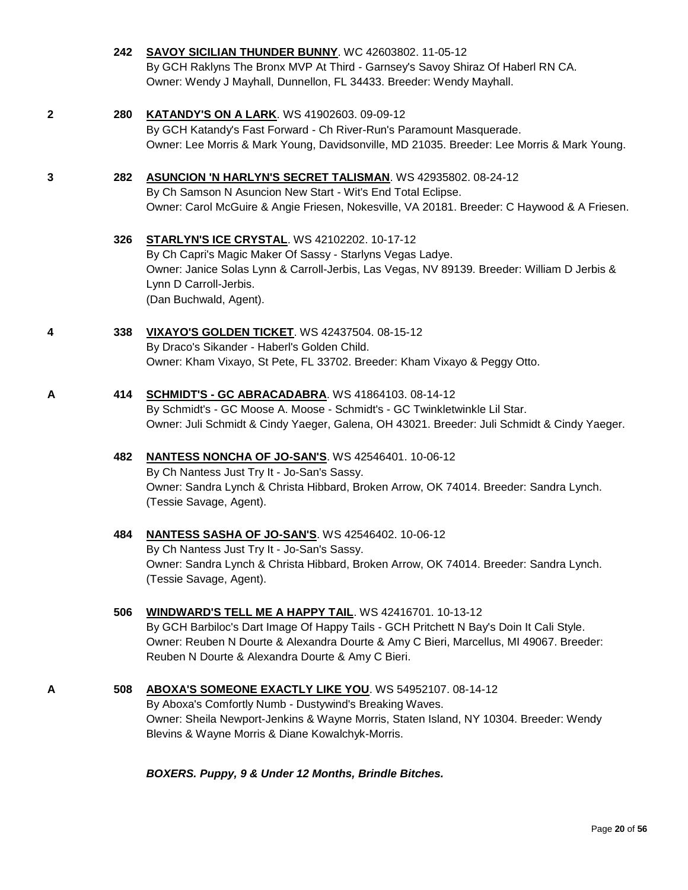|                     | By GCH Raklyns The Bronx MVP At Third - Garnsey's Savoy Shiraz Of Haberl RN CA.<br>Owner: Wendy J Mayhall, Dunnellon, FL 34433. Breeder: Wendy Mayhall.                                                                                                                                          |
|---------------------|--------------------------------------------------------------------------------------------------------------------------------------------------------------------------------------------------------------------------------------------------------------------------------------------------|
| 280<br>$\mathbf{2}$ | <b>KATANDY'S ON A LARK.</b> WS 41902603. 09-09-12<br>By GCH Katandy's Fast Forward - Ch River-Run's Paramount Masquerade.<br>Owner: Lee Morris & Mark Young, Davidsonville, MD 21035. Breeder: Lee Morris & Mark Young.                                                                          |
| 282<br>3            | <b>ASUNCION 'N HARLYN'S SECRET TALISMAN. WS 42935802. 08-24-12</b><br>By Ch Samson N Asuncion New Start - Wit's End Total Eclipse.<br>Owner: Carol McGuire & Angie Friesen, Nokesville, VA 20181. Breeder: C Haywood & A Friesen.                                                                |
| 326                 | <b>STARLYN'S ICE CRYSTAL. WS 42102202. 10-17-12</b><br>By Ch Capri's Magic Maker Of Sassy - Starlyns Vegas Ladye.<br>Owner: Janice Solas Lynn & Carroll-Jerbis, Las Vegas, NV 89139. Breeder: William D Jerbis &<br>Lynn D Carroll-Jerbis.<br>(Dan Buchwald, Agent).                             |
| 338<br>4            | VIXAYO'S GOLDEN TICKET. WS 42437504. 08-15-12<br>By Draco's Sikander - Haberl's Golden Child.<br>Owner: Kham Vixayo, St Pete, FL 33702. Breeder: Kham Vixayo & Peggy Otto.                                                                                                                       |
| 414<br>A            | SCHMIDT'S - GC ABRACADABRA. WS 41864103. 08-14-12<br>By Schmidt's - GC Moose A. Moose - Schmidt's - GC Twinkletwinkle Lil Star.<br>Owner: Juli Schmidt & Cindy Yaeger, Galena, OH 43021. Breeder: Juli Schmidt & Cindy Yaeger.                                                                   |
| 482                 | NANTESS NONCHA OF JO-SAN'S. WS 42546401. 10-06-12<br>By Ch Nantess Just Try It - Jo-San's Sassy.<br>Owner: Sandra Lynch & Christa Hibbard, Broken Arrow, OK 74014. Breeder: Sandra Lynch.<br>(Tessie Savage, Agent).                                                                             |
| 484                 | <b>NANTESS SASHA OF JO-SAN'S. WS 42546402. 10-06-12</b><br>By Ch Nantess Just Try It - Jo-San's Sassy.<br>Owner: Sandra Lynch & Christa Hibbard, Broken Arrow, OK 74014. Breeder: Sandra Lynch.<br>(Tessie Savage, Agent).                                                                       |
| 506                 | WINDWARD'S TELL ME A HAPPY TAIL. WS 42416701. 10-13-12<br>By GCH Barbiloc's Dart Image Of Happy Tails - GCH Pritchett N Bay's Doin It Cali Style.<br>Owner: Reuben N Dourte & Alexandra Dourte & Amy C Bieri, Marcellus, MI 49067. Breeder:<br>Reuben N Dourte & Alexandra Dourte & Amy C Bieri. |
| 508<br>A            | ABOXA'S SOMEONE EXACTLY LIKE YOU. WS 54952107. 08-14-12<br>By Aboxa's Comfortly Numb - Dustywind's Breaking Waves.<br>Owner: Sheila Newport-Jenkins & Wayne Morris, Staten Island, NY 10304. Breeder: Wendy<br>Blevins & Wayne Morris & Diane Kowalchyk-Morris.                                  |
|                     | BOXERS. Puppy, 9 & Under 12 Months, Brindle Bitches.                                                                                                                                                                                                                                             |
|                     | $P$ ane 20 c                                                                                                                                                                                                                                                                                     |

**242 [SAVOY SICILIAN THUNDER BUNNY](http://www.infodog.com/files/bdogrsl1.prg;makc=WC%2042603802;mdog=Savoy_Sicilian_Thunder_Bunny;wins=all)**. WC 42603802. 11-05-12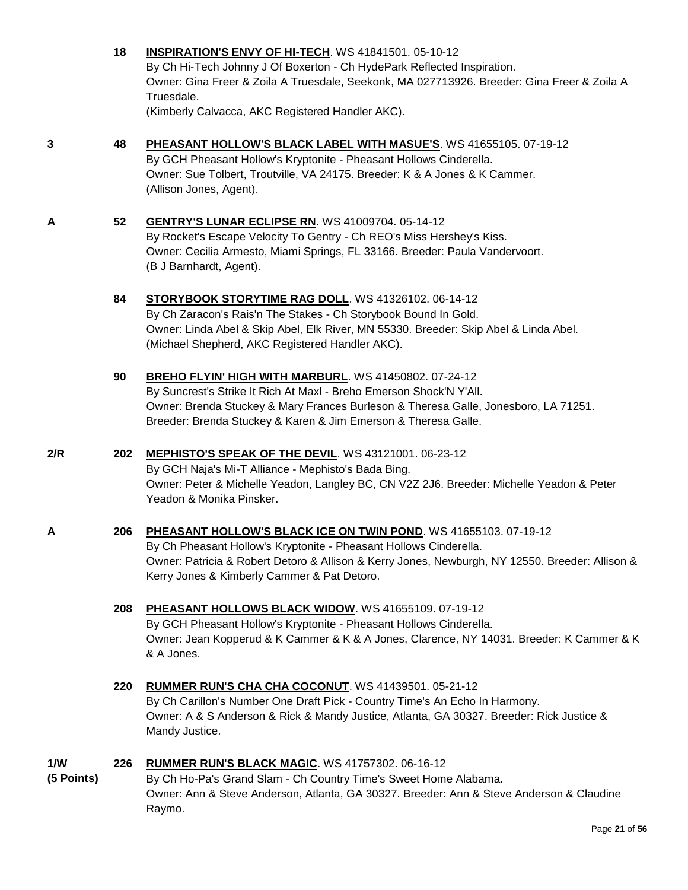|                   | 18  | <b>INSPIRATION'S ENVY OF HI-TECH.</b> WS 41841501. 05-10-12<br>By Ch Hi-Tech Johnny J Of Boxerton - Ch HydePark Reflected Inspiration.<br>Owner: Gina Freer & Zoila A Truesdale, Seekonk, MA 027713926. Breeder: Gina Freer & Zoila A<br>Truesdale.<br>(Kimberly Calvacca, AKC Registered Handler AKC). |
|-------------------|-----|---------------------------------------------------------------------------------------------------------------------------------------------------------------------------------------------------------------------------------------------------------------------------------------------------------|
| 3                 | 48  | PHEASANT HOLLOW'S BLACK LABEL WITH MASUE'S. WS 41655105. 07-19-12<br>By GCH Pheasant Hollow's Kryptonite - Pheasant Hollows Cinderella.<br>Owner: Sue Tolbert, Troutville, VA 24175. Breeder: K & A Jones & K Cammer.<br>(Allison Jones, Agent).                                                        |
| A                 | 52  | <b>GENTRY'S LUNAR ECLIPSE RN. WS 41009704. 05-14-12</b><br>By Rocket's Escape Velocity To Gentry - Ch REO's Miss Hershey's Kiss.<br>Owner: Cecilia Armesto, Miami Springs, FL 33166. Breeder: Paula Vandervoort.<br>(B J Barnhardt, Agent).                                                             |
|                   | 84  | STORYBOOK STORYTIME RAG DOLL. WS 41326102. 06-14-12<br>By Ch Zaracon's Rais'n The Stakes - Ch Storybook Bound In Gold.<br>Owner: Linda Abel & Skip Abel, Elk River, MN 55330. Breeder: Skip Abel & Linda Abel.<br>(Michael Shepherd, AKC Registered Handler AKC).                                       |
|                   | 90  | BREHO FLYIN' HIGH WITH MARBURL. WS 41450802. 07-24-12<br>By Suncrest's Strike It Rich At Maxl - Breho Emerson Shock'N Y'All.<br>Owner: Brenda Stuckey & Mary Frances Burleson & Theresa Galle, Jonesboro, LA 71251.<br>Breeder: Brenda Stuckey & Karen & Jim Emerson & Theresa Galle.                   |
| 2/R               | 202 | MEPHISTO'S SPEAK OF THE DEVIL. WS 43121001. 06-23-12<br>By GCH Naja's Mi-T Alliance - Mephisto's Bada Bing.<br>Owner: Peter & Michelle Yeadon, Langley BC, CN V2Z 2J6. Breeder: Michelle Yeadon & Peter<br>Yeadon & Monika Pinsker.                                                                     |
| A                 | 206 | PHEASANT HOLLOW'S BLACK ICE ON TWIN POND. WS 41655103. 07-19-12<br>By Ch Pheasant Hollow's Kryptonite - Pheasant Hollows Cinderella.<br>Owner: Patricia & Robert Detoro & Allison & Kerry Jones, Newburgh, NY 12550. Breeder: Allison &<br>Kerry Jones & Kimberly Cammer & Pat Detoro.                  |
|                   | 208 | PHEASANT HOLLOWS BLACK WIDOW. WS 41655109. 07-19-12<br>By GCH Pheasant Hollow's Kryptonite - Pheasant Hollows Cinderella.<br>Owner: Jean Kopperud & K Cammer & K & A Jones, Clarence, NY 14031. Breeder: K Cammer & K<br>& A Jones.                                                                     |
|                   | 220 | <b>RUMMER RUN'S CHA CHA COCONUT. WS 41439501. 05-21-12</b><br>By Ch Carillon's Number One Draft Pick - Country Time's An Echo In Harmony.<br>Owner: A & S Anderson & Rick & Mandy Justice, Atlanta, GA 30327. Breeder: Rick Justice &<br>Mandy Justice.                                                 |
| 1/W<br>(5 Points) | 226 | RUMMER RUN'S BLACK MAGIC. WS 41757302. 06-16-12<br>By Ch Ho-Pa's Grand Slam - Ch Country Time's Sweet Home Alabama.<br>Owner: Ann & Steve Anderson, Atlanta, GA 30327. Breeder: Ann & Steve Anderson & Claudine                                                                                         |

Raymo.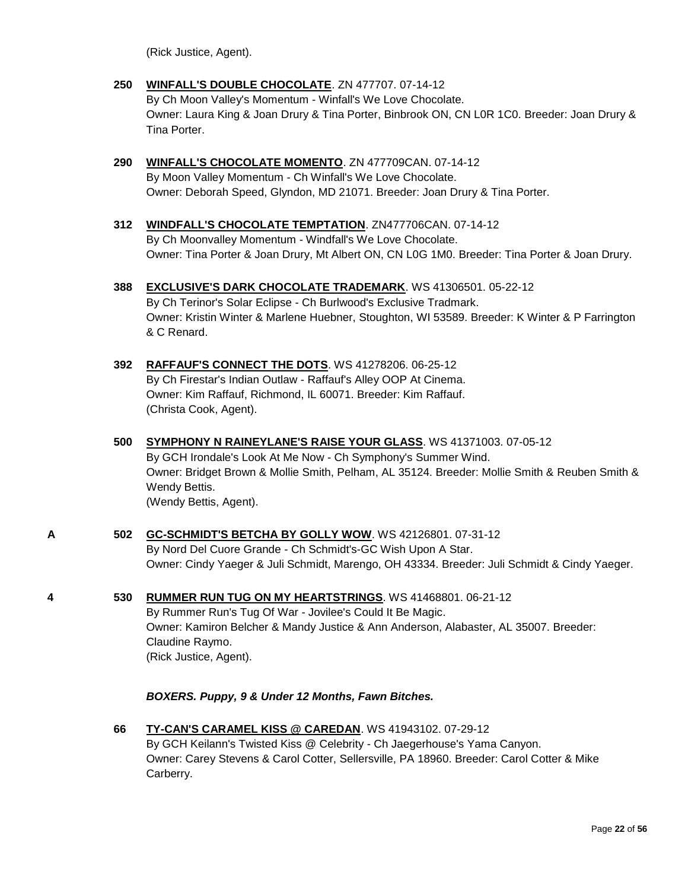(Rick Justice, Agent).

- **250 [WINFALL'S DOUBLE CHOCOLATE](http://www.infodog.com/files/bdogrsl1.prg;makc=ZN%20477707;mdog=Winfall_s_Double_Chocolate;wins=all)**. ZN 477707. 07-14-12 By Ch Moon Valley's Momentum - Winfall's We Love Chocolate. Owner: Laura King & Joan Drury & Tina Porter, Binbrook ON, CN L0R 1C0. Breeder: Joan Drury & Tina Porter.
- **290 [WINFALL'S CHOCOLATE MOMENTO](http://www.infodog.com/files/bdogrsl1.prg;makc=ZN%20477709CAN;mdog=Winfall_s_Chocolate_Momento;wins=all)**. ZN 477709CAN. 07-14-12 By Moon Valley Momentum - Ch Winfall's We Love Chocolate. Owner: Deborah Speed, Glyndon, MD 21071. Breeder: Joan Drury & Tina Porter.
- **312 [WINDFALL'S CHOCOLATE TEMPTATION](http://www.infodog.com/files/bdogrsl1.prg;makc=ZN477706CAN;mdog=Windfall_s_Chocolate_Temptation;wins=all)**. ZN477706CAN. 07-14-12 By Ch Moonvalley Momentum - Windfall's We Love Chocolate. Owner: Tina Porter & Joan Drury, Mt Albert ON, CN L0G 1M0. Breeder: Tina Porter & Joan Drury.
- **388 [EXCLUSIVE'S DARK CHOCOLATE TRADEMARK](http://www.infodog.com/files/bdogrsl1.prg;makc=WS%2041306501;mdog=Exclusive_s_Dark_Chocolate_Trademark;wins=all)**. WS 41306501. 05-22-12 By Ch Terinor's Solar Eclipse - Ch Burlwood's Exclusive Tradmark. Owner: Kristin Winter & Marlene Huebner, Stoughton, WI 53589. Breeder: K Winter & P Farrington & C Renard.
- **392 [RAFFAUF'S CONNECT THE DOTS](http://www.infodog.com/files/bdogrsl1.prg;makc=WS%2041278206;mdog=Raffauf_s_Connect_The_Dots;wins=all)**. WS 41278206. 06-25-12 By Ch Firestar's Indian Outlaw - Raffauf's Alley OOP At Cinema. Owner: Kim Raffauf, Richmond, IL 60071. Breeder: Kim Raffauf. (Christa Cook, Agent).
- **500 [SYMPHONY N RAINEYLANE'S RAISE YOUR GLASS](http://www.infodog.com/files/bdogrsl1.prg;makc=WS%2041371003;mdog=Symphony_N_Raineylane_s_Raise_Your_Glass;wins=all)**. WS 41371003. 07-05-12 By GCH Irondale's Look At Me Now - Ch Symphony's Summer Wind. Owner: Bridget Brown & Mollie Smith, Pelham, AL 35124. Breeder: Mollie Smith & Reuben Smith & Wendy Bettis. (Wendy Bettis, Agent).
- **A 502 [GC-SCHMIDT'S BETCHA BY GOLLY WOW](http://www.infodog.com/files/bdogrsl1.prg;makc=WS%2042126801;mdog=GC-Schmidt_s_Betcha_By_Golly_Wow;wins=all)**. WS 42126801. 07-31-12 By Nord Del Cuore Grande - Ch Schmidt's-GC Wish Upon A Star. Owner: Cindy Yaeger & Juli Schmidt, Marengo, OH 43334. Breeder: Juli Schmidt & Cindy Yaeger.
- **4 530 [RUMMER RUN TUG ON MY HEARTSTRINGS](http://www.infodog.com/files/bdogrsl1.prg;makc=WS%2041468801;mdog=Rummer_Run_Tug_On_My_Heartstrings;wins=all)**. WS 41468801. 06-21-12 By Rummer Run's Tug Of War - Jovilee's Could It Be Magic. Owner: Kamiron Belcher & Mandy Justice & Ann Anderson, Alabaster, AL 35007. Breeder: Claudine Raymo. (Rick Justice, Agent).

*BOXERS. Puppy, 9 & Under 12 Months, Fawn Bitches.*

**66 [TY-CAN'S CARAMEL KISS @ CAREDAN](http://www.infodog.com/files/bdogrsl1.prg;makc=WS%2041943102;mdog=TY-CAN_s_Caramel_Kiss_@_Caredan;wins=all)**. WS 41943102. 07-29-12 By GCH Keilann's Twisted Kiss @ Celebrity - Ch Jaegerhouse's Yama Canyon. Owner: Carey Stevens & Carol Cotter, Sellersville, PA 18960. Breeder: Carol Cotter & Mike Carberry.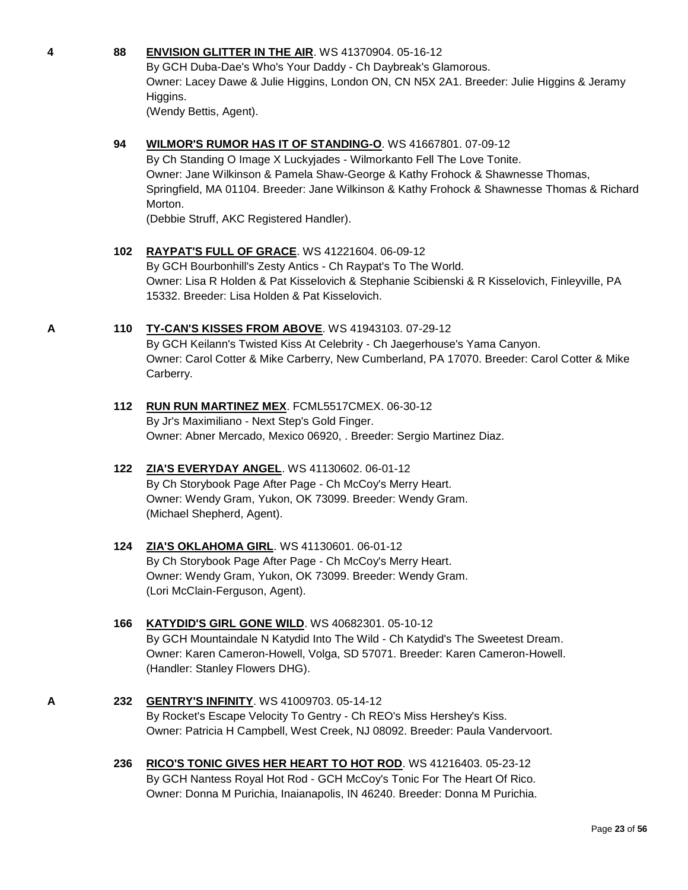#### **4 88 [ENVISION GLITTER IN THE AIR](http://www.infodog.com/files/bdogrsl1.prg;makc=WS%2041370904;mdog=Envision_Glitter_In_The_Air;wins=all)**. WS 41370904. 05-16-12

By GCH Duba-Dae's Who's Your Daddy - Ch Daybreak's Glamorous. Owner: Lacey Dawe & Julie Higgins, London ON, CN N5X 2A1. Breeder: Julie Higgins & Jeramy Higgins.

(Wendy Bettis, Agent).

#### **94 [WILMOR'S RUMOR HAS IT OF STANDING-O](http://www.infodog.com/files/bdogrsl1.prg;makc=WS%2041667801;mdog=Wilmor_s_Rumor_Has_It_Of_Standing-O;wins=all)**. WS 41667801. 07-09-12

By Ch Standing O Image X Luckyjades - Wilmorkanto Fell The Love Tonite. Owner: Jane Wilkinson & Pamela Shaw-George & Kathy Frohock & Shawnesse Thomas, Springfield, MA 01104. Breeder: Jane Wilkinson & Kathy Frohock & Shawnesse Thomas & Richard Morton.

(Debbie Struff, AKC Registered Handler).

#### **102 [RAYPAT'S FULL OF GRACE](http://www.infodog.com/files/bdogrsl1.prg;makc=WS%2041221604;mdog=Raypat_s_Full_Of_Grace;wins=all)**. WS 41221604. 06-09-12

By GCH Bourbonhill's Zesty Antics - Ch Raypat's To The World. Owner: Lisa R Holden & Pat Kisselovich & Stephanie Scibienski & R Kisselovich, Finleyville, PA 15332. Breeder: Lisa Holden & Pat Kisselovich.

#### **A 110 [TY-CAN'S KISSES FROM ABOVE](http://www.infodog.com/files/bdogrsl1.prg;makc=WS%2041943103;mdog=TY-CAN_s_Kisses_From_Above;wins=all)**. WS 41943103. 07-29-12

By GCH Keilann's Twisted Kiss At Celebrity - Ch Jaegerhouse's Yama Canyon. Owner: Carol Cotter & Mike Carberry, New Cumberland, PA 17070. Breeder: Carol Cotter & Mike Carberry.

#### **112 [RUN RUN MARTINEZ MEX](http://www.infodog.com/files/bdogrsl1.prg;makc=FCML5517CMEX;mdog=Run_Run_Martinez_Mex;wins=all)**. FCML5517CMEX. 06-30-12 By Jr's Maximiliano - Next Step's Gold Finger. Owner: Abner Mercado, Mexico 06920, . Breeder: Sergio Martinez Diaz.

## **122 [ZIA'S EVERYDAY ANGEL](http://www.infodog.com/files/bdogrsl1.prg;makc=WS%2041130602;mdog=Zia_s_Everyday_Angel;wins=all)**. WS 41130602. 06-01-12

By Ch Storybook Page After Page - Ch McCoy's Merry Heart. Owner: Wendy Gram, Yukon, OK 73099. Breeder: Wendy Gram. (Michael Shepherd, Agent).

#### **124 [ZIA'S OKLAHOMA GIRL](http://www.infodog.com/files/bdogrsl1.prg;makc=WS%2041130601;mdog=Zia_s_Oklahoma_Girl;wins=all)**. WS 41130601. 06-01-12 By Ch Storybook Page After Page - Ch McCoy's Merry Heart. Owner: Wendy Gram, Yukon, OK 73099. Breeder: Wendy Gram. (Lori McClain-Ferguson, Agent).

#### **166 [KATYDID'S GIRL GONE WILD](http://www.infodog.com/files/bdogrsl1.prg;makc=WS%2040682301;mdog=Katydid_s_Girl_Gone_Wild;wins=all)**. WS 40682301. 05-10-12 By GCH Mountaindale N Katydid Into The Wild - Ch Katydid's The Sweetest Dream. Owner: Karen Cameron-Howell, Volga, SD 57071. Breeder: Karen Cameron-Howell. (Handler: Stanley Flowers DHG).

#### **A 232 [GENTRY'S INFINITY](http://www.infodog.com/files/bdogrsl1.prg;makc=WS%2041009703;mdog=Gentry_s_Infinity;wins=all)**. WS 41009703. 05-14-12 By Rocket's Escape Velocity To Gentry - Ch REO's Miss Hershey's Kiss. Owner: Patricia H Campbell, West Creek, NJ 08092. Breeder: Paula Vandervoort.

**236 [RICO'S TONIC GIVES HER HEART TO HOT ROD](http://www.infodog.com/files/bdogrsl1.prg;makc=WS%2041216403;mdog=Rico_s_Tonic_Gives_Her_Heart_To_Hot_Rod;wins=all)**. WS 41216403. 05-23-12 By GCH Nantess Royal Hot Rod - GCH McCoy's Tonic For The Heart Of Rico. Owner: Donna M Purichia, Inaianapolis, IN 46240. Breeder: Donna M Purichia.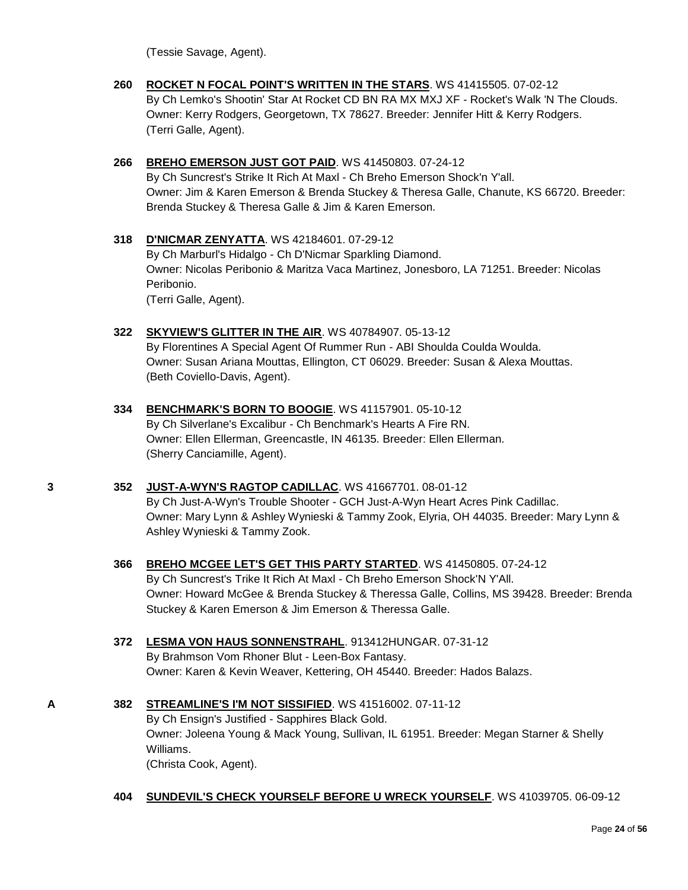(Tessie Savage, Agent).

- **260 [ROCKET N FOCAL POINT'S WRITTEN IN THE STARS](http://www.infodog.com/files/bdogrsl1.prg;makc=WS%2041415505;mdog=Rocket_N_Focal_Point_s_Written_In_The_Stars;wins=all)**. WS 41415505. 07-02-12 By Ch Lemko's Shootin' Star At Rocket CD BN RA MX MXJ XF - Rocket's Walk 'N The Clouds. Owner: Kerry Rodgers, Georgetown, TX 78627. Breeder: Jennifer Hitt & Kerry Rodgers. (Terri Galle, Agent).
- **266 [BREHO EMERSON JUST GOT PAID](http://www.infodog.com/files/bdogrsl1.prg;makc=WS%2041450803;mdog=Breho_Emerson_Just_Got_Paid;wins=all)**. WS 41450803. 07-24-12 By Ch Suncrest's Strike It Rich At Maxl - Ch Breho Emerson Shock'n Y'all. Owner: Jim & Karen Emerson & Brenda Stuckey & Theresa Galle, Chanute, KS 66720. Breeder: Brenda Stuckey & Theresa Galle & Jim & Karen Emerson.
- **318 [D'NICMAR ZENYATTA](http://www.infodog.com/files/bdogrsl1.prg;makc=WS%2042184601;mdog=D_Nicmar_Zenyatta;wins=all)**. WS 42184601. 07-29-12 By Ch Marburl's Hidalgo - Ch D'Nicmar Sparkling Diamond. Owner: Nicolas Peribonio & Maritza Vaca Martinez, Jonesboro, LA 71251. Breeder: Nicolas Peribonio. (Terri Galle, Agent).
- **322 [SKYVIEW'S GLITTER IN THE AIR](http://www.infodog.com/files/bdogrsl1.prg;makc=WS%2040784907;mdog=Skyview_s_Glitter_In_The_Air;wins=all)**. WS 40784907. 05-13-12 By Florentines A Special Agent Of Rummer Run - ABI Shoulda Coulda Woulda. Owner: Susan Ariana Mouttas, Ellington, CT 06029. Breeder: Susan & Alexa Mouttas. (Beth Coviello-Davis, Agent).
- **334 [BENCHMARK'S BORN TO BOOGIE](http://www.infodog.com/files/bdogrsl1.prg;makc=WS%2041157901;mdog=Benchmark_s_Born_To_Boogie;wins=all)**. WS 41157901. 05-10-12 By Ch Silverlane's Excalibur - Ch Benchmark's Hearts A Fire RN. Owner: Ellen Ellerman, Greencastle, IN 46135. Breeder: Ellen Ellerman. (Sherry Canciamille, Agent).

#### **3 352 [JUST-A-WYN'S RAGTOP CADILLAC](http://www.infodog.com/files/bdogrsl1.prg;makc=WS%2041667701;mdog=Just-A-Wyn_s_Ragtop_Cadillac;wins=all)**. WS 41667701. 08-01-12

By Ch Just-A-Wyn's Trouble Shooter - GCH Just-A-Wyn Heart Acres Pink Cadillac. Owner: Mary Lynn & Ashley Wynieski & Tammy Zook, Elyria, OH 44035. Breeder: Mary Lynn & Ashley Wynieski & Tammy Zook.

- **366 [BREHO MCGEE LET'S GET THIS PARTY STARTED](http://www.infodog.com/files/bdogrsl1.prg;makc=WS%2041450805;mdog=Breho_McGee_Let_s_Get_This_Party_Started;wins=all)**. WS 41450805. 07-24-12 By Ch Suncrest's Trike It Rich At Maxl - Ch Breho Emerson Shock'N Y'All. Owner: Howard McGee & Brenda Stuckey & Theressa Galle, Collins, MS 39428. Breeder: Brenda Stuckey & Karen Emerson & Jim Emerson & Theressa Galle.
- **372 [LESMA VON HAUS SONNENSTRAHL](http://www.infodog.com/files/bdogrsl1.prg;makc=913412HUNGAR;mdog=Lesma_Von_Haus_Sonnenstrahl;wins=all)**. 913412HUNGAR. 07-31-12 By Brahmson Vom Rhoner Blut - Leen-Box Fantasy.

Owner: Karen & Kevin Weaver, Kettering, OH 45440. Breeder: Hados Balazs.

**A 382 [STREAMLINE'S I'M NOT SISSIFIED](http://www.infodog.com/files/bdogrsl1.prg;makc=WS%2041516002;mdog=Streamline_s_I_m_Not_Sissified;wins=all)**. WS 41516002. 07-11-12

By Ch Ensign's Justified - Sapphires Black Gold. Owner: Joleena Young & Mack Young, Sullivan, IL 61951. Breeder: Megan Starner & Shelly Williams.

(Christa Cook, Agent).

#### **404 [SUNDEVIL'S CHECK YOURSELF BEFORE U WRECK YOURSELF](http://www.infodog.com/files/bdogrsl1.prg;makc=WS%2041039705;mdog=Sundevil_s_Check_Yourself_Before_U_Wreck_Yourself;wins=all)**. WS 41039705. 06-09-12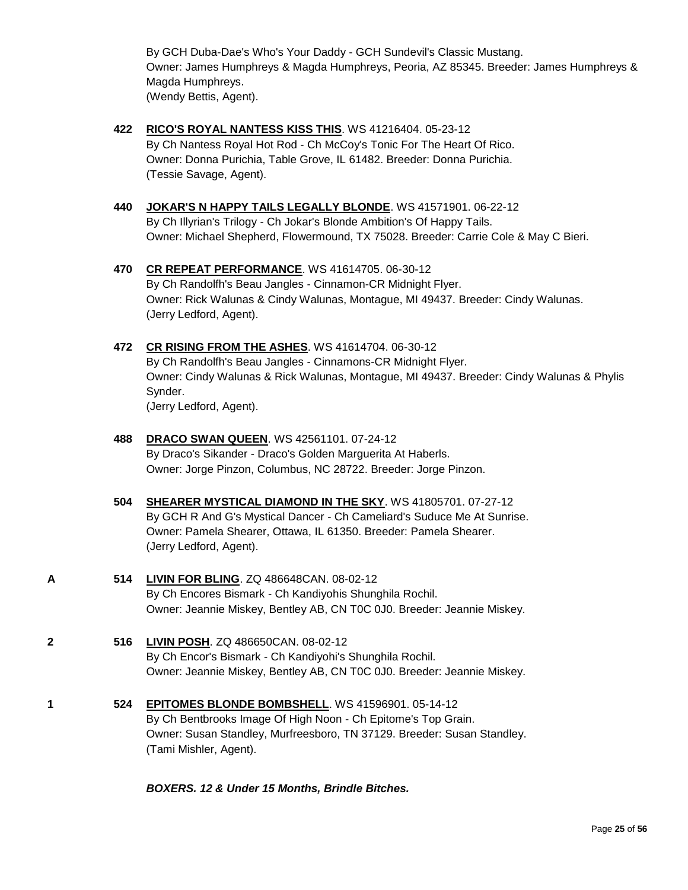By GCH Duba-Dae's Who's Your Daddy - GCH Sundevil's Classic Mustang. Owner: James Humphreys & Magda Humphreys, Peoria, AZ 85345. Breeder: James Humphreys & Magda Humphreys. (Wendy Bettis, Agent).

- **422 [RICO'S ROYAL NANTESS KISS THIS](http://www.infodog.com/files/bdogrsl1.prg;makc=WS%2041216404;mdog=Rico_s_Royal_Nantess_Kiss_This;wins=all)**. WS 41216404. 05-23-12 By Ch Nantess Royal Hot Rod - Ch McCoy's Tonic For The Heart Of Rico. Owner: Donna Purichia, Table Grove, IL 61482. Breeder: Donna Purichia. (Tessie Savage, Agent).
- **440 [JOKAR'S N HAPPY TAILS LEGALLY BLONDE](http://www.infodog.com/files/bdogrsl1.prg;makc=WS%2041571901;mdog=Jokar_s_N_Happy_Tails_Legally_Blonde;wins=all)**. WS 41571901. 06-22-12 By Ch Illyrian's Trilogy - Ch Jokar's Blonde Ambition's Of Happy Tails. Owner: Michael Shepherd, Flowermound, TX 75028. Breeder: Carrie Cole & May C Bieri.
- **470 [CR REPEAT PERFORMANCE](http://www.infodog.com/files/bdogrsl1.prg;makc=WS%2041614705;mdog=CR_Repeat_Performance;wins=all)**. WS 41614705. 06-30-12 By Ch Randolfh's Beau Jangles - Cinnamon-CR Midnight Flyer. Owner: Rick Walunas & Cindy Walunas, Montague, MI 49437. Breeder: Cindy Walunas. (Jerry Ledford, Agent).
- **472 [CR RISING FROM THE ASHES](http://www.infodog.com/files/bdogrsl1.prg;makc=WS%2041614704;mdog=CR_Rising_From_The_Ashes;wins=all)**. WS 41614704. 06-30-12 By Ch Randolfh's Beau Jangles - Cinnamons-CR Midnight Flyer. Owner: Cindy Walunas & Rick Walunas, Montague, MI 49437. Breeder: Cindy Walunas & Phylis Synder. (Jerry Ledford, Agent).

#### **488 [DRACO SWAN QUEEN](http://www.infodog.com/files/bdogrsl1.prg;makc=WS%2042561101;mdog=DRACO_Swan_Queen;wins=all)**. WS 42561101. 07-24-12 By Draco's Sikander - Draco's Golden Marguerita At Haberls. Owner: Jorge Pinzon, Columbus, NC 28722. Breeder: Jorge Pinzon.

- **504 [SHEARER MYSTICAL DIAMOND IN THE SKY](http://www.infodog.com/files/bdogrsl1.prg;makc=WS%2041805701;mdog=Shearer_Mystical_Diamond_In_The_Sky;wins=all)**. WS 41805701. 07-27-12 By GCH R And G's Mystical Dancer - Ch Cameliard's Suduce Me At Sunrise. Owner: Pamela Shearer, Ottawa, IL 61350. Breeder: Pamela Shearer. (Jerry Ledford, Agent).
- 

**A 514 [LIVIN FOR BLING](http://www.infodog.com/files/bdogrsl1.prg;makc=ZQ%20486648CAN;mdog=Livin_For_Bling;wins=all)**. ZQ 486648CAN. 08-02-12 By Ch Encores Bismark - Ch Kandiyohis Shunghila Rochil. Owner: Jeannie Miskey, Bentley AB, CN T0C 0J0. Breeder: Jeannie Miskey.

- **2 516 [LIVIN POSH](http://www.infodog.com/files/bdogrsl1.prg;makc=ZQ%20486650CAN;mdog=Livin_Posh;wins=all)**. ZQ 486650CAN. 08-02-12 By Ch Encor's Bismark - Ch Kandiyohi's Shunghila Rochil. Owner: Jeannie Miskey, Bentley AB, CN T0C 0J0. Breeder: Jeannie Miskey.
- **1 524 [EPITOMES BLONDE BOMBSHELL](http://www.infodog.com/files/bdogrsl1.prg;makc=WS%2041596901;mdog=Epitomes_Blonde_Bombshell;wins=all)**. WS 41596901. 05-14-12 By Ch Bentbrooks Image Of High Noon - Ch Epitome's Top Grain. Owner: Susan Standley, Murfreesboro, TN 37129. Breeder: Susan Standley. (Tami Mishler, Agent).

*BOXERS. 12 & Under 15 Months, Brindle Bitches.*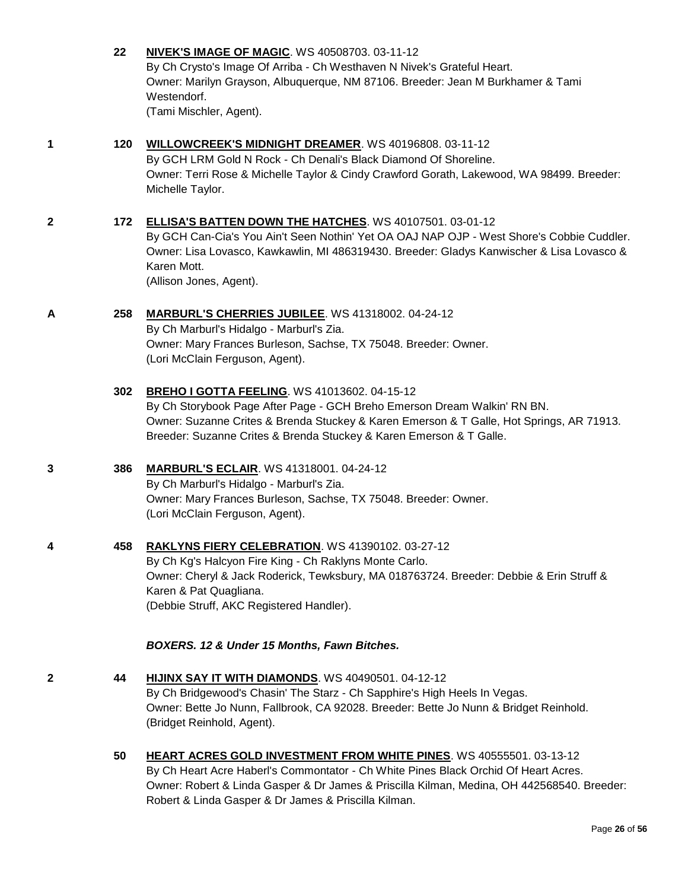|   | 22  | <b>NIVEK'S IMAGE OF MAGIC. WS 40508703. 03-11-12</b><br>By Ch Crysto's Image Of Arriba - Ch Westhaven N Nivek's Grateful Heart.<br>Owner: Marilyn Grayson, Albuquerque, NM 87106. Breeder: Jean M Burkhamer & Tami<br>Westendorf.<br>(Tami Mischler, Agent).                                                     |
|---|-----|------------------------------------------------------------------------------------------------------------------------------------------------------------------------------------------------------------------------------------------------------------------------------------------------------------------|
| 1 | 120 | WILLOWCREEK'S MIDNIGHT DREAMER. WS 40196808. 03-11-12<br>By GCH LRM Gold N Rock - Ch Denali's Black Diamond Of Shoreline.<br>Owner: Terri Rose & Michelle Taylor & Cindy Crawford Gorath, Lakewood, WA 98499. Breeder:<br>Michelle Taylor.                                                                       |
| 2 | 172 | <b>ELLISA'S BATTEN DOWN THE HATCHES. WS 40107501. 03-01-12</b><br>By GCH Can-Cia's You Ain't Seen Nothin' Yet OA OAJ NAP OJP - West Shore's Cobbie Cuddler.<br>Owner: Lisa Lovasco, Kawkawlin, MI 486319430. Breeder: Gladys Kanwischer & Lisa Lovasco &<br>Karen Mott.<br>(Allison Jones, Agent).               |
| A | 258 | MARBURL'S CHERRIES JUBILEE. WS 41318002. 04-24-12<br>By Ch Marburl's Hidalgo - Marburl's Zia.<br>Owner: Mary Frances Burleson, Sachse, TX 75048. Breeder: Owner.<br>(Lori McClain Ferguson, Agent).                                                                                                              |
|   | 302 | <b>BREHO I GOTTA FEELING. WS 41013602. 04-15-12</b><br>By Ch Storybook Page After Page - GCH Breho Emerson Dream Walkin' RN BN.<br>Owner: Suzanne Crites & Brenda Stuckey & Karen Emerson & T Galle, Hot Springs, AR 71913.<br>Breeder: Suzanne Crites & Brenda Stuckey & Karen Emerson & T Galle.               |
| 3 | 386 | <b>MARBURL'S ECLAIR.</b> WS 41318001. 04-24-12<br>By Ch Marburl's Hidalgo - Marburl's Zia.<br>Owner: Mary Frances Burleson, Sachse, TX 75048. Breeder: Owner.<br>(Lori McClain Ferguson, Agent).                                                                                                                 |
| 4 | 458 | <b>RAKLYNS FIERY CELEBRATION. WS 41390102. 03-27-12</b><br>By Ch Kg's Halcyon Fire King - Ch Raklyns Monte Carlo.<br>Owner: Cheryl & Jack Roderick, Tewksbury, MA 018763724. Breeder: Debbie & Erin Struff &<br>Karen & Pat Quagliana.<br>(Debbie Struff, AKC Registered Handler).                               |
|   |     | BOXERS. 12 & Under 15 Months, Fawn Bitches.                                                                                                                                                                                                                                                                      |
| 2 | 44  | HIJINX SAY IT WITH DIAMONDS. WS 40490501. 04-12-12<br>By Ch Bridgewood's Chasin' The Starz - Ch Sapphire's High Heels In Vegas.<br>Owner: Bette Jo Nunn, Fallbrook, CA 92028. Breeder: Bette Jo Nunn & Bridget Reinhold.<br>(Bridget Reinhold, Agent).                                                           |
|   | 50  | HEART ACRES GOLD INVESTMENT FROM WHITE PINES. WS 40555501. 03-13-12<br>By Ch Heart Acre Haberl's Commontator - Ch White Pines Black Orchid Of Heart Acres.<br>Owner: Robert & Linda Gasper & Dr James & Priscilla Kilman, Medina, OH 442568540. Breeder:<br>Robert & Linda Gasper & Dr James & Priscilla Kilman. |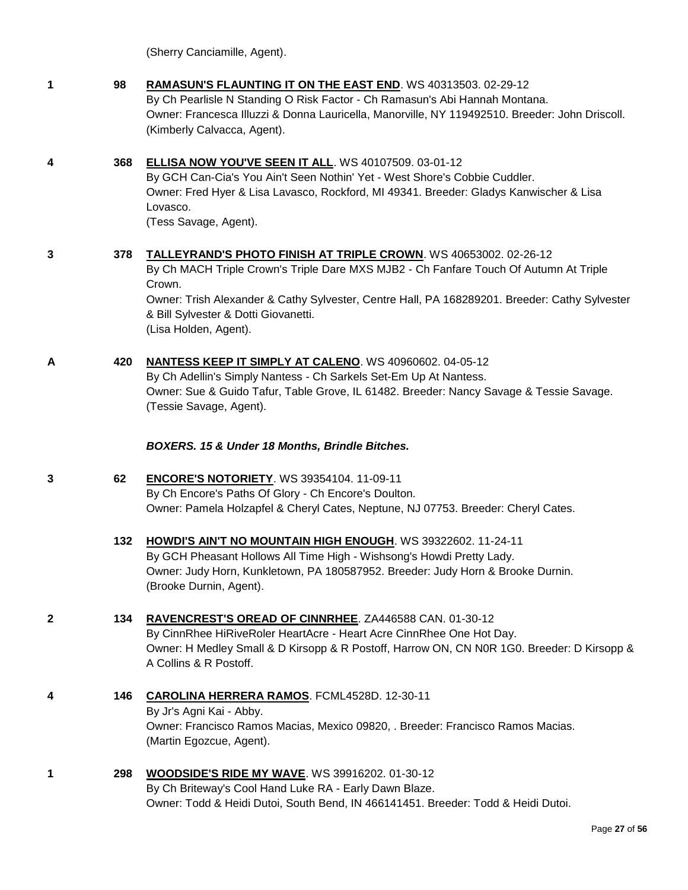(Sherry Canciamille, Agent).

| 1            | 98  | RAMASUN'S FLAUNTING IT ON THE EAST END. WS 40313503. 02-29-12<br>By Ch Pearlisle N Standing O Risk Factor - Ch Ramasun's Abi Hannah Montana.<br>Owner: Francesca Illuzzi & Donna Lauricella, Manorville, NY 119492510. Breeder: John Driscoll.<br>(Kimberly Calvacca, Agent).                                                         |
|--------------|-----|---------------------------------------------------------------------------------------------------------------------------------------------------------------------------------------------------------------------------------------------------------------------------------------------------------------------------------------|
| 4            | 368 | ELLISA NOW YOU'VE SEEN IT ALL. WS 40107509. 03-01-12<br>By GCH Can-Cia's You Ain't Seen Nothin' Yet - West Shore's Cobbie Cuddler.<br>Owner: Fred Hyer & Lisa Lavasco, Rockford, MI 49341. Breeder: Gladys Kanwischer & Lisa<br>Lovasco.<br>(Tess Savage, Agent).                                                                     |
| 3            | 378 | TALLEYRAND'S PHOTO FINISH AT TRIPLE CROWN. WS 40653002. 02-26-12<br>By Ch MACH Triple Crown's Triple Dare MXS MJB2 - Ch Fanfare Touch Of Autumn At Triple<br>Crown.<br>Owner: Trish Alexander & Cathy Sylvester, Centre Hall, PA 168289201. Breeder: Cathy Sylvester<br>& Bill Sylvester & Dotti Giovanetti.<br>(Lisa Holden, Agent). |
| A            | 420 | NANTESS KEEP IT SIMPLY AT CALENO. WS 40960602. 04-05-12<br>By Ch Adellin's Simply Nantess - Ch Sarkels Set-Em Up At Nantess.<br>Owner: Sue & Guido Tafur, Table Grove, IL 61482. Breeder: Nancy Savage & Tessie Savage.<br>(Tessie Savage, Agent).                                                                                    |
|              |     | BOXERS. 15 & Under 18 Months, Brindle Bitches.                                                                                                                                                                                                                                                                                        |
| 3            | 62  | <b>ENCORE'S NOTORIETY.</b> WS 39354104. 11-09-11<br>By Ch Encore's Paths Of Glory - Ch Encore's Doulton.<br>Owner: Pamela Holzapfel & Cheryl Cates, Neptune, NJ 07753. Breeder: Cheryl Cates.                                                                                                                                         |
|              | 132 | <b>HOWDI'S AIN'T NO MOUNTAIN HIGH ENOUGH. WS 39322602. 11-24-11</b><br>By GCH Pheasant Hollows All Time High - Wishsong's Howdi Pretty Lady.<br>Owner: Judy Horn, Kunkletown, PA 180587952. Breeder: Judy Horn & Brooke Durnin.<br>(Brooke Durnin, Agent).                                                                            |
| $\mathbf{2}$ | 134 | RAVENCREST'S OREAD OF CINNRHEE. ZA446588 CAN. 01-30-12<br>By CinnRhee HiRiveRoler HeartAcre - Heart Acre CinnRhee One Hot Day.<br>Owner: H Medley Small & D Kirsopp & R Postoff, Harrow ON, CN N0R 1G0. Breeder: D Kirsopp &<br>A Collins & R Postoff.                                                                                |
|              | 146 | CAROLINA HERRERA RAMOS. FCML4528D. 12-30-11<br>By Jr's Agni Kai - Abby.<br>Owner: Francisco Ramos Macias, Mexico 09820, . Breeder: Francisco Ramos Macias.<br>(Martin Egozcue, Agent).                                                                                                                                                |
| 1            | 298 | WOODSIDE'S RIDE MY WAVE. WS 39916202. 01-30-12<br>By Ch Briteway's Cool Hand Luke RA - Early Dawn Blaze.<br>Owner: Todd & Heidi Dutoi, South Bend, IN 466141451. Breeder: Todd & Heidi Dutoi.                                                                                                                                         |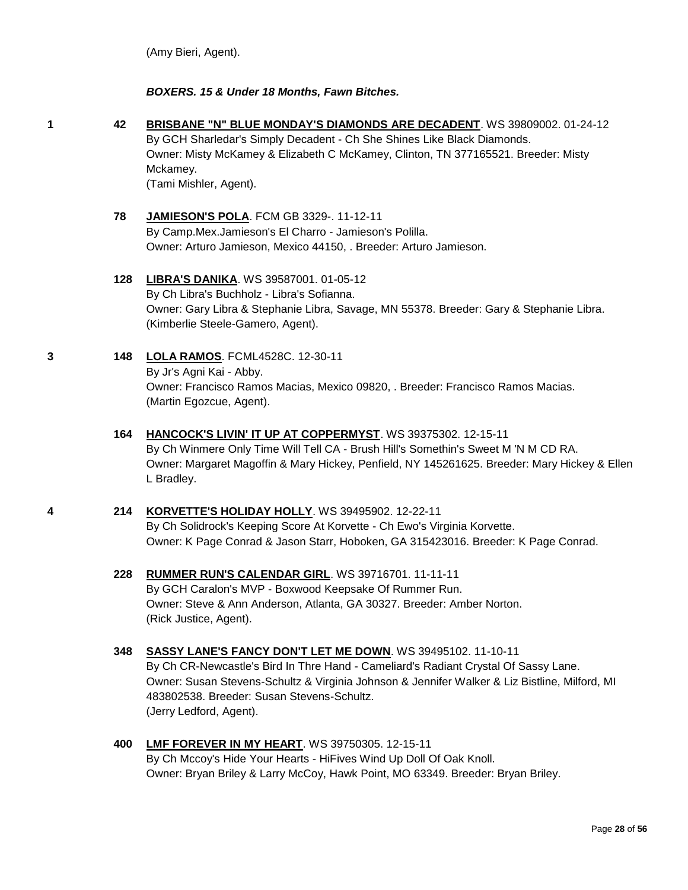(Amy Bieri, Agent).

#### *BOXERS. 15 & Under 18 Months, Fawn Bitches.*

**1 42 [BRISBANE "N" BLUE MONDAY'S DIAMONDS ARE DECADENT](http://www.infodog.com/files/bdogrsl1.prg;makc=WS%2039809002;mdog=Brisbane__N__Blue_Monday_s_Diamonds_Are_Decadent;wins=all)**. WS 39809002. 01-24-12 By GCH Sharledar's Simply Decadent - Ch She Shines Like Black Diamonds. Owner: Misty McKamey & Elizabeth C McKamey, Clinton, TN 377165521. Breeder: Misty Mckamey.

(Tami Mishler, Agent).

#### **78 [JAMIESON'S POLA](http://www.infodog.com/files/bdogrsl1.prg;makc=FCM%20GB%203329-;mdog=Jamieson_s_Pola;wins=all)**. FCM GB 3329-. 11-12-11

By Camp.Mex.Jamieson's El Charro - Jamieson's Polilla. Owner: Arturo Jamieson, Mexico 44150, . Breeder: Arturo Jamieson.

#### **128 [LIBRA'S DANIKA](http://www.infodog.com/files/bdogrsl1.prg;makc=WS%2039587001;mdog=Libra_s_Danika;wins=all)**. WS 39587001. 01-05-12

By Ch Libra's Buchholz - Libra's Sofianna. Owner: Gary Libra & Stephanie Libra, Savage, MN 55378. Breeder: Gary & Stephanie Libra. (Kimberlie Steele-Gamero, Agent).

#### **3 148 [LOLA RAMOS](http://www.infodog.com/files/bdogrsl1.prg;makc=FCML4528C;mdog=Lola_Ramos;wins=all)**. FCML4528C. 12-30-11

By Jr's Agni Kai - Abby. Owner: Francisco Ramos Macias, Mexico 09820, . Breeder: Francisco Ramos Macias. (Martin Egozcue, Agent).

#### **164 [HANCOCK'S LIVIN' IT UP AT COPPERMYST](http://www.infodog.com/files/bdogrsl1.prg;makc=WS%2039375302;mdog=Hancock_s_Livin__It_Up_At_CopperMyst;wins=all)**. WS 39375302. 12-15-11 By Ch Winmere Only Time Will Tell CA - Brush Hill's Somethin's Sweet M 'N M CD RA. Owner: Margaret Magoffin & Mary Hickey, Penfield, NY 145261625. Breeder: Mary Hickey & Ellen L Bradley.

### **4 214 [KORVETTE'S HOLIDAY HOLLY](http://www.infodog.com/files/bdogrsl1.prg;makc=WS%2039495902;mdog=Korvette_s_Holiday_Holly;wins=all)**. WS 39495902. 12-22-11

By Ch Solidrock's Keeping Score At Korvette - Ch Ewo's Virginia Korvette. Owner: K Page Conrad & Jason Starr, Hoboken, GA 315423016. Breeder: K Page Conrad.

**228 [RUMMER RUN'S CALENDAR GIRL](http://www.infodog.com/files/bdogrsl1.prg;makc=WS%2039716701;mdog=Rummer_Run_s_Calendar_Girl;wins=all)**. WS 39716701. 11-11-11 By GCH Caralon's MVP - Boxwood Keepsake Of Rummer Run. Owner: Steve & Ann Anderson, Atlanta, GA 30327. Breeder: Amber Norton. (Rick Justice, Agent).

#### **348 [SASSY LANE'S FANCY DON'T LET ME DOWN](http://www.infodog.com/files/bdogrsl1.prg;makc=WS%2039495102;mdog=Sassy_Lane_s_Fancy_Don_t_Let_Me_Down;wins=all)**. WS 39495102. 11-10-11 By Ch CR-Newcastle's Bird In Thre Hand - Cameliard's Radiant Crystal Of Sassy Lane. Owner: Susan Stevens-Schultz & Virginia Johnson & Jennifer Walker & Liz Bistline, Milford, MI 483802538. Breeder: Susan Stevens-Schultz. (Jerry Ledford, Agent).

#### **400 [LMF FOREVER IN MY HEART](http://www.infodog.com/files/bdogrsl1.prg;makc=WS%2039750305;mdog=LMF_Forever_In_My_Heart;wins=all)**. WS 39750305. 12-15-11 By Ch Mccoy's Hide Your Hearts - HiFives Wind Up Doll Of Oak Knoll. Owner: Bryan Briley & Larry McCoy, Hawk Point, MO 63349. Breeder: Bryan Briley.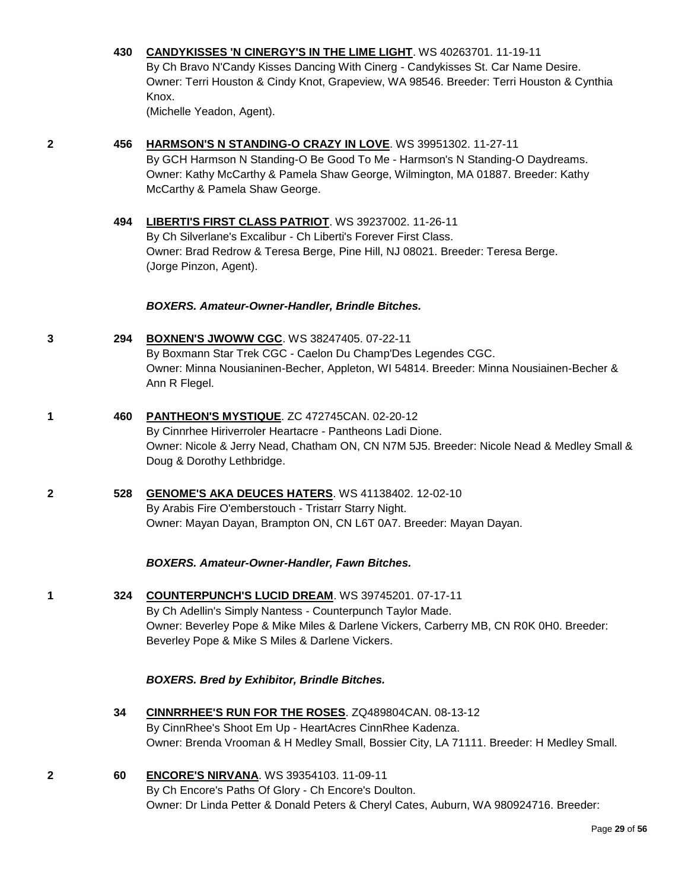#### **430 [CANDYKISSES 'N CINERGY'S IN THE LIME LIGHT](http://www.infodog.com/files/bdogrsl1.prg;makc=WS%2040263701;mdog=Candykisses__N_Cinergy_s_In_The_Lime_Light;wins=all)**. WS 40263701. 11-19-11

By Ch Bravo N'Candy Kisses Dancing With Cinerg - Candykisses St. Car Name Desire. Owner: Terri Houston & Cindy Knot, Grapeview, WA 98546. Breeder: Terri Houston & Cynthia Knox.

(Michelle Yeadon, Agent).

#### **2 456 [HARMSON'S N STANDING-O CRAZY IN LOVE](http://www.infodog.com/files/bdogrsl1.prg;makc=WS%2039951302;mdog=Harmson_s_N_Standing-O_Crazy_In_Love;wins=all)**. WS 39951302. 11-27-11

By GCH Harmson N Standing-O Be Good To Me - Harmson's N Standing-O Daydreams. Owner: Kathy McCarthy & Pamela Shaw George, Wilmington, MA 01887. Breeder: Kathy McCarthy & Pamela Shaw George.

**494 [LIBERTI'S FIRST CLASS PATRIOT](http://www.infodog.com/files/bdogrsl1.prg;makc=WS%2039237002;mdog=Liberti_s_First_Class_Patriot;wins=all)**. WS 39237002. 11-26-11 By Ch Silverlane's Excalibur - Ch Liberti's Forever First Class. Owner: Brad Redrow & Teresa Berge, Pine Hill, NJ 08021. Breeder: Teresa Berge. (Jorge Pinzon, Agent).

#### *BOXERS. Amateur-Owner-Handler, Brindle Bitches.*

#### **3 294 [BOXNEN'S JWOWW CGC](http://www.infodog.com/files/bdogrsl1.prg;makc=WS%2038247405;mdog=Boxnen_s_Jwoww_CGC;wins=all)**. WS 38247405. 07-22-11

By Boxmann Star Trek CGC - Caelon Du Champ'Des Legendes CGC. Owner: Minna Nousianinen-Becher, Appleton, WI 54814. Breeder: Minna Nousiainen-Becher & Ann R Flegel.

- **1 460 [PANTHEON'S MYSTIQUE](http://www.infodog.com/files/bdogrsl1.prg;makc=ZC%20472745CANA;mdog=Pantheon_s_Mystique;wins=all)**. ZC 472745CAN. 02-20-12 By Cinnrhee Hiriverroler Heartacre - Pantheons Ladi Dione. Owner: Nicole & Jerry Nead, Chatham ON, CN N7M 5J5. Breeder: Nicole Nead & Medley Small & Doug & Dorothy Lethbridge.
- **2 528 [GENOME'S AKA DEUCES HATERS](http://www.infodog.com/files/bdogrsl1.prg;makc=WS%2041138402;mdog=Genome_s_Aka_Deuces_Haters;wins=all)**. WS 41138402. 12-02-10 By Arabis Fire O'emberstouch - Tristarr Starry Night. Owner: Mayan Dayan, Brampton ON, CN L6T 0A7. Breeder: Mayan Dayan.

#### *BOXERS. Amateur-Owner-Handler, Fawn Bitches.*

**1 324 [COUNTERPUNCH'S LUCID DREAM](http://www.infodog.com/files/bdogrsl1.prg;makc=WS%2039745201;mdog=Counterpunch_s_Lucid_Dream;wins=all)**. WS 39745201. 07-17-11 By Ch Adellin's Simply Nantess - Counterpunch Taylor Made. Owner: Beverley Pope & Mike Miles & Darlene Vickers, Carberry MB, CN R0K 0H0. Breeder: Beverley Pope & Mike S Miles & Darlene Vickers.

#### *BOXERS. Bred by Exhibitor, Brindle Bitches.*

- **34 [CINNRRHEE'S RUN FOR THE ROSES](http://www.infodog.com/files/bdogrsl1.prg;makc=ZQ489804CAN;mdog=CinnrRhee_s_Run_For_The_Roses;wins=all)**. ZQ489804CAN. 08-13-12 By CinnRhee's Shoot Em Up - HeartAcres CinnRhee Kadenza. Owner: Brenda Vrooman & H Medley Small, Bossier City, LA 71111. Breeder: H Medley Small.
- **2 60 [ENCORE'S NIRVANA](http://www.infodog.com/files/bdogrsl1.prg;makc=WS%2039354103;mdog=Encore_s_Nirvana;wins=all)**. WS 39354103. 11-09-11 By Ch Encore's Paths Of Glory - Ch Encore's Doulton. Owner: Dr Linda Petter & Donald Peters & Cheryl Cates, Auburn, WA 980924716. Breeder: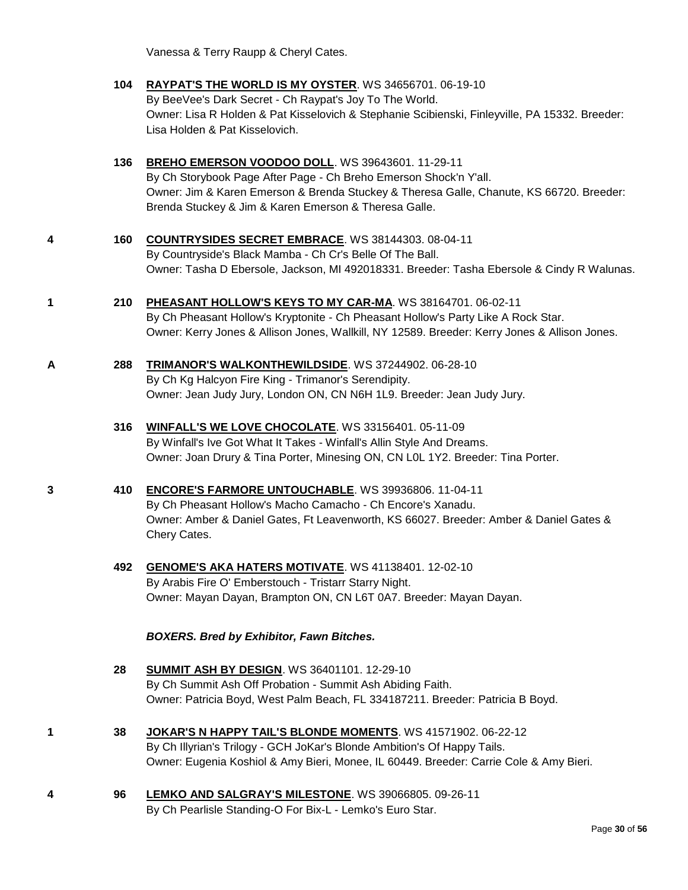Vanessa & Terry Raupp & Cheryl Cates.

- **104 [RAYPAT'S THE WORLD IS MY OYSTER](http://www.infodog.com/files/bdogrsl1.prg;makc=WS%2034656701;mdog=Raypat_s_The_World_Is_My_Oyster;wins=all)**. WS 34656701. 06-19-10 By BeeVee's Dark Secret - Ch Raypat's Joy To The World. Owner: Lisa R Holden & Pat Kisselovich & Stephanie Scibienski, Finleyville, PA 15332. Breeder: Lisa Holden & Pat Kisselovich.
- **136 [BREHO EMERSON VOODOO DOLL](http://www.infodog.com/files/bdogrsl1.prg;makc=WS%2039643601;mdog=Breho_Emerson_Voodoo_Doll;wins=all)**. WS 39643601. 11-29-11 By Ch Storybook Page After Page - Ch Breho Emerson Shock'n Y'all. Owner: Jim & Karen Emerson & Brenda Stuckey & Theresa Galle, Chanute, KS 66720. Breeder: Brenda Stuckey & Jim & Karen Emerson & Theresa Galle.
- **4 160 [COUNTRYSIDES SECRET EMBRACE](http://www.infodog.com/files/bdogrsl1.prg;makc=WS%2038144303;mdog=Countrysides_Secret_Embrace;wins=all)**. WS 38144303. 08-04-11 By Countryside's Black Mamba - Ch Cr's Belle Of The Ball. Owner: Tasha D Ebersole, Jackson, MI 492018331. Breeder: Tasha Ebersole & Cindy R Walunas.
- **1 210 [PHEASANT HOLLOW'S KEYS TO MY CAR-MA](http://www.infodog.com/files/bdogrsl1.prg;makc=WS%2038164701;mdog=Pheasant_Hollow_s_Keys_To_My_Car-Ma;wins=all)**. WS 38164701. 06-02-11 By Ch Pheasant Hollow's Kryptonite - Ch Pheasant Hollow's Party Like A Rock Star. Owner: Kerry Jones & Allison Jones, Wallkill, NY 12589. Breeder: Kerry Jones & Allison Jones.
- **A 288 [TRIMANOR'S WALKONTHEWILDSIDE](http://www.infodog.com/files/bdogrsl1.prg;makc=WS%2037244902;mdog=Trimanor_s_Walkonthewildside;wins=all)**. WS 37244902. 06-28-10 By Ch Kg Halcyon Fire King - Trimanor's Serendipity. Owner: Jean Judy Jury, London ON, CN N6H 1L9. Breeder: Jean Judy Jury.
	- **316 [WINFALL'S WE LOVE CHOCOLATE](http://www.infodog.com/files/bdogrsl1.prg;makc=WS%2033156401;mdog=Winfall_s_We_Love_Chocolate;wins=all)**. WS 33156401. 05-11-09 By Winfall's Ive Got What It Takes - Winfall's Allin Style And Dreams. Owner: Joan Drury & Tina Porter, Minesing ON, CN L0L 1Y2. Breeder: Tina Porter.
- **3 410 [ENCORE'S FARMORE UNTOUCHABLE](http://www.infodog.com/files/bdogrsl1.prg;makc=WS%2039936806;mdog=Encore_s_Farmore_Untouchable;wins=all)**. WS 39936806. 11-04-11 By Ch Pheasant Hollow's Macho Camacho - Ch Encore's Xanadu. Owner: Amber & Daniel Gates, Ft Leavenworth, KS 66027. Breeder: Amber & Daniel Gates & Chery Cates.
	- **492 [GENOME'S AKA HATERS MOTIVATE](http://www.infodog.com/files/bdogrsl1.prg;makc=WS%2041138401;mdog=Genome_s_AKA_Haters_Motivate;wins=all)**. WS 41138401. 12-02-10 By Arabis Fire O' Emberstouch - Tristarr Starry Night. Owner: Mayan Dayan, Brampton ON, CN L6T 0A7. Breeder: Mayan Dayan.

#### *BOXERS. Bred by Exhibitor, Fawn Bitches.*

- **28 [SUMMIT ASH BY DESIGN](http://www.infodog.com/files/bdogrsl1.prg;makc=WS%2036401101;mdog=Summit_Ash_By_Design;wins=all)**. WS 36401101. 12-29-10 By Ch Summit Ash Off Probation - Summit Ash Abiding Faith. Owner: Patricia Boyd, West Palm Beach, FL 334187211. Breeder: Patricia B Boyd.
- **1 38 [JOKAR'S N HAPPY TAIL'S BLONDE MOMENTS](http://www.infodog.com/files/bdogrsl1.prg;makc=WS%2041571902;mdog=JoKar_s_N_Happy_Tail_s_Blonde_Moments;wins=all)**. WS 41571902. 06-22-12 By Ch Illyrian's Trilogy - GCH JoKar's Blonde Ambition's Of Happy Tails. Owner: Eugenia Koshiol & Amy Bieri, Monee, IL 60449. Breeder: Carrie Cole & Amy Bieri.
- **4 96 [LEMKO AND SALGRAY'S MILESTONE](http://www.infodog.com/files/bdogrsl1.prg;makc=WS%2039066805;mdog=Lemko_And_Salgray_s_Milestone;wins=all)**. WS 39066805. 09-26-11 By Ch Pearlisle Standing-O For Bix-L - Lemko's Euro Star.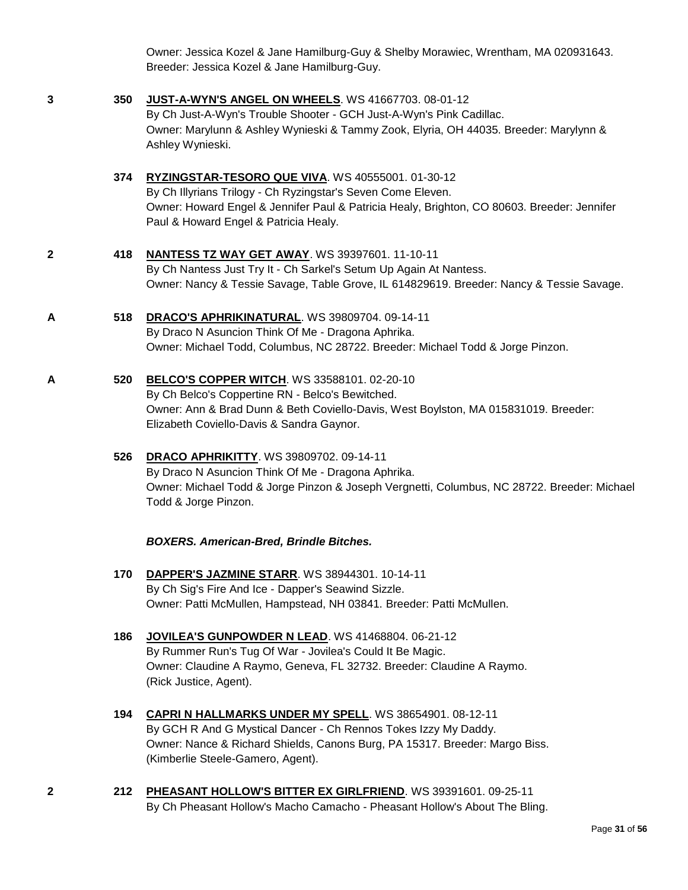Owner: Jessica Kozel & Jane Hamilburg-Guy & Shelby Morawiec, Wrentham, MA 020931643. Breeder: Jessica Kozel & Jane Hamilburg-Guy.

- 
- **3 350 [JUST-A-WYN'S ANGEL ON WHEELS](http://www.infodog.com/files/bdogrsl1.prg;makc=WS%2041667703;mdog=Just-A-Wyn_s_Angel_On_Wheels;wins=all)**. WS 41667703. 08-01-12

By Ch Just-A-Wyn's Trouble Shooter - GCH Just-A-Wyn's Pink Cadillac. Owner: Marylunn & Ashley Wynieski & Tammy Zook, Elyria, OH 44035. Breeder: Marylynn & Ashley Wynieski.

- **374 [RYZINGSTAR-TESORO QUE VIVA](http://www.infodog.com/files/bdogrsl1.prg;makc=WS%2040555001;mdog=Ryzingstar-Tesoro_Que_Viva;wins=all)**. WS 40555001. 01-30-12 By Ch Illyrians Trilogy - Ch Ryzingstar's Seven Come Eleven. Owner: Howard Engel & Jennifer Paul & Patricia Healy, Brighton, CO 80603. Breeder: Jennifer Paul & Howard Engel & Patricia Healy.
- **2 418 [NANTESS TZ WAY GET AWAY](http://www.infodog.com/files/bdogrsl1.prg;makc=WS%2039397601;mdog=Nantess_Tz_Way_Get_Away;wins=all)**. WS 39397601. 11-10-11 By Ch Nantess Just Try It - Ch Sarkel's Setum Up Again At Nantess. Owner: Nancy & Tessie Savage, Table Grove, IL 614829619. Breeder: Nancy & Tessie Savage.
- **A 518 [DRACO'S APHRIKINATURAL](http://www.infodog.com/files/bdogrsl1.prg;makc=WS%2039809704;mdog=Draco_s_Aphrikinatural;wins=all)**. WS 39809704. 09-14-11 By Draco N Asuncion Think Of Me - Dragona Aphrika. Owner: Michael Todd, Columbus, NC 28722. Breeder: Michael Todd & Jorge Pinzon.
- **A 520 [BELCO'S COPPER WITCH](http://www.infodog.com/files/bdogrsl1.prg;makc=WS%2033588101;mdog=Belco_s_Copper_Witch;wins=all)**. WS 33588101. 02-20-10 By Ch Belco's Coppertine RN - Belco's Bewitched. Owner: Ann & Brad Dunn & Beth Coviello-Davis, West Boylston, MA 015831019. Breeder: Elizabeth Coviello-Davis & Sandra Gaynor.
	- **526 [DRACO APHRIKITTY](http://www.infodog.com/files/bdogrsl1.prg;makc=WS%2039809702;mdog=Draco_Aphrikitty;wins=all)**. WS 39809702. 09-14-11 By Draco N Asuncion Think Of Me - Dragona Aphrika. Owner: Michael Todd & Jorge Pinzon & Joseph Vergnetti, Columbus, NC 28722. Breeder: Michael Todd & Jorge Pinzon.
		- *BOXERS. American-Bred, Brindle Bitches.*
	- **170 [DAPPER'S JAZMINE STARR](http://www.infodog.com/files/bdogrsl1.prg;makc=WS%2038944301;mdog=Dapper_s_Jazmine_Starr;wins=all)**. WS 38944301. 10-14-11 By Ch Sig's Fire And Ice - Dapper's Seawind Sizzle. Owner: Patti McMullen, Hampstead, NH 03841. Breeder: Patti McMullen.
	- **186 [JOVILEA'S GUNPOWDER N LEAD](http://www.infodog.com/files/bdogrsl1.prg;makc=WS%2041468804;mdog=Jovilea_s_Gunpowder_N_Lead;wins=all)**. WS 41468804. 06-21-12 By Rummer Run's Tug Of War - Jovilea's Could It Be Magic. Owner: Claudine A Raymo, Geneva, FL 32732. Breeder: Claudine A Raymo. (Rick Justice, Agent).
	- **194 [CAPRI N HALLMARKS UNDER MY SPELL](http://www.infodog.com/files/bdogrsl1.prg;makc=WS%2038654901;mdog=Capri_N_Hallmarks_Under_My_Spell;wins=all)**. WS 38654901. 08-12-11 By GCH R And G Mystical Dancer - Ch Rennos Tokes Izzy My Daddy. Owner: Nance & Richard Shields, Canons Burg, PA 15317. Breeder: Margo Biss. (Kimberlie Steele-Gamero, Agent).
- **2 212 [PHEASANT HOLLOW'S BITTER EX GIRLFRIEND](http://www.infodog.com/files/bdogrsl1.prg;makc=WS%2039391601;mdog=Pheasant_Hollow_s_Bitter_Ex_Girlfriend;wins=all)**. WS 39391601. 09-25-11 By Ch Pheasant Hollow's Macho Camacho - Pheasant Hollow's About The Bling.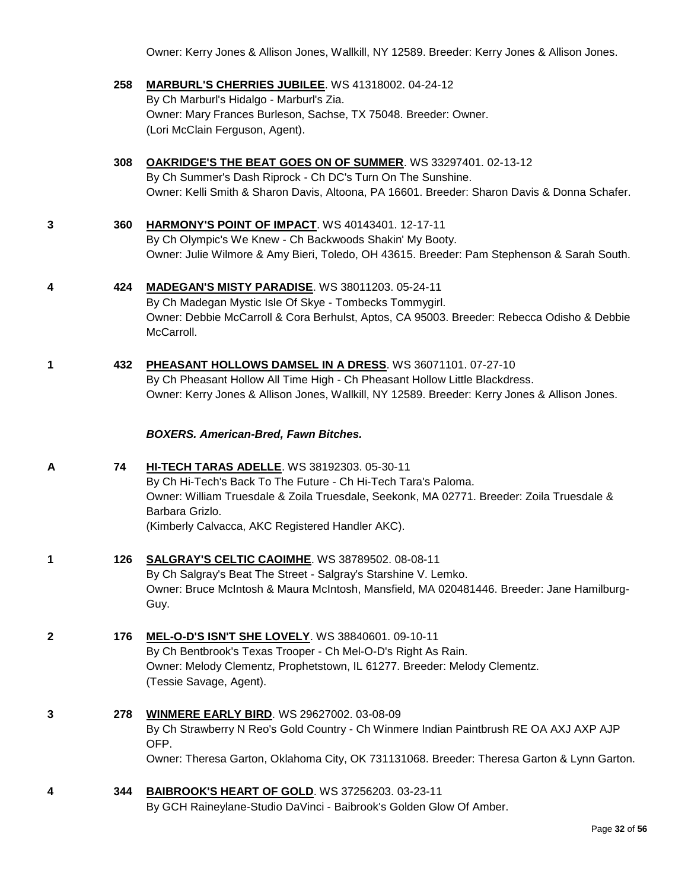Owner: Kerry Jones & Allison Jones, Wallkill, NY 12589. Breeder: Kerry Jones & Allison Jones.

- **258 [MARBURL'S CHERRIES JUBILEE](http://www.infodog.com/files/bdogrsl1.prg;makc=WS%2041318002;mdog=Marburl_s_Cherries_Jubilee;wins=all)**. WS 41318002. 04-24-12 By Ch Marburl's Hidalgo - Marburl's Zia. Owner: Mary Frances Burleson, Sachse, TX 75048. Breeder: Owner. (Lori McClain Ferguson, Agent).
- **308 [OAKRIDGE'S THE BEAT GOES ON OF SUMMER](http://www.infodog.com/files/bdogrsl1.prg;makc=WS%2033297401;mdog=OakRidge_s_The_Beat_Goes_On_Of_Summer;wins=all)**. WS 33297401. 02-13-12 By Ch Summer's Dash Riprock - Ch DC's Turn On The Sunshine. Owner: Kelli Smith & Sharon Davis, Altoona, PA 16601. Breeder: Sharon Davis & Donna Schafer.
- **3 360 [HARMONY'S POINT OF IMPACT](http://www.infodog.com/files/bdogrsl1.prg;makc=WS%2040143401;mdog=Harmony_s_Point_Of_Impact;wins=all)**. WS 40143401. 12-17-11 By Ch Olympic's We Knew - Ch Backwoods Shakin' My Booty. Owner: Julie Wilmore & Amy Bieri, Toledo, OH 43615. Breeder: Pam Stephenson & Sarah South.
- **4 424 [MADEGAN'S MISTY PARADISE](http://www.infodog.com/files/bdogrsl1.prg;makc=WS%2038011203;mdog=Madegan_s_Misty_Paradise;wins=all)**. WS 38011203. 05-24-11 By Ch Madegan Mystic Isle Of Skye - Tombecks Tommygirl. Owner: Debbie McCarroll & Cora Berhulst, Aptos, CA 95003. Breeder: Rebecca Odisho & Debbie McCarroll.
- **1 432 [PHEASANT HOLLOWS DAMSEL IN A DRESS](http://www.infodog.com/files/bdogrsl1.prg;makc=WS%2036071101;mdog=Pheasant_Hollows_Damsel_In_A_Dress;wins=all)**. WS 36071101. 07-27-10 By Ch Pheasant Hollow All Time High - Ch Pheasant Hollow Little Blackdress. Owner: Kerry Jones & Allison Jones, Wallkill, NY 12589. Breeder: Kerry Jones & Allison Jones.

#### *BOXERS. American-Bred, Fawn Bitches.*

- **A 74 [HI-TECH TARAS ADELLE](http://www.infodog.com/files/bdogrsl1.prg;makc=WS%2038192303;mdog=Hi-Tech_Taras_Adelle;wins=all)**. WS 38192303. 05-30-11 By Ch Hi-Tech's Back To The Future - Ch Hi-Tech Tara's Paloma. Owner: William Truesdale & Zoila Truesdale, Seekonk, MA 02771. Breeder: Zoila Truesdale & Barbara Grizlo. (Kimberly Calvacca, AKC Registered Handler AKC).
- **1 126 [SALGRAY'S CELTIC CAOIMHE](http://www.infodog.com/files/bdogrsl1.prg;makc=WS%2038789502;mdog=Salgray_s_Celtic_Caoimhe;wins=all)**. WS 38789502. 08-08-11 By Ch Salgray's Beat The Street - Salgray's Starshine V. Lemko. Owner: Bruce McIntosh & Maura McIntosh, Mansfield, MA 020481446. Breeder: Jane Hamilburg-Guy.
- **2 176 [MEL-O-D'S ISN'T SHE LOVELY](http://www.infodog.com/files/bdogrsl1.prg;makc=WS%2038840601;mdog=Mel-O-D_s_Isn_t_She_Lovely;wins=all)**. WS 38840601. 09-10-11 By Ch Bentbrook's Texas Trooper - Ch Mel-O-D's Right As Rain. Owner: Melody Clementz, Prophetstown, IL 61277. Breeder: Melody Clementz. (Tessie Savage, Agent).
- **3 278 [WINMERE EARLY BIRD](http://www.infodog.com/files/bdogrsl1.prg;makc=WS%2029627002;mdog=Winmere_Early_Bird;wins=all)**. WS 29627002. 03-08-09 By Ch Strawberry N Reo's Gold Country - Ch Winmere Indian Paintbrush RE OA AXJ AXP AJP OFP. Owner: Theresa Garton, Oklahoma City, OK 731131068. Breeder: Theresa Garton & Lynn Garton.
- **4 344 [BAIBROOK'S HEART OF GOLD](http://www.infodog.com/files/bdogrsl1.prg;makc=WS%2037256203;mdog=Baibrook_s_Heart_Of_Gold;wins=all)**. WS 37256203. 03-23-11 By GCH Raineylane-Studio DaVinci - Baibrook's Golden Glow Of Amber.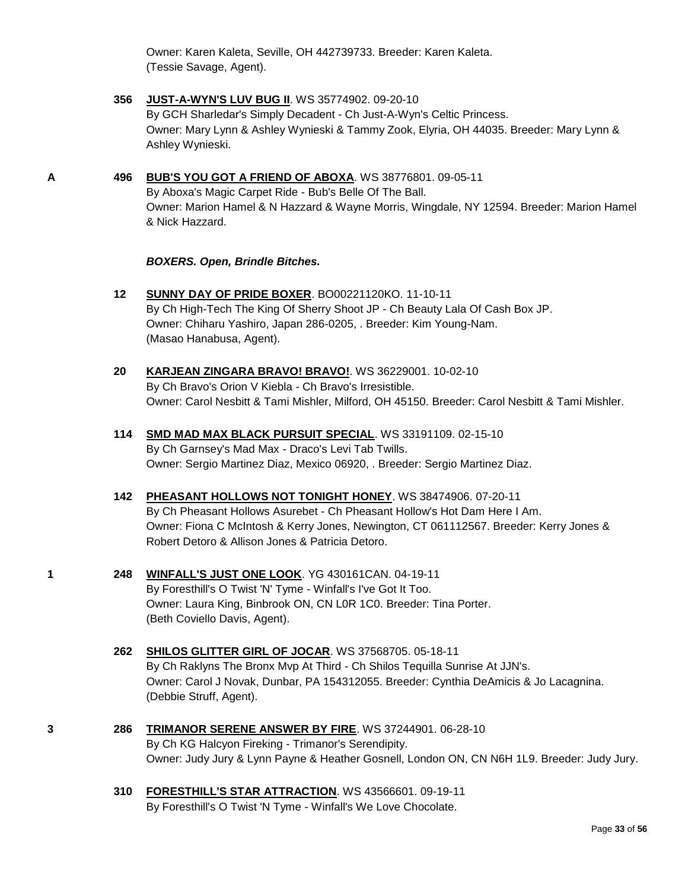Owner: Karen Kaleta, Seville, OH 442739733. Breeder: Karen Kaleta. (Tessie Savage, Agent).

- **356 [JUST-A-WYN'S LUV BUG II](http://www.infodog.com/files/bdogrsl1.prg;makc=WS%2035774902;mdog=Just-A-Wyn_s_Luv_Bug_II;wins=all)**. WS 35774902. 09-20-10 By GCH Sharledar's Simply Decadent - Ch Just-A-Wyn's Celtic Princess. Owner: Mary Lynn & Ashley Wynieski & Tammy Zook, Elyria, OH 44035. Breeder: Mary Lynn & Ashley Wynieski.
- **A 496 [BUB'S YOU GOT A FRIEND OF ABOXA](http://www.infodog.com/files/bdogrsl1.prg;makc=WS%2038776801;mdog=Bub_s_You_Got_A_Friend_Of_Aboxa;wins=all)**. WS 38776801. 09-05-11

By Aboxa's Magic Carpet Ride - Bub's Belle Of The Ball. Owner: Marion Hamel & N Hazzard & Wayne Morris, Wingdale, NY 12594. Breeder: Marion Hamel & Nick Hazzard.

#### *BOXERS. Open, Brindle Bitches.*

- **12 [SUNNY DAY OF PRIDE BOXER](http://www.infodog.com/files/bdogrsl1.prg;makc=BO00221120KO;mdog=Sunny_Day_Of_Pride_Boxer;wins=all)**. BO00221120KO. 11-10-11 By Ch High-Tech The King Of Sherry Shoot JP - Ch Beauty Lala Of Cash Box JP. Owner: Chiharu Yashiro, Japan 286-0205, . Breeder: Kim Young-Nam. (Masao Hanabusa, Agent).
- **20 [KARJEAN ZINGARA BRAVO! BRAVO!](http://www.infodog.com/files/bdogrsl1.prg;makc=WS%2036229001;mdog=Karjean_Zingara_Bravo!_Bravo!;wins=all)**. WS 36229001. 10-02-10 By Ch Bravo's Orion V Kiebla - Ch Bravo's Irresistible. Owner: Carol Nesbitt & Tami Mishler, Milford, OH 45150. Breeder: Carol Nesbitt & Tami Mishler.
- **114 [SMD MAD MAX BLACK PURSUIT SPECIAL](http://www.infodog.com/files/bdogrsl1.prg;makc=WS%2033191109;mdog=Smd_Mad_Max_Black_Pursuit_Special;wins=all)**. WS 33191109. 02-15-10 By Ch Garnsey's Mad Max - Draco's Levi Tab Twills. Owner: Sergio Martinez Diaz, Mexico 06920, . Breeder: Sergio Martinez Diaz.
- **142 [PHEASANT HOLLOWS NOT TONIGHT HONEY](http://www.infodog.com/files/bdogrsl1.prg;makc=WS%2038474906;mdog=Pheasant_Hollows_Not_Tonight_Honey;wins=all)**. WS 38474906. 07-20-11 By Ch Pheasant Hollows Asurebet - Ch Pheasant Hollow's Hot Dam Here I Am. Owner: Fiona C McIntosh & Kerry Jones, Newington, CT 061112567. Breeder: Kerry Jones & Robert Detoro & Allison Jones & Patricia Detoro.
- **1 248 [WINFALL'S JUST ONE LOOK](http://www.infodog.com/files/bdogrsl1.prg;makc=YG%20430161CAN;mdog=Winfall_s_Just_One_Look;wins=all)**. YG 430161CAN. 04-19-11 By Foresthill's O Twist 'N' Tyme - Winfall's I've Got It Too. Owner: Laura King, Binbrook ON, CN L0R 1C0. Breeder: Tina Porter. (Beth Coviello Davis, Agent).
	- **262 [SHILOS GLITTER GIRL OF JOCAR](http://www.infodog.com/files/bdogrsl1.prg;makc=WS%2037568705;mdog=Shilos_Glitter_Girl_Of_JoCar;wins=all)**. WS 37568705. 05-18-11 By Ch Raklyns The Bronx Mvp At Third - Ch Shilos Tequilla Sunrise At JJN's. Owner: Carol J Novak, Dunbar, PA 154312055. Breeder: Cynthia DeAmicis & Jo Lacagnina. (Debbie Struff, Agent).
- **3 286 [TRIMANOR SERENE ANSWER BY FIRE](http://www.infodog.com/files/bdogrsl1.prg;makc=WS%2037244901;mdog=Trimanor_Serene_Answer_By_Fire;wins=all)**. WS 37244901. 06-28-10 By Ch KG Halcyon Fireking - Trimanor's Serendipity. Owner: Judy Jury & Lynn Payne & Heather Gosnell, London ON, CN N6H 1L9. Breeder: Judy Jury.
	- **310 [FORESTHILL'S STAR ATTRACTION](http://www.infodog.com/files/bdogrsl1.prg;makc=WS%2043566601;mdog=Foresthill_s_Star_Attraction;wins=all)**. WS 43566601. 09-19-11 By Foresthill's O Twist 'N Tyme - Winfall's We Love Chocolate.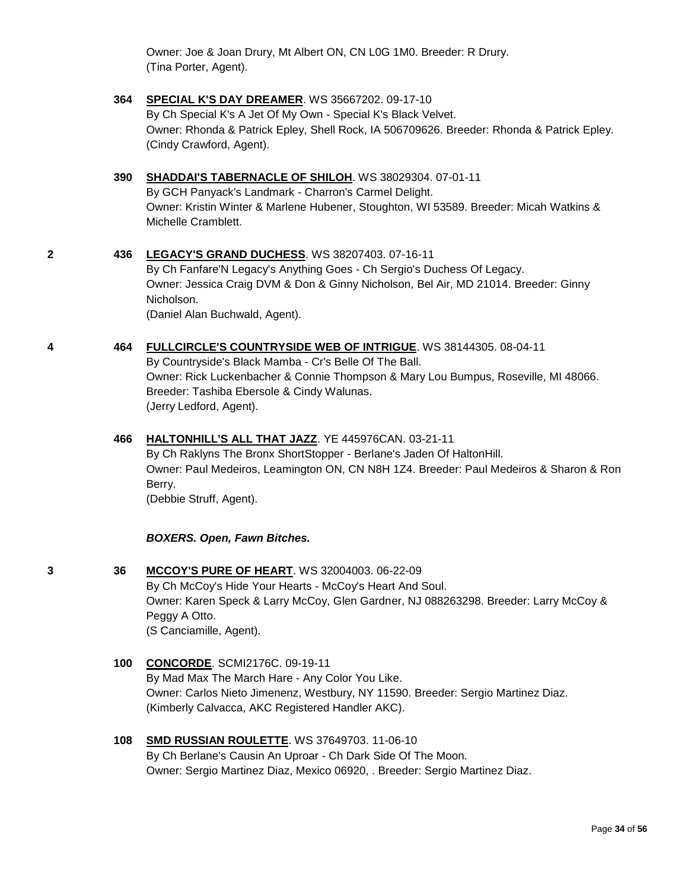Owner: Joe & Joan Drury, Mt Albert ON, CN L0G 1M0. Breeder: R Drury. (Tina Porter, Agent).

#### **364 [SPECIAL K'S DAY DREAMER](http://www.infodog.com/files/bdogrsl1.prg;makc=WS%2035667202;mdog=Special_K_s_Day_Dreamer;wins=all)**. WS 35667202. 09-17-10 By Ch Special K's A Jet Of My Own - Special K's Black Velvet.

Owner: Rhonda & Patrick Epley, Shell Rock, IA 506709626. Breeder: Rhonda & Patrick Epley. (Cindy Crawford, Agent).

#### **390 [SHADDAI'S TABERNACLE OF SHILOH](http://www.infodog.com/files/bdogrsl1.prg;makc=WS%2038029304;mdog=Shaddai_s_Tabernacle_Of_Shiloh;wins=all)**. WS 38029304. 07-01-11

By GCH Panyack's Landmark - Charron's Carmel Delight. Owner: Kristin Winter & Marlene Hubener, Stoughton, WI 53589. Breeder: Micah Watkins & Michelle Cramblett.

#### **2 436 [LEGACY'S GRAND DUCHESS](http://www.infodog.com/files/bdogrsl1.prg;makc=WS%2038207403;mdog=Legacy_s_Grand_Duchess;wins=all)**. WS 38207403. 07-16-11

By Ch Fanfare'N Legacy's Anything Goes - Ch Sergio's Duchess Of Legacy. Owner: Jessica Craig DVM & Don & Ginny Nicholson, Bel Air, MD 21014. Breeder: Ginny Nicholson. (Daniel Alan Buchwald, Agent).

#### **4 464 [FULLCIRCLE'S COUNTRYSIDE WEB OF INTRIGUE](http://www.infodog.com/files/bdogrsl1.prg;makc=WS%2038144305;mdog=Fullcircle_s_Countryside_Web_Of_Intrigue;wins=all)**. WS 38144305. 08-04-11

By Countryside's Black Mamba - Cr's Belle Of The Ball. Owner: Rick Luckenbacher & Connie Thompson & Mary Lou Bumpus, Roseville, MI 48066. Breeder: Tashiba Ebersole & Cindy Walunas. (Jerry Ledford, Agent).

#### **466 [HALTONHILL'S ALL THAT JAZZ](http://www.infodog.com/files/bdogrsl1.prg;makc=YE%20445976CAN;mdog=HaltonHill_s_All_That_Jazz;wins=all)**. YE 445976CAN. 03-21-11

By Ch Raklyns The Bronx ShortStopper - Berlane's Jaden Of HaltonHill. Owner: Paul Medeiros, Leamington ON, CN N8H 1Z4. Breeder: Paul Medeiros & Sharon & Ron Berry. (Debbie Struff, Agent).

#### *BOXERS. Open, Fawn Bitches.*

**3 36 [MCCOY'S PURE OF HEART](http://www.infodog.com/files/bdogrsl1.prg;makc=WS%2032004003;mdog=McCoy_s_Pure_Of_Heart;wins=all)**. WS 32004003. 06-22-09 By Ch McCoy's Hide Your Hearts - McCoy's Heart And Soul. Owner: Karen Speck & Larry McCoy, Glen Gardner, NJ 088263298. Breeder: Larry McCoy & Peggy A Otto. (S Canciamille, Agent).

## **100 [CONCORDE](http://www.infodog.com/files/bdogrsl1.prg;makc=SCMI2176C;mdog=Concorde;wins=all)**. SCMI2176C. 09-19-11 By Mad Max The March Hare - Any Color You Like. Owner: Carlos Nieto Jimenenz, Westbury, NY 11590. Breeder: Sergio Martinez Diaz. (Kimberly Calvacca, AKC Registered Handler AKC).

#### **108 [SMD RUSSIAN ROULETTE](http://www.infodog.com/files/bdogrsl1.prg;makc=WS%2037649703;mdog=Smd_Russian_Roulette;wins=all)**. WS 37649703. 11-06-10 By Ch Berlane's Causin An Uproar - Ch Dark Side Of The Moon.

Owner: Sergio Martinez Diaz, Mexico 06920, . Breeder: Sergio Martinez Diaz.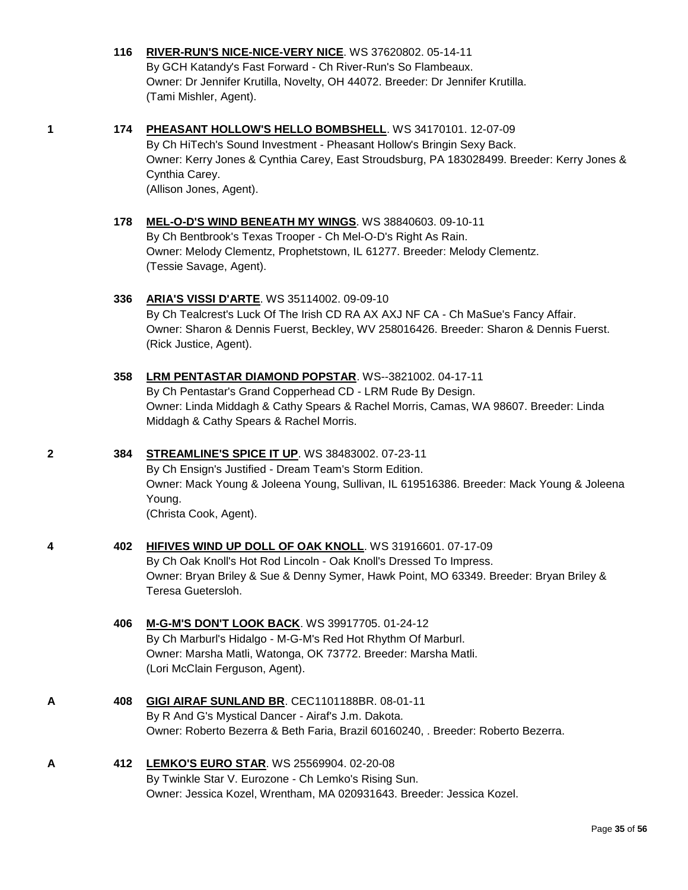#### **116 [RIVER-RUN'S NICE-NICE-VERY NICE](http://www.infodog.com/files/bdogrsl1.prg;makc=WS%2037620802;mdog=River-Run_s_Nice-Nice-Very_Nice;wins=all)**. WS 37620802. 05-14-11 By GCH Katandy's Fast Forward - Ch River-Run's So Flambeaux. Owner: Dr Jennifer Krutilla, Novelty, OH 44072. Breeder: Dr Jennifer Krutilla. (Tami Mishler, Agent).

**1 174 [PHEASANT HOLLOW'S HELLO BOMBSHELL](http://www.infodog.com/files/bdogrsl1.prg;makc=WS%2034170101;mdog=Pheasant_Hollow_s_Hello_Bombshell;wins=all)**. WS 34170101. 12-07-09 By Ch HiTech's Sound Investment - Pheasant Hollow's Bringin Sexy Back. Owner: Kerry Jones & Cynthia Carey, East Stroudsburg, PA 183028499. Breeder: Kerry Jones & Cynthia Carey. (Allison Jones, Agent).

#### **178 [MEL-O-D'S WIND BENEATH MY WINGS](http://www.infodog.com/files/bdogrsl1.prg;makc=WS%2038840603;mdog=Mel-O-D_s_Wind_Beneath_My_Wings;wins=all)**. WS 38840603. 09-10-11 By Ch Bentbrook's Texas Trooper - Ch Mel-O-D's Right As Rain. Owner: Melody Clementz, Prophetstown, IL 61277. Breeder: Melody Clementz. (Tessie Savage, Agent).

#### **336 [ARIA'S VISSI D'ARTE](http://www.infodog.com/files/bdogrsl1.prg;makc=WS%2035114002;mdog=Aria_s_Vissi_D_Arte;wins=all)**. WS 35114002. 09-09-10 By Ch Tealcrest's Luck Of The Irish CD RA AX AXJ NF CA - Ch MaSue's Fancy Affair. Owner: Sharon & Dennis Fuerst, Beckley, WV 258016426. Breeder: Sharon & Dennis Fuerst. (Rick Justice, Agent).

#### **358 [LRM PENTASTAR DIAMOND POPSTAR](http://www.infodog.com/files/bdogrsl1.prg;makc=WS--3821002;mdog=LRM_Pentastar_Diamond_Popstar;wins=all)**. WS--3821002. 04-17-11 By Ch Pentastar's Grand Copperhead CD - LRM Rude By Design. Owner: Linda Middagh & Cathy Spears & Rachel Morris, Camas, WA 98607. Breeder: Linda Middagh & Cathy Spears & Rachel Morris.

#### **2 384 [STREAMLINE'S SPICE IT UP](http://www.infodog.com/files/bdogrsl1.prg;makc=WS%2038483002;mdog=Streamline_s_Spice_It_Up;wins=all)**. WS 38483002. 07-23-11 By Ch Ensign's Justified - Dream Team's Storm Edition.

Owner: Mack Young & Joleena Young, Sullivan, IL 619516386. Breeder: Mack Young & Joleena Young. (Christa Cook, Agent).

#### **4 402 [HIFIVES WIND UP DOLL OF OAK KNOLL](http://www.infodog.com/files/bdogrsl1.prg;makc=WS%2031916601;mdog=HiFives_Wind_Up_Doll_Of_Oak_Knoll;wins=all)**. WS 31916601. 07-17-09 By Ch Oak Knoll's Hot Rod Lincoln - Oak Knoll's Dressed To Impress. Owner: Bryan Briley & Sue & Denny Symer, Hawk Point, MO 63349. Breeder: Bryan Briley & Teresa Guetersloh.

#### **406 [M-G-M'S DON'T LOOK BACK](http://www.infodog.com/files/bdogrsl1.prg;makc=WS%2039917705;mdog=M-G-M_s_Don_t_Look_Back;wins=all)**. WS 39917705. 01-24-12 By Ch Marburl's Hidalgo - M-G-M's Red Hot Rhythm Of Marburl. Owner: Marsha Matli, Watonga, OK 73772. Breeder: Marsha Matli. (Lori McClain Ferguson, Agent).

#### **A 408 [GIGI AIRAF SUNLAND BR](http://www.infodog.com/files/bdogrsl1.prg;makc=CEC1101188BRA;mdog=Gigi_Airaf_Sunland_Br;wins=all)**. CEC1101188BR. 08-01-11 By R And G's Mystical Dancer - Airaf's J.m. Dakota. Owner: Roberto Bezerra & Beth Faria, Brazil 60160240, . Breeder: Roberto Bezerra.

#### **A 412 [LEMKO'S EURO STAR](http://www.infodog.com/files/bdogrsl1.prg;makc=WS%2025569904;mdog=Lemko_s_Euro_Star;wins=all)**. WS 25569904. 02-20-08 By Twinkle Star V. Eurozone - Ch Lemko's Rising Sun. Owner: Jessica Kozel, Wrentham, MA 020931643. Breeder: Jessica Kozel.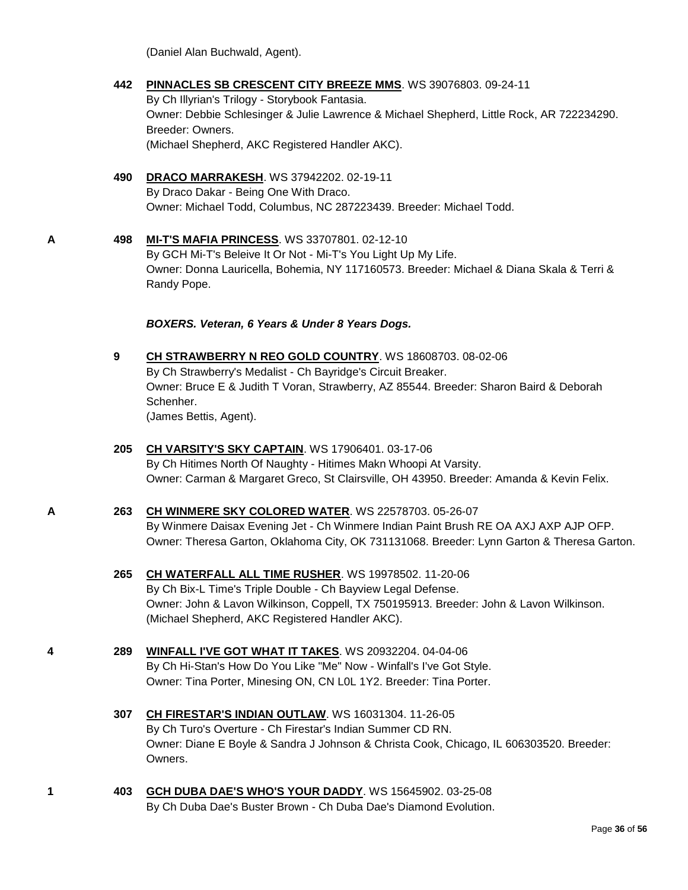(Daniel Alan Buchwald, Agent).

#### **442 [PINNACLES SB CRESCENT CITY BREEZE MMS](http://www.infodog.com/files/bdogrsl1.prg;makc=WS%2039076803;mdog=Pinnacles_SB_Crescent_City_Breeze_MMS;wins=all)**. WS 39076803. 09-24-11

By Ch Illyrian's Trilogy - Storybook Fantasia. Owner: Debbie Schlesinger & Julie Lawrence & Michael Shepherd, Little Rock, AR 722234290. Breeder: Owners. (Michael Shepherd, AKC Registered Handler AKC).

#### **490 [DRACO MARRAKESH](http://www.infodog.com/files/bdogrsl1.prg;makc=WS%2037942202;mdog=Draco_Marrakesh;wins=all)**. WS 37942202. 02-19-11 By Draco Dakar - Being One With Draco. Owner: Michael Todd, Columbus, NC 287223439. Breeder: Michael Todd.

**A 498 [MI-T'S MAFIA PRINCESS](http://www.infodog.com/files/bdogrsl1.prg;makc=WS%2033707801;mdog=Mi-T_s_Mafia_Princess;wins=all)**. WS 33707801. 02-12-10 By GCH Mi-T's Beleive It Or Not - Mi-T's You Light Up My Life. Owner: Donna Lauricella, Bohemia, NY 117160573. Breeder: Michael & Diana Skala & Terri & Randy Pope.

*BOXERS. Veteran, 6 Years & Under 8 Years Dogs.*

**9 [CH STRAWBERRY N REO GOLD COUNTRY](http://www.infodog.com/files/bdogrsl1.prg;makc=WS%2018608703;mdog=Ch_Strawberry_N_Reo_Gold_Country;wins=all)**. WS 18608703. 08-02-06 By Ch Strawberry's Medalist - Ch Bayridge's Circuit Breaker. Owner: Bruce E & Judith T Voran, Strawberry, AZ 85544. Breeder: Sharon Baird & Deborah Schenher. (James Bettis, Agent).

### **205 [CH VARSITY'S SKY CAPTAIN](http://www.infodog.com/files/bdogrsl1.prg;makc=WS%2017906401;mdog=Ch_Varsity_s_Sky_Captain;wins=all)**. WS 17906401. 03-17-06 By Ch Hitimes North Of Naughty - Hitimes Makn Whoopi At Varsity. Owner: Carman & Margaret Greco, St Clairsville, OH 43950. Breeder: Amanda & Kevin Felix.

#### **A 263 [CH WINMERE SKY COLORED WATER](http://www.infodog.com/files/bdogrsl1.prg;makc=WS%2022578703;mdog=Ch_Winmere_Sky_Colored_Water;wins=all)**. WS 22578703. 05-26-07 By Winmere Daisax Evening Jet - Ch Winmere Indian Paint Brush RE OA AXJ AXP AJP OFP. Owner: Theresa Garton, Oklahoma City, OK 731131068. Breeder: Lynn Garton & Theresa Garton.

- **265 [CH WATERFALL ALL TIME RUSHER](http://www.infodog.com/files/bdogrsl1.prg;makc=WS%2019978502;mdog=Ch_Waterfall_All_Time_Rusher;wins=all)**. WS 19978502. 11-20-06 By Ch Bix-L Time's Triple Double - Ch Bayview Legal Defense. Owner: John & Lavon Wilkinson, Coppell, TX 750195913. Breeder: John & Lavon Wilkinson. (Michael Shepherd, AKC Registered Handler AKC).
- **4 289 [WINFALL I'VE GOT WHAT IT TAKES](http://www.infodog.com/files/bdogrsl1.prg;makc=WS%2020932204;mdog=Winfall_I_ve_Got_What_It_Takes;wins=all)**. WS 20932204. 04-04-06 By Ch Hi-Stan's How Do You Like "Me" Now - Winfall's I've Got Style. Owner: Tina Porter, Minesing ON, CN L0L 1Y2. Breeder: Tina Porter.
	- **307 [CH FIRESTAR'S INDIAN OUTLAW](http://www.infodog.com/files/bdogrsl1.prg;makc=WS%2016031304;mdog=Ch_Firestar_s_Indian_Outlaw;wins=all)**. WS 16031304. 11-26-05 By Ch Turo's Overture - Ch Firestar's Indian Summer CD RN. Owner: Diane E Boyle & Sandra J Johnson & Christa Cook, Chicago, IL 606303520. Breeder: Owners.
- 
- **1 403 [GCH DUBA DAE'S WHO'S YOUR DADDY](http://www.infodog.com/files/bdogrsl1.prg;makc=WS%2015645902;mdog=GCH_Duba_Dae_s_Who_s_Your_Daddy;wins=all)**. WS 15645902. 03-25-08 By Ch Duba Dae's Buster Brown - Ch Duba Dae's Diamond Evolution.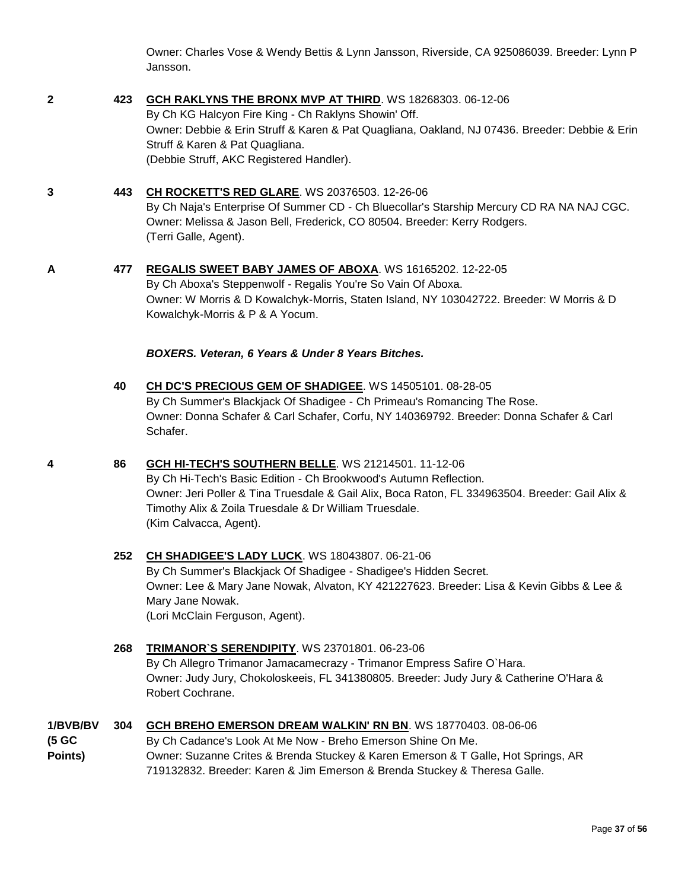Owner: Charles Vose & Wendy Bettis & Lynn Jansson, Riverside, CA 925086039. Breeder: Lynn P Jansson.

#### **2 423 [GCH RAKLYNS THE BRONX MVP AT THIRD](http://www.infodog.com/files/bdogrsl1.prg;makc=WS%2018268303;mdog=GCH_Raklyns_The_Bronx_MVP_At_Third;wins=all)**. WS 18268303. 06-12-06

By Ch KG Halcyon Fire King - Ch Raklyns Showin' Off. Owner: Debbie & Erin Struff & Karen & Pat Quagliana, Oakland, NJ 07436. Breeder: Debbie & Erin Struff & Karen & Pat Quagliana. (Debbie Struff, AKC Registered Handler).

#### **3 443 [CH ROCKETT'S RED GLARE](http://www.infodog.com/files/bdogrsl1.prg;makc=WS%2020376503;mdog=Ch_Rockett_s_Red_Glare;wins=all)**. WS 20376503. 12-26-06

By Ch Naja's Enterprise Of Summer CD - Ch Bluecollar's Starship Mercury CD RA NA NAJ CGC. Owner: Melissa & Jason Bell, Frederick, CO 80504. Breeder: Kerry Rodgers. (Terri Galle, Agent).

#### **A 477 [REGALIS SWEET BABY JAMES OF ABOXA](http://www.infodog.com/files/bdogrsl1.prg;makc=WS%2016165202;mdog=Regalis_Sweet_Baby_James_Of_Aboxa;wins=all)**. WS 16165202. 12-22-05 By Ch Aboxa's Steppenwolf - Regalis You're So Vain Of Aboxa.

Owner: W Morris & D Kowalchyk-Morris, Staten Island, NY 103042722. Breeder: W Morris & D Kowalchyk-Morris & P & A Yocum.

#### *BOXERS. Veteran, 6 Years & Under 8 Years Bitches.*

**40 [CH DC'S PRECIOUS](http://www.infodog.com/files/bdogrsl1.prg;makc=WS%2014505101;mdog=Ch_DC_s_Precious_Gem_Of_Shadigee;wins=all) GEM OF SHADIGEE**. WS 14505101. 08-28-05 By Ch Summer's Blackjack Of Shadigee - Ch Primeau's Romancing The Rose. Owner: Donna Schafer & Carl Schafer, Corfu, NY 140369792. Breeder: Donna Schafer & Carl Schafer.

#### **4 86 [GCH HI-TECH'S SOUTHERN BELLE](http://www.infodog.com/files/bdogrsl1.prg;makc=WS%2021214501;mdog=GCH_Hi-Tech_s_Southern_Belle;wins=all)**. WS 21214501. 11-12-06

By Ch Hi-Tech's Basic Edition - Ch Brookwood's Autumn Reflection. Owner: Jeri Poller & Tina Truesdale & Gail Alix, Boca Raton, FL 334963504. Breeder: Gail Alix & Timothy Alix & Zoila Truesdale & Dr William Truesdale. (Kim Calvacca, Agent).

### **252 [CH SHADIGEE'S LADY LUCK](http://www.infodog.com/files/bdogrsl1.prg;makc=WS%2018043807;mdog=Ch_Shadigee_s_Lady_Luck;wins=all)**. WS 18043807. 06-21-06

By Ch Summer's Blackjack Of Shadigee - Shadigee's Hidden Secret. Owner: Lee & Mary Jane Nowak, Alvaton, KY 421227623. Breeder: Lisa & Kevin Gibbs & Lee & Mary Jane Nowak. (Lori McClain Ferguson, Agent).

#### **268 [TRIMANOR`S SERENDIPITY](http://www.infodog.com/files/bdogrsl1.prg;makc=WS%2023701801;mdog=Trimanor%60s_Serendipity;wins=all)**. WS 23701801. 06-23-06

By Ch Allegro Trimanor Jamacamecrazy - Trimanor Empress Safire O`Hara. Owner: Judy Jury, Chokoloskeeis, FL 341380805. Breeder: Judy Jury & Catherine O'Hara & Robert Cochrane.

#### **1/BVB/BV 304 [GCH BREHO EMERSON DREAM WALKIN' RN BN](http://www.infodog.com/files/bdogrsl1.prg;makc=WS%2018770403;mdog=GCH_Breho_Emerson_Dream_Walkin__RN_BN;wins=all)**. WS 18770403. 08-06-06

#### **(5 GC Points)** By Ch Cadance's Look At Me Now - Breho Emerson Shine On Me. Owner: Suzanne Crites & Brenda Stuckey & Karen Emerson & T Galle, Hot Springs, AR

719132832. Breeder: Karen & Jim Emerson & Brenda Stuckey & Theresa Galle.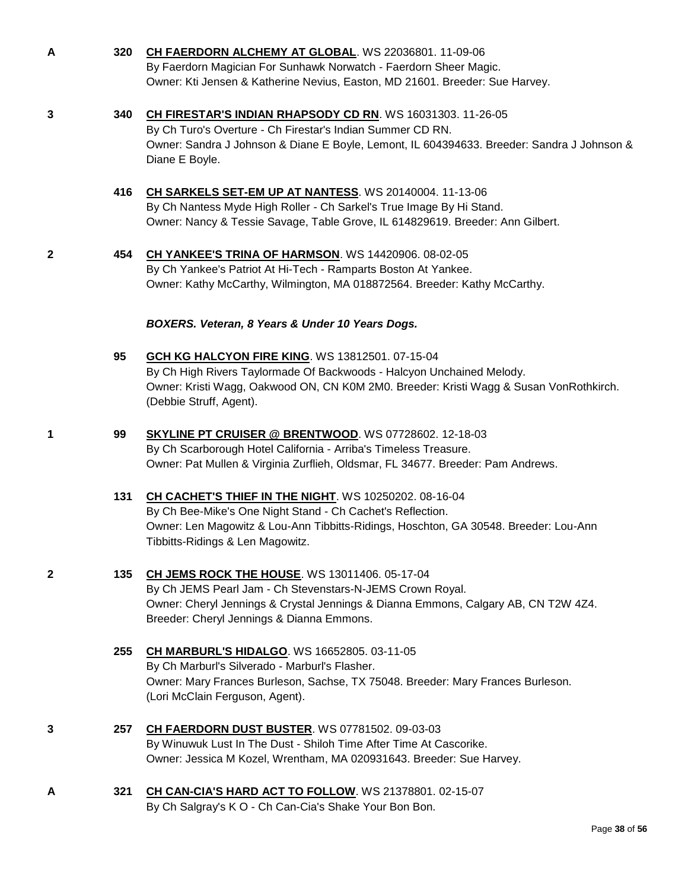- 
- **A 320 [CH FAERDORN ALCHEMY AT GLOBAL](http://www.infodog.com/files/bdogrsl1.prg;makc=WS%2022036801;mdog=Ch_Faerdorn_Alchemy_At_Global;wins=all)**. WS 22036801. 11-09-06 By Faerdorn Magician For Sunhawk Norwatch - Faerdorn Sheer Magic. Owner: Kti Jensen & Katherine Nevius, Easton, MD 21601. Breeder: Sue Harvey.
- 

**3 340 [CH FIRESTAR'S INDIAN RHAPSODY CD RN](http://www.infodog.com/files/bdogrsl1.prg;makc=WS%2016031303;mdog=Ch_Firestar_s_Indian_Rhapsody_CD_RN;wins=all)**. WS 16031303. 11-26-05

By Ch Turo's Overture - Ch Firestar's Indian Summer CD RN. Owner: Sandra J Johnson & Diane E Boyle, Lemont, IL 604394633. Breeder: Sandra J Johnson & Diane E Boyle.

- **416 [CH SARKELS SET-EM UP AT NANTESS](http://www.infodog.com/files/bdogrsl1.prg;makc=WS%2020140004;mdog=Ch_Sarkels_Set-Em_Up_At_Nantess;wins=all)**. WS 20140004. 11-13-06 By Ch Nantess Myde High Roller - Ch Sarkel's True Image By Hi Stand. Owner: Nancy & Tessie Savage, Table Grove, IL 614829619. Breeder: Ann Gilbert.
- 

**2 454 [CH YANKEE'S TRINA OF HARMSON](http://www.infodog.com/files/bdogrsl1.prg;makc=WS%2014420906;mdog=Ch_Yankee_s_Trina_Of_Harmson;wins=all)**. WS 14420906. 08-02-05 By Ch Yankee's Patriot At Hi-Tech - Ramparts Boston At Yankee. Owner: Kathy McCarthy, Wilmington, MA 018872564. Breeder: Kathy McCarthy.

#### *BOXERS. Veteran, 8 Years & Under 10 Years Dogs.*

- **95 [GCH KG HALCYON FIRE KING](http://www.infodog.com/files/bdogrsl1.prg;makc=WS%2013812501;mdog=GCH_KG_Halcyon_Fire_King;wins=all)**. WS 13812501. 07-15-04 By Ch High Rivers Taylormade Of Backwoods - Halcyon Unchained Melody. Owner: Kristi Wagg, Oakwood ON, CN K0M 2M0. Breeder: Kristi Wagg & Susan VonRothkirch. (Debbie Struff, Agent).
- **1 99 [SKYLINE PT CRUISER @ BRENTWOOD](http://www.infodog.com/files/bdogrsl1.prg;makc=WS%2007728602;mdog=Skyline_PT_Cruiser_@_Brentwood;wins=all)**. WS 07728602. 12-18-03 By Ch Scarborough Hotel California - Arriba's Timeless Treasure. Owner: Pat Mullen & Virginia Zurflieh, Oldsmar, FL 34677. Breeder: Pam Andrews.

#### **131 [CH CACHET'S THIEF IN THE NIGHT](http://www.infodog.com/files/bdogrsl1.prg;makc=WS%2010250202;mdog=Ch_Cachet_s_Thief_In_The_Night;wins=all)**. WS 10250202. 08-16-04 By Ch Bee-Mike's One Night Stand - Ch Cachet's Reflection. Owner: Len Magowitz & Lou-Ann Tibbitts-Ridings, Hoschton, GA 30548. Breeder: Lou-Ann Tibbitts-Ridings & Len Magowitz.

- **2 135 [CH JEMS ROCK THE HOUSE](http://www.infodog.com/files/bdogrsl1.prg;makc=WS%2013011406;mdog=Ch_JEMS_Rock_The_House;wins=all)**. WS 13011406. 05-17-04 By Ch JEMS Pearl Jam - Ch Stevenstars-N-JEMS Crown Royal. Owner: Cheryl Jennings & Crystal Jennings & Dianna Emmons, Calgary AB, CN T2W 4Z4. Breeder: Cheryl Jennings & Dianna Emmons.
	- **255 [CH MARBURL'S HIDALGO](http://www.infodog.com/files/bdogrsl1.prg;makc=WS%2016652805;mdog=Ch_Marburl_s_Hidalgo;wins=all)**. WS 16652805. 03-11-05 By Ch Marburl's Silverado - Marburl's Flasher. Owner: Mary Frances Burleson, Sachse, TX 75048. Breeder: Mary Frances Burleson. (Lori McClain Ferguson, Agent).
- **3 257 [CH FAERDORN DUST BUSTER](http://www.infodog.com/files/bdogrsl1.prg;makc=WS%2007781502;mdog=Ch_Faerdorn_Dust_Buster;wins=all)**. WS 07781502. 09-03-03 By Winuwuk Lust In The Dust - Shiloh Time After Time At Cascorike. Owner: Jessica M Kozel, Wrentham, MA 020931643. Breeder: Sue Harvey.
- **A 321 [CH CAN-CIA'S HARD ACT TO FOLLOW](http://www.infodog.com/files/bdogrsl1.prg;makc=WS%2021378801;mdog=Ch_Can-Cia_s_Hard_Act_To_Follow;wins=all)**. WS 21378801. 02-15-07 By Ch Salgray's K O - Ch Can-Cia's Shake Your Bon Bon.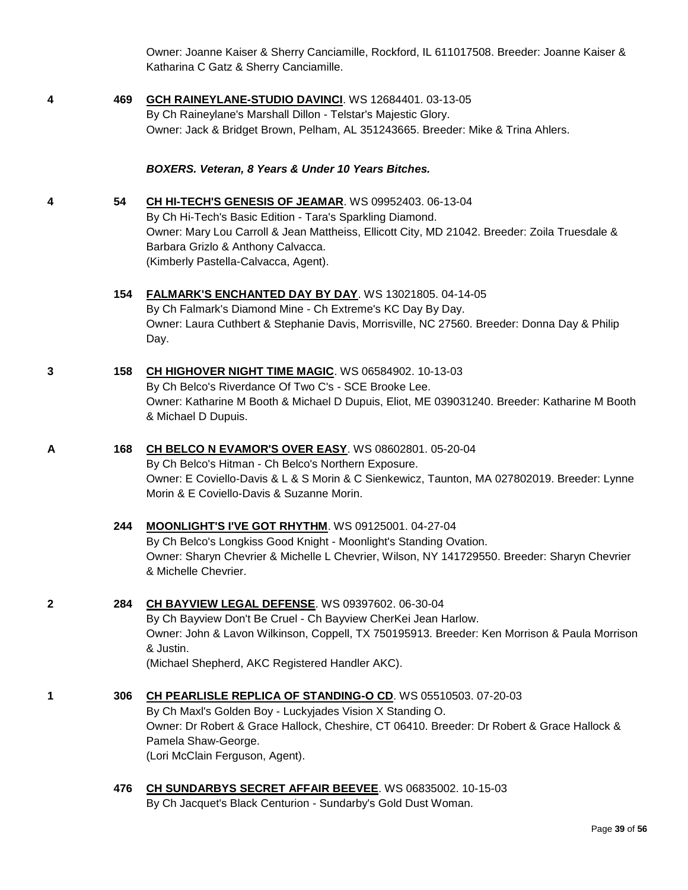Owner: Joanne Kaiser & Sherry Canciamille, Rockford, IL 611017508. Breeder: Joanne Kaiser & Katharina C Gatz & Sherry Canciamille.

**4 469 [GCH RAINEYLANE-STUDIO DAVINCI](http://www.infodog.com/files/bdogrsl1.prg;makc=WS%2012684401;mdog=GCH_Raineylane-Studio_DaVinci;wins=all)**. WS 12684401. 03-13-05 By Ch Raineylane's Marshall Dillon - Telstar's Majestic Glory. Owner: Jack & Bridget Brown, Pelham, AL 351243665. Breeder: Mike & Trina Ahlers.

#### *BOXERS. Veteran, 8 Years & Under 10 Years Bitches.*

- **4 54 [CH HI-TECH'S GENESIS OF JEAMAR](http://www.infodog.com/files/bdogrsl1.prg;makc=WS%2009952403;mdog=Ch_Hi-Tech_s_Genesis_Of_Jeamar;wins=all)**. WS 09952403. 06-13-04 By Ch Hi-Tech's Basic Edition - Tara's Sparkling Diamond. Owner: Mary Lou Carroll & Jean Mattheiss, Ellicott City, MD 21042. Breeder: Zoila Truesdale & Barbara Grizlo & Anthony Calvacca. (Kimberly Pastella-Calvacca, Agent).
	- **154 [FALMARK'S ENCHANTED DAY BY DAY](http://www.infodog.com/files/bdogrsl1.prg;makc=WS%2013021805;mdog=Falmark_s_Enchanted_Day_By_Day;wins=all)**. WS 13021805. 04-14-05 By Ch Falmark's Diamond Mine - Ch Extreme's KC Day By Day. Owner: Laura Cuthbert & Stephanie Davis, Morrisville, NC 27560. Breeder: Donna Day & Philip Day.
- **3 158 [CH HIGHOVER NIGHT TIME MAGIC](http://www.infodog.com/files/bdogrsl1.prg;makc=WS%2006584902;mdog=Ch_Highover_Night_Time_Magic;wins=all)**. WS 06584902. 10-13-03 By Ch Belco's Riverdance Of Two C's - SCE Brooke Lee. Owner: Katharine M Booth & Michael D Dupuis, Eliot, ME 039031240. Breeder: Katharine M Booth & Michael D Dupuis.
- **A 168 [CH BELCO N EVAMOR'S OVER EASY](http://www.infodog.com/files/bdogrsl1.prg;makc=WS%2008602801;mdog=Ch_Belco_N_Evamor_s_Over_Easy;wins=all)**. WS 08602801. 05-20-04 By Ch Belco's Hitman - Ch Belco's Northern Exposure. Owner: E Coviello-Davis & L & S Morin & C Sienkewicz, Taunton, MA 027802019. Breeder: Lynne Morin & E Coviello-Davis & Suzanne Morin.
	- **244 [MOONLIGHT'S I'VE GOT RHYTHM](http://www.infodog.com/files/bdogrsl1.prg;makc=WS%2009125001;mdog=Moonlight_s_I_ve_Got_Rhythm;wins=all)**. WS 09125001. 04-27-04 By Ch Belco's Longkiss Good Knight - Moonlight's Standing Ovation. Owner: Sharyn Chevrier & Michelle L Chevrier, Wilson, NY 141729550. Breeder: Sharyn Chevrier & Michelle Chevrier.
- **2 284 [CH BAYVIEW LEGAL DEFENSE](http://www.infodog.com/files/bdogrsl1.prg;makc=WS%2009397602;mdog=Ch_Bayview_Legal_Defense;wins=all)**. WS 09397602. 06-30-04 By Ch Bayview Don't Be Cruel - Ch Bayview CherKei Jean Harlow. Owner: John & Lavon Wilkinson, Coppell, TX 750195913. Breeder: Ken Morrison & Paula Morrison & Justin. (Michael Shepherd, AKC Registered Handler AKC).
- **1 306 [CH PEARLISLE REPLICA OF STANDING-O CD](http://www.infodog.com/files/bdogrsl1.prg;makc=WS%2005510503;mdog=Ch_Pearlisle_Replica_Of_Standing-O_CD;wins=all)**. WS 05510503. 07-20-03 By Ch Maxl's Golden Boy - Luckyjades Vision X Standing O. Owner: Dr Robert & Grace Hallock, Cheshire, CT 06410. Breeder: Dr Robert & Grace Hallock & Pamela Shaw-George. (Lori McClain Ferguson, Agent).
	- **476 [CH SUNDARBYS SECRET AFFAIR BEEVEE](http://www.infodog.com/files/bdogrsl1.prg;makc=WS%2006835002;mdog=Ch_Sundarbys_Secret_Affair_Beevee;wins=all)**. WS 06835002. 10-15-03 By Ch Jacquet's Black Centurion - Sundarby's Gold Dust Woman.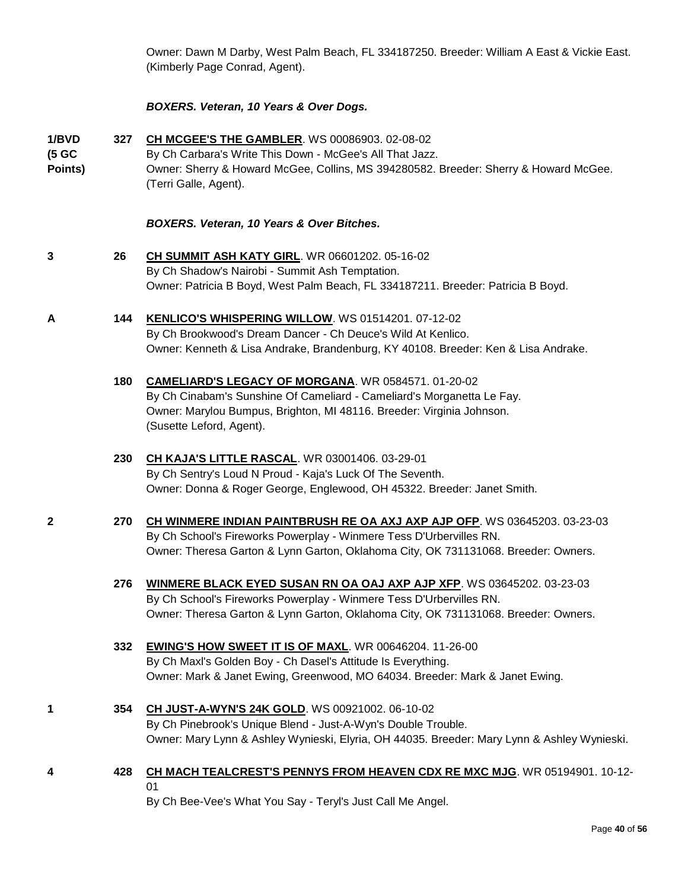Owner: Dawn M Darby, West Palm Beach, FL 334187250. Breeder: William A East & Vickie East. (Kimberly Page Conrad, Agent).

#### *BOXERS. Veteran, 10 Years & Over Dogs.*

**1/BVD (5 GC Points) 327 [CH MCGEE'S THE GAMBLER](http://www.infodog.com/files/bdogrsl1.prg;makc=WS%2000086903;mdog=Ch_McGee_s_The_Gambler;wins=all)**. WS 00086903. 02-08-02 By Ch Carbara's Write This Down - McGee's All That Jazz. Owner: Sherry & Howard McGee, Collins, MS 394280582. Breeder: Sherry & Howard McGee. (Terri Galle, Agent).

#### *BOXERS. Veteran, 10 Years & Over Bitches.*

- **3 26 [CH SUMMIT ASH KATY GIRL](http://www.infodog.com/files/bdogrsl1.prg;makc=WR%2006601202;mdog=Ch_Summit_Ash_Katy_Girl;wins=all)**. WR 06601202. 05-16-02 By Ch Shadow's Nairobi - Summit Ash Temptation. Owner: Patricia B Boyd, West Palm Beach, FL 334187211. Breeder: Patricia B Boyd.
- **A 144 [KENLICO'S WHISPERING WILLOW](http://www.infodog.com/files/bdogrsl1.prg;makc=WS%2001514201;mdog=Kenlico_s_Whispering_Willow;wins=all)**. WS 01514201. 07-12-02 By Ch Brookwood's Dream Dancer - Ch Deuce's Wild At Kenlico. Owner: Kenneth & Lisa Andrake, Brandenburg, KY 40108. Breeder: Ken & Lisa Andrake.
	- **180 [CAMELIARD'S LEGACY OF MORGANA](http://www.infodog.com/files/bdogrsl1.prg;makc=WR%200584571;mdog=Cameliard_s_Legacy_Of_Morgana;wins=all)**. WR 0584571. 01-20-02 By Ch Cinabam's Sunshine Of Cameliard - Cameliard's Morganetta Le Fay. Owner: Marylou Bumpus, Brighton, MI 48116. Breeder: Virginia Johnson. (Susette Leford, Agent).

#### **230 [CH KAJA'S LITTLE RASCAL](http://www.infodog.com/files/bdogrsl1.prg;makc=WR%2003001406;mdog=Ch_Kaja_s_Little_Rascal;wins=all)**. WR 03001406. 03-29-01 By Ch Sentry's Loud N Proud - Kaja's Luck Of The Seventh. Owner: Donna & Roger George, Englewood, OH 45322. Breeder: Janet Smith.

- **2 270 [CH WINMERE INDIAN PAINTBRUSH RE OA AXJ AXP AJP OFP](http://www.infodog.com/files/bdogrsl1.prg;makc=WS%2003645203;mdog=Ch_Winmere_Indian_Paintbrush_RE_OA_AXJ_AXP_AJP_OFP;wins=all)**. WS 03645203. 03-23-03 By Ch School's Fireworks Powerplay - Winmere Tess D'Urbervilles RN. Owner: Theresa Garton & Lynn Garton, Oklahoma City, OK 731131068. Breeder: Owners.
	- **276 [WINMERE BLACK EYED SUSAN RN OA OAJ AXP AJP XFP](http://www.infodog.com/files/bdogrsl1.prg;makc=WS%2003645202;mdog=Winmere_Black_Eyed_Susan_RN_OA_OAJ_AXP_AJP_XFP;wins=all)**. WS 03645202. 03-23-03 By Ch School's Fireworks Powerplay - Winmere Tess D'Urbervilles RN. Owner: Theresa Garton & Lynn Garton, Oklahoma City, OK 731131068. Breeder: Owners.
	- **332 [EWING'S HOW SWEET IT IS OF MAXL](http://www.infodog.com/files/bdogrsl1.prg;makc=WR%2000646204;mdog=Ewing_s_How_Sweet_It_Is_Of_Maxl;wins=all)**. WR 00646204. 11-26-00 By Ch Maxl's Golden Boy - Ch Dasel's Attitude Is Everything. Owner: Mark & Janet Ewing, Greenwood, MO 64034. Breeder: Mark & Janet Ewing.
- **1 354 [CH JUST-A-WYN'S 24K GOLD](http://www.infodog.com/files/bdogrsl1.prg;makc=WS%2000921002;mdog=Ch_Just-A-Wyn_s_24K_Gold;wins=all)**. WS 00921002. 06-10-02 By Ch Pinebrook's Unique Blend - Just-A-Wyn's Double Trouble. Owner: Mary Lynn & Ashley Wynieski, Elyria, OH 44035. Breeder: Mary Lynn & Ashley Wynieski.
- **4 428 [CH MACH TEALCREST'S PENNYS FROM HEAVEN CDX RE MXC MJG](http://www.infodog.com/files/bdogrsl1.prg;makc=WR%2005194901;mdog=Ch_MACH_TealCrest_s_Pennys_From_Heaven_CDX_RE_MXC_MJG;wins=all)**. WR 05194901. 10-12- 01

By Ch Bee-Vee's What You Say - Teryl's Just Call Me Angel.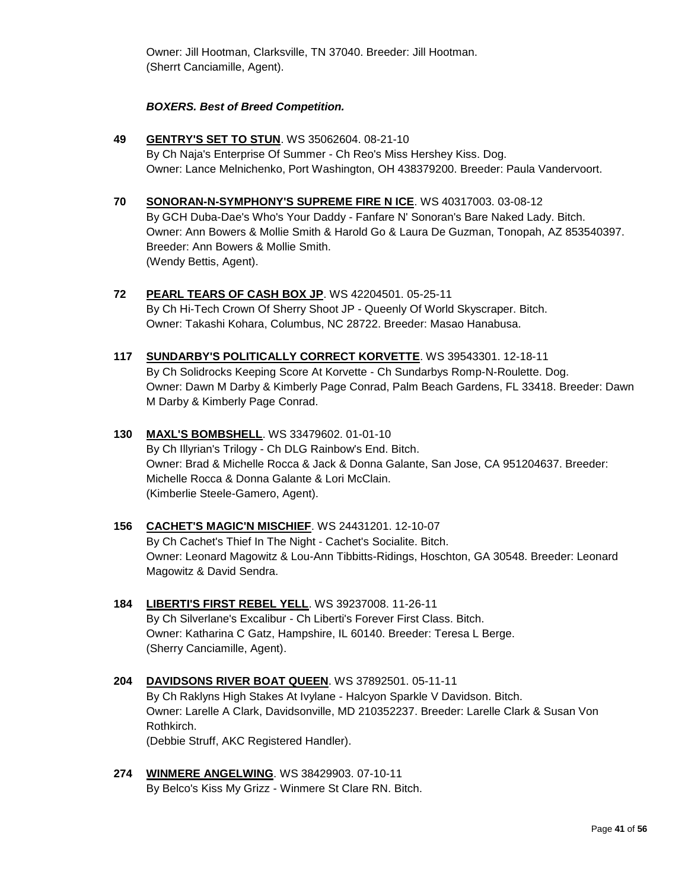Owner: Jill Hootman, Clarksville, TN 37040. Breeder: Jill Hootman. (Sherrt Canciamille, Agent).

#### *BOXERS. Best of Breed Competition.*

- **49 [GENTRY'S SET TO STUN](http://www.infodog.com/files/bdogrsl1.prg;makc=WS%2035062604;mdog=Gentry_s_Set_To_Stun;wins=all)**. WS 35062604. 08-21-10 By Ch Naja's Enterprise Of Summer - Ch Reo's Miss Hershey Kiss. Dog. Owner: Lance Melnichenko, Port Washington, OH 438379200. Breeder: Paula Vandervoort.
- **70 [SONORAN-N-SYMPHONY'S SUPREME FIRE N ICE](http://www.infodog.com/files/bdogrsl1.prg;makc=WS%2040317003;mdog=Sonoran-N-Symphony_s_Supreme_Fire_N_Ice;wins=all)**. WS 40317003. 03-08-12 By GCH Duba-Dae's Who's Your Daddy - Fanfare N' Sonoran's Bare Naked Lady. Bitch. Owner: Ann Bowers & Mollie Smith & Harold Go & Laura De Guzman, Tonopah, AZ 853540397. Breeder: Ann Bowers & Mollie Smith. (Wendy Bettis, Agent).
- **72 [PEARL TEARS OF CASH BOX JP](http://www.infodog.com/files/bdogrsl1.prg;makc=WS%2042204501;mdog=Pearl_Tears_Of_Cash_Box_JP;wins=all)**. WS 42204501. 05-25-11 By Ch Hi-Tech Crown Of Sherry Shoot JP - Queenly Of World Skyscraper. Bitch. Owner: Takashi Kohara, Columbus, NC 28722. Breeder: Masao Hanabusa.
- **117 [SUNDARBY'S POLITICALLY CORRECT KORVETTE](http://www.infodog.com/files/bdogrsl1.prg;makc=WS%2039543301;mdog=Sundarby_s_Politically_Correct_Korvette;wins=all)**. WS 39543301. 12-18-11 By Ch Solidrocks Keeping Score At Korvette - Ch Sundarbys Romp-N-Roulette. Dog. Owner: Dawn M Darby & Kimberly Page Conrad, Palm Beach Gardens, FL 33418. Breeder: Dawn M Darby & Kimberly Page Conrad.
- **130 [MAXL'S BOMBSHELL](http://www.infodog.com/files/bdogrsl1.prg;makc=WS%2033479602;mdog=Maxl_s_Bombshell;wins=all)**. WS 33479602. 01-01-10 By Ch Illyrian's Trilogy - Ch DLG Rainbow's End. Bitch. Owner: Brad & Michelle Rocca & Jack & Donna Galante, San Jose, CA 951204637. Breeder: Michelle Rocca & Donna Galante & Lori McClain. (Kimberlie Steele-Gamero, Agent).
- **156 [CACHET'S MAGIC'N MISCHIEF](http://www.infodog.com/files/bdogrsl1.prg;makc=WS%2024431201;mdog=Cachet_s_Magic_N_Mischief;wins=all)**. WS 24431201. 12-10-07 By Ch Cachet's Thief In The Night - Cachet's Socialite. Bitch. Owner: Leonard Magowitz & Lou-Ann Tibbitts-Ridings, Hoschton, GA 30548. Breeder: Leonard Magowitz & David Sendra.
- **184 [LIBERTI'S FIRST REBEL YELL](http://www.infodog.com/files/bdogrsl1.prg;makc=WS%2039237008;mdog=Liberti_s_First_Rebel_Yell;wins=all)**. WS 39237008. 11-26-11 By Ch Silverlane's Excalibur - Ch Liberti's Forever First Class. Bitch. Owner: Katharina C Gatz, Hampshire, IL 60140. Breeder: Teresa L Berge. (Sherry Canciamille, Agent).
- **204 [DAVIDSONS RIVER BOAT QUEEN](http://www.infodog.com/files/bdogrsl1.prg;makc=WS%2037892501;mdog=Davidsons_River_Boat_Queen;wins=all)**. WS 37892501. 05-11-11 By Ch Raklyns High Stakes At Ivylane - Halcyon Sparkle V Davidson. Bitch. Owner: Larelle A Clark, Davidsonville, MD 210352237. Breeder: Larelle Clark & Susan Von Rothkirch. (Debbie Struff, AKC Registered Handler).
- **274 [WINMERE ANGELWING](http://www.infodog.com/files/bdogrsl1.prg;makc=WS%2038429903;mdog=Winmere_Angelwing;wins=all)**. WS 38429903. 07-10-11 By Belco's Kiss My Grizz - Winmere St Clare RN. Bitch.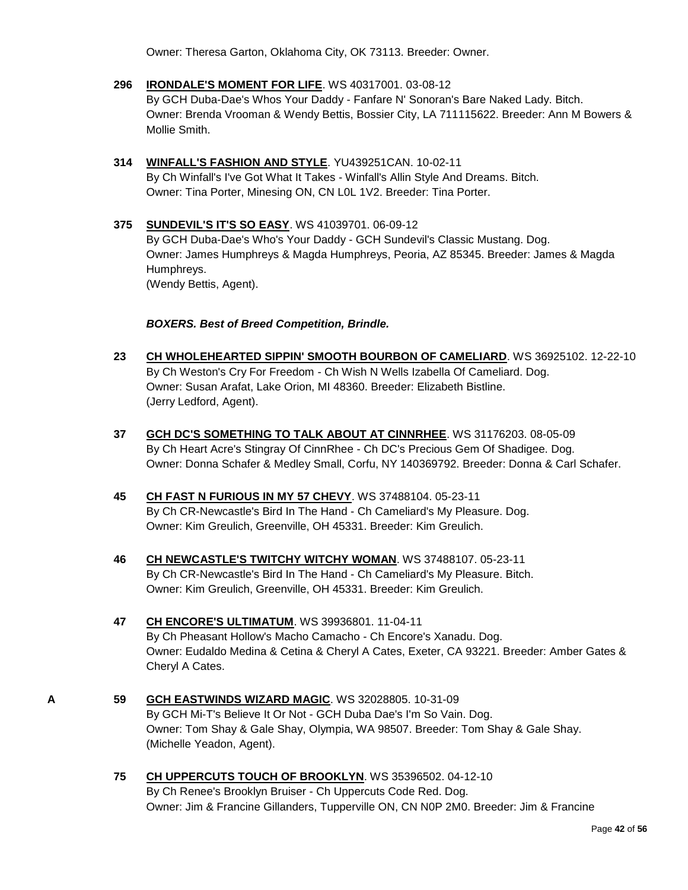Owner: Theresa Garton, Oklahoma City, OK 73113. Breeder: Owner.

- **296 [IRONDALE'S MOMENT FOR LIFE](http://www.infodog.com/files/bdogrsl1.prg;makc=WS%2040317001;mdog=Irondale_s_Moment_For_Life;wins=all)**. WS 40317001. 03-08-12 By GCH Duba-Dae's Whos Your Daddy - Fanfare N' Sonoran's Bare Naked Lady. Bitch. Owner: Brenda Vrooman & Wendy Bettis, Bossier City, LA 711115622. Breeder: Ann M Bowers & Mollie Smith.
- **314 [WINFALL'S FASHION AND STYLE](http://www.infodog.com/files/bdogrsl1.prg;makc=YU439251CAN;mdog=Winfall_s_Fashion_And_Style;wins=all)**. YU439251CAN. 10-02-11 By Ch Winfall's I've Got What It Takes - Winfall's Allin Style And Dreams. Bitch. Owner: Tina Porter, Minesing ON, CN L0L 1V2. Breeder: Tina Porter.
- **375 [SUNDEVIL'S IT'S SO EASY](http://www.infodog.com/files/bdogrsl1.prg;makc=WS%2041039701;mdog=Sundevil_s_It_s_So_Easy;wins=all)**. WS 41039701. 06-09-12 By GCH Duba-Dae's Who's Your Daddy - GCH Sundevil's Classic Mustang. Dog. Owner: James Humphreys & Magda Humphreys, Peoria, AZ 85345. Breeder: James & Magda Humphreys. (Wendy Bettis, Agent).

#### *BOXERS. Best of Breed Competition, Brindle.*

- **23 [CH WHOLEHEARTED SIPPIN' SMOOTH BOURBON OF CAMELIARD](http://www.infodog.com/files/bdogrsl1.prg;makc=WS%2036925102;mdog=Ch_Wholehearted_Sippin__Smooth_Bourbon_Of_Cameliard;wins=all)**. WS 36925102. 12-22-10 By Ch Weston's Cry For Freedom - Ch Wish N Wells Izabella Of Cameliard. Dog. Owner: Susan Arafat, Lake Orion, MI 48360. Breeder: Elizabeth Bistline. (Jerry Ledford, Agent).
- **37 [GCH DC'S SOMETHING TO TALK ABOUT AT CINNRHEE](http://www.infodog.com/files/bdogrsl1.prg;makc=WS%2031176203;mdog=GCH_DC_s_Something_To_Talk_About_At_CinnRhee;wins=all)**. WS 31176203. 08-05-09 By Ch Heart Acre's Stingray Of CinnRhee - Ch DC's Precious Gem Of Shadigee. Dog. Owner: Donna Schafer & Medley Small, Corfu, NY 140369792. Breeder: Donna & Carl Schafer.
- **45 [CH FAST N FURIOUS IN MY 57 CHEVY](http://www.infodog.com/files/bdogrsl1.prg;makc=WS%2037488104;mdog=Ch_Fast_N_Furious_In_My_57_Chevy;wins=all)**. WS 37488104. 05-23-11 By Ch CR-Newcastle's Bird In The Hand - Ch Cameliard's My Pleasure. Dog. Owner: Kim Greulich, Greenville, OH 45331. Breeder: Kim Greulich.
- **46 [CH NEWCASTLE'S TWITCHY WITCHY WOMAN](http://www.infodog.com/files/bdogrsl1.prg;makc=WS%2037488107;mdog=Ch_Newcastle_s_Twitchy_Witchy_Woman;wins=all)**. WS 37488107. 05-23-11 By Ch CR-Newcastle's Bird In The Hand - Ch Cameliard's My Pleasure. Bitch. Owner: Kim Greulich, Greenville, OH 45331. Breeder: Kim Greulich.
- **47 [CH ENCORE'S ULTIMATUM](http://www.infodog.com/files/bdogrsl1.prg;makc=WS%2039936801;mdog=Ch_Encore_s_Ultimatum;wins=all)**. WS 39936801. 11-04-11 By Ch Pheasant Hollow's Macho Camacho - Ch Encore's Xanadu. Dog. Owner: Eudaldo Medina & Cetina & Cheryl A Cates, Exeter, CA 93221. Breeder: Amber Gates & Cheryl A Cates.
- **A 59 [GCH EASTWINDS WIZARD MAGIC](http://www.infodog.com/files/bdogrsl1.prg;makc=WS%2032028805;mdog=GCH_Eastwinds_Wizard_Magic;wins=all)**. WS 32028805. 10-31-09 By GCH Mi-T's Believe It Or Not - GCH Duba Dae's I'm So Vain. Dog. Owner: Tom Shay & Gale Shay, Olympia, WA 98507. Breeder: Tom Shay & Gale Shay. (Michelle Yeadon, Agent).
	- **75 [CH UPPERCUTS TOUCH OF BROOKLYN](http://www.infodog.com/files/bdogrsl1.prg;makc=WS%2035396502;mdog=Ch_Uppercuts_Touch_Of_Brooklyn;wins=all)**. WS 35396502. 04-12-10 By Ch Renee's Brooklyn Bruiser - Ch Uppercuts Code Red. Dog. Owner: Jim & Francine Gillanders, Tupperville ON, CN N0P 2M0. Breeder: Jim & Francine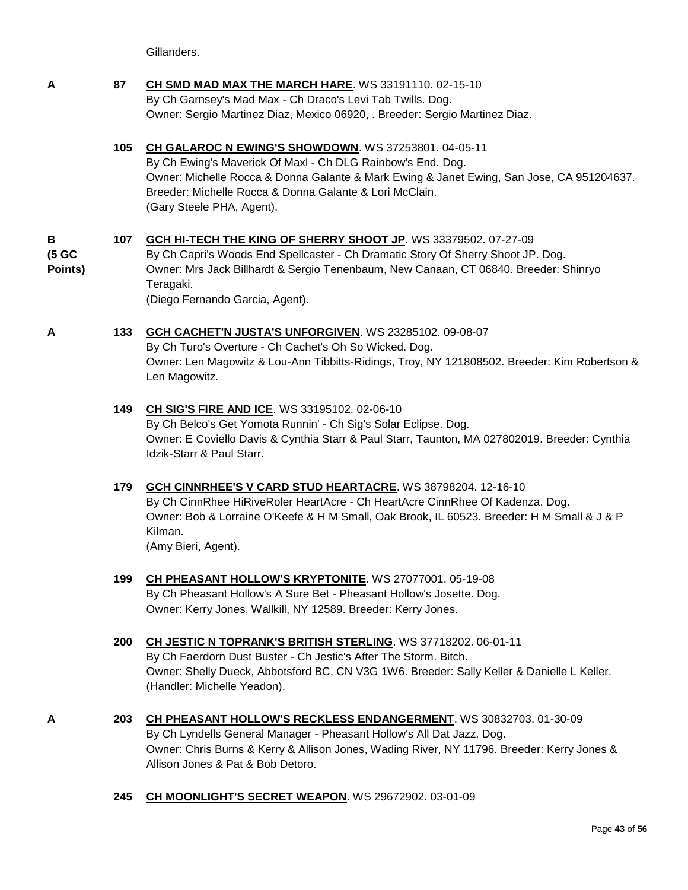Gillanders.

- **A 87 [CH SMD MAD MAX THE MARCH HARE](http://www.infodog.com/files/bdogrsl1.prg;makc=WS%2033191110;mdog=Ch_SMD_Mad_Max_The_March_Hare;wins=all)**. WS 33191110. 02-15-10 By Ch Garnsey's Mad Max - Ch Draco's Levi Tab Twills. Dog. Owner: Sergio Martinez Diaz, Mexico 06920, . Breeder: Sergio Martinez Diaz.
	- **105 [CH GALAROC N EWING'S SHOWDOWN](http://www.infodog.com/files/bdogrsl1.prg;makc=WS%2037253801;mdog=Ch_GalaRoc_N_Ewing_s_Showdown;wins=all)**. WS 37253801. 04-05-11 By Ch Ewing's Maverick Of Maxl - Ch DLG Rainbow's End. Dog. Owner: Michelle Rocca & Donna Galante & Mark Ewing & Janet Ewing, San Jose, CA 951204637. Breeder: Michelle Rocca & Donna Galante & Lori McClain. (Gary Steele PHA, Agent).

#### **B (5 GC Points) 107 [GCH HI-TECH THE KING OF SHERRY SHOOT JP](http://www.infodog.com/files/bdogrsl1.prg;makc=WS%2033379502;mdog=GCH_Hi-Tech_The_King_Of_Sherry_Shoot_JP;wins=all)**. WS 33379502. 07-27-09 By Ch Capri's Woods End Spellcaster - Ch Dramatic Story Of Sherry Shoot JP. Dog. Owner: Mrs Jack Billhardt & Sergio Tenenbaum, New Canaan, CT 06840. Breeder: Shinryo Teragaki. (Diego Fernando Garcia, Agent).

#### **A 133 [GCH CACHET'N JUSTA'S UNFORGIVEN](http://www.infodog.com/files/bdogrsl1.prg;makc=WS%2023285102;mdog=GCH_Cachet_N_Justa_s_Unforgiven;wins=all)**. WS 23285102. 09-08-07 By Ch Turo's Overture - Ch Cachet's Oh So Wicked. Dog. Owner: Len Magowitz & Lou-Ann Tibbitts-Ridings, Troy, NY 121808502. Breeder: Kim Robertson & Len Magowitz.

#### **149 [CH SIG'S FIRE AND ICE](http://www.infodog.com/files/bdogrsl1.prg;makc=WS%2033195102;mdog=Ch_Sig_s_Fire_And_Ice;wins=all)**. WS 33195102. 02-06-10 By Ch Belco's Get Yomota Runnin' - Ch Sig's Solar Eclipse. Dog. Owner: E Coviello Davis & Cynthia Starr & Paul Starr, Taunton, MA 027802019. Breeder: Cynthia Idzik-Starr & Paul Starr.

### **179 [GCH CINNRHEE'S V CARD STUD HEARTACRE](http://www.infodog.com/files/bdogrsl1.prg;makc=WS%2038798204;mdog=GCH_CinnRhee_s_V_Card_Stud_HeartAcre;wins=all)**. WS 38798204. 12-16-10 By Ch CinnRhee HiRiveRoler HeartAcre - Ch HeartAcre CinnRhee Of Kadenza. Dog. Owner: Bob & Lorraine O'Keefe & H M Small, Oak Brook, IL 60523. Breeder: H M Small & J & P Kilman. (Amy Bieri, Agent).

**199 [CH PHEASANT HOLLOW'S KRYPTONITE](http://www.infodog.com/files/bdogrsl1.prg;makc=WS%2027077001;mdog=Ch_Pheasant_Hollow_s_Kryptonite;wins=all)**. WS 27077001. 05-19-08 By Ch Pheasant Hollow's A Sure Bet - Pheasant Hollow's Josette. Dog. Owner: Kerry Jones, Wallkill, NY 12589. Breeder: Kerry Jones.

#### **200 [CH JESTIC N TOPRANK'S BRITISH STERLING](http://www.infodog.com/files/bdogrsl1.prg;makc=WS%2037718202;mdog=Ch_Jestic_N_Toprank_s_British_Sterling;wins=all)**. WS 37718202. 06-01-11 By Ch Faerdorn Dust Buster - Ch Jestic's After The Storm. Bitch.

Owner: Shelly Dueck, Abbotsford BC, CN V3G 1W6. Breeder: Sally Keller & Danielle L Keller. (Handler: Michelle Yeadon).

- **A 203 [CH PHEASANT HOLLOW'S RECKLESS ENDANGERMENT](http://www.infodog.com/files/bdogrsl1.prg;makc=WS%2030832703;mdog=Ch_Pheasant_Hollow_s_Reckless_Endangerment;wins=all)**. WS 30832703. 01-30-09 By Ch Lyndells General Manager - Pheasant Hollow's All Dat Jazz. Dog. Owner: Chris Burns & Kerry & Allison Jones, Wading River, NY 11796. Breeder: Kerry Jones & Allison Jones & Pat & Bob Detoro.
	- **245 [CH MOONLIGHT'S SECRET WEAPON](http://www.infodog.com/files/bdogrsl1.prg;makc=WS%2029672902;mdog=Ch_Moonlight_s_Secret_Weapon;wins=all)**. WS 29672902. 03-01-09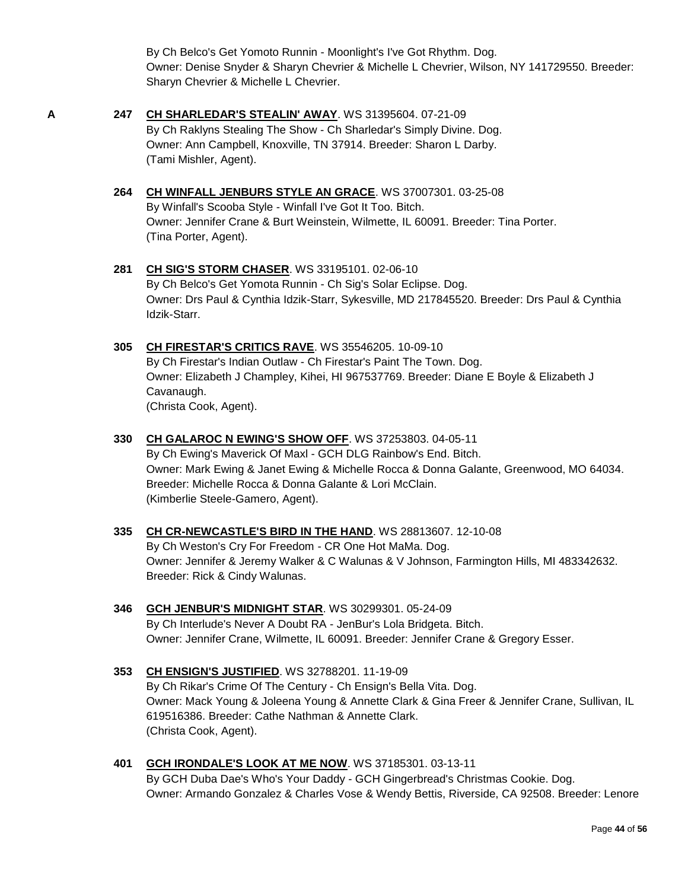By Ch Belco's Get Yomoto Runnin - Moonlight's I've Got Rhythm. Dog. Owner: Denise Snyder & Sharyn Chevrier & Michelle L Chevrier, Wilson, NY 141729550. Breeder: Sharyn Chevrier & Michelle L Chevrier.

- 
- **A 247 [CH SHARLEDAR'S STEALIN' AWAY](http://www.infodog.com/files/bdogrsl1.prg;makc=WS%2031395604;mdog=Ch_Sharledar_s_Stealin__Away;wins=all)**. WS 31395604. 07-21-09 By Ch Raklyns Stealing The Show - Ch Sharledar's Simply Divine. Dog. Owner: Ann Campbell, Knoxville, TN 37914. Breeder: Sharon L Darby. (Tami Mishler, Agent).
	- **264 [CH WINFALL JENBURS STYLE AN GRACE](http://www.infodog.com/files/bdogrsl1.prg;makc=WS%2037007301;mdog=Ch_Winfall_JenBurs_Style_An_Grace;wins=all)**. WS 37007301. 03-25-08 By Winfall's Scooba Style - Winfall I've Got It Too. Bitch. Owner: Jennifer Crane & Burt Weinstein, Wilmette, IL 60091. Breeder: Tina Porter. (Tina Porter, Agent).
	- **281 [CH SIG'S STORM CHASER](http://www.infodog.com/files/bdogrsl1.prg;makc=WS%2033195101;mdog=Ch_Sig_s_Storm_Chaser;wins=all)**. WS 33195101. 02-06-10 By Ch Belco's Get Yomota Runnin - Ch Sig's Solar Eclipse. Dog. Owner: Drs Paul & Cynthia Idzik-Starr, Sykesville, MD 217845520. Breeder: Drs Paul & Cynthia Idzik-Starr.
	- **305 [CH FIRESTAR'S CRITICS RAVE](http://www.infodog.com/files/bdogrsl1.prg;makc=WS%2035546205;mdog=Ch_Firestar_s_Critics_Rave;wins=all)**. WS 35546205. 10-09-10 By Ch Firestar's Indian Outlaw - Ch Firestar's Paint The Town. Dog. Owner: Elizabeth J Champley, Kihei, HI 967537769. Breeder: Diane E Boyle & Elizabeth J Cavanaugh. (Christa Cook, Agent).
	- **330 [CH GALAROC N EWING'S SHOW OFF](http://www.infodog.com/files/bdogrsl1.prg;makc=WS%2037253803;mdog=Ch_Galaroc_N_Ewing_s_Show_Off;wins=all)**. WS 37253803. 04-05-11 By Ch Ewing's Maverick Of Maxl - GCH DLG Rainbow's End. Bitch. Owner: Mark Ewing & Janet Ewing & Michelle Rocca & Donna Galante, Greenwood, MO 64034. Breeder: Michelle Rocca & Donna Galante & Lori McClain. (Kimberlie Steele-Gamero, Agent).
	- **335 [CH CR-NEWCASTLE'S BIRD IN THE HAND](http://www.infodog.com/files/bdogrsl1.prg;makc=WS%2028813607;mdog=Ch_CR-Newcastle_s_Bird_In_The_Hand;wins=all)**. WS 28813607. 12-10-08 By Ch Weston's Cry For Freedom - CR One Hot MaMa. Dog. Owner: Jennifer & Jeremy Walker & C Walunas & V Johnson, Farmington Hills, MI 483342632. Breeder: Rick & Cindy Walunas.
	- **346 [GCH JENBUR'S MIDNIGHT STAR](http://www.infodog.com/files/bdogrsl1.prg;makc=WS%2030299301;mdog=GCH_JenBur_s_Midnight_Star;wins=all)**. WS 30299301. 05-24-09 By Ch Interlude's Never A Doubt RA - JenBur's Lola Bridgeta. Bitch. Owner: Jennifer Crane, Wilmette, IL 60091. Breeder: Jennifer Crane & Gregory Esser.
	- **353 [CH ENSIGN'S JUSTIFIED](http://www.infodog.com/files/bdogrsl1.prg;makc=WS%2032788201;mdog=Ch_Ensign_s_Justified;wins=all)**. WS 32788201. 11-19-09 By Ch Rikar's Crime Of The Century - Ch Ensign's Bella Vita. Dog. Owner: Mack Young & Joleena Young & Annette Clark & Gina Freer & Jennifer Crane, Sullivan, IL 619516386. Breeder: Cathe Nathman & Annette Clark. (Christa Cook, Agent).
	- **401 [GCH IRONDALE'S LOOK AT ME NOW](http://www.infodog.com/files/bdogrsl1.prg;makc=WS%2037185301;mdog=GCH_Irondale_s_Look_At_Me_Now;wins=all)**. WS 37185301. 03-13-11 By GCH Duba Dae's Who's Your Daddy - GCH Gingerbread's Christmas Cookie. Dog. Owner: Armando Gonzalez & Charles Vose & Wendy Bettis, Riverside, CA 92508. Breeder: Lenore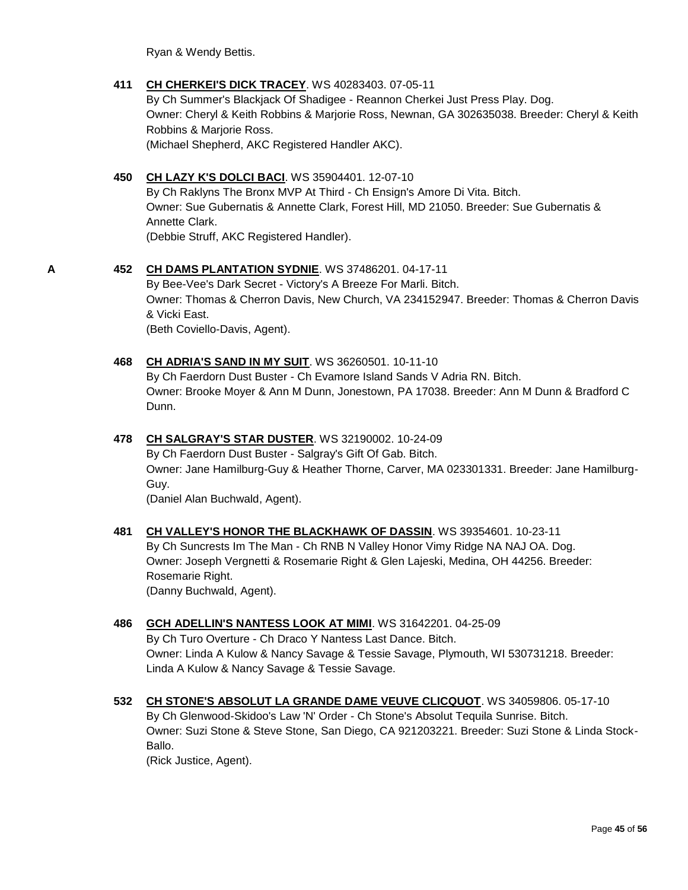Ryan & Wendy Bettis.

#### **411 [CH CHERKEI'S DICK TRACEY](http://www.infodog.com/files/bdogrsl1.prg;makc=WS%2040283403;mdog=Ch_Cherkei_s_Dick_Tracey;wins=all)**. WS 40283403. 07-05-11

By Ch Summer's Blackjack Of Shadigee - Reannon Cherkei Just Press Play. Dog. Owner: Cheryl & Keith Robbins & Marjorie Ross, Newnan, GA 302635038. Breeder: Cheryl & Keith Robbins & Marjorie Ross. (Michael Shepherd, AKC Registered Handler AKC).

#### **450 [CH LAZY K'S DOLCI BACI](http://www.infodog.com/files/bdogrsl1.prg;makc=WS%2035904401;mdog=Ch_Lazy_K_s_Dolci_Baci;wins=all)**. WS 35904401. 12-07-10

By Ch Raklyns The Bronx MVP At Third - Ch Ensign's Amore Di Vita. Bitch. Owner: Sue Gubernatis & Annette Clark, Forest Hill, MD 21050. Breeder: Sue Gubernatis & Annette Clark. (Debbie Struff, AKC Registered Handler).

#### **A 452 [CH DAMS PLANTATION SYDNIE](http://www.infodog.com/files/bdogrsl1.prg;makc=WS%2037486201;mdog=Ch_Dams_Plantation_Sydnie;wins=all)**. WS 37486201. 04-17-11

By Bee-Vee's Dark Secret - Victory's A Breeze For Marli. Bitch. Owner: Thomas & Cherron Davis, New Church, VA 234152947. Breeder: Thomas & Cherron Davis & Vicki East. (Beth Coviello-Davis, Agent).

#### **468 [CH ADRIA'S SAND IN MY SUIT](http://www.infodog.com/files/bdogrsl1.prg;makc=WS%2036260501;mdog=Ch_Adria_s_Sand_In_My_Suit;wins=all)**. WS 36260501. 10-11-10

By Ch Faerdorn Dust Buster - Ch Evamore Island Sands V Adria RN. Bitch. Owner: Brooke Moyer & Ann M Dunn, Jonestown, PA 17038. Breeder: Ann M Dunn & Bradford C Dunn.

#### **478 [CH SALGRAY'S STAR DUSTER](http://www.infodog.com/files/bdogrsl1.prg;makc=WS%2032190002;mdog=Ch_Salgray_s_Star_Duster;wins=all)**. WS 32190002. 10-24-09

By Ch Faerdorn Dust Buster - Salgray's Gift Of Gab. Bitch. Owner: Jane Hamilburg-Guy & Heather Thorne, Carver, MA 023301331. Breeder: Jane Hamilburg-Guy.

(Daniel Alan Buchwald, Agent).

#### **481 [CH VALLEY'S HONOR THE BLACKHAWK OF DASSIN](http://www.infodog.com/files/bdogrsl1.prg;makc=WS%2039354601;mdog=Ch_Valley_s_Honor_The_Blackhawk_Of_Dassin;wins=all)**. WS 39354601. 10-23-11 By Ch Suncrests Im The Man - Ch RNB N Valley Honor Vimy Ridge NA NAJ OA. Dog. Owner: Joseph Vergnetti & Rosemarie Right & Glen Lajeski, Medina, OH 44256. Breeder: Rosemarie Right. (Danny Buchwald, Agent).

#### **486 [GCH ADELLIN'S NANTESS LOOK AT MIMI](http://www.infodog.com/files/bdogrsl1.prg;makc=WS%2031642201;mdog=GCH_Adellin_s_Nantess_Look_At_Mimi;wins=all)**. WS 31642201. 04-25-09 By Ch Turo Overture - Ch Draco Y Nantess Last Dance. Bitch.

Owner: Linda A Kulow & Nancy Savage & Tessie Savage, Plymouth, WI 530731218. Breeder: Linda A Kulow & Nancy Savage & Tessie Savage.

### **532 [CH STONE'S ABSOLUT LA GRANDE DAME VEUVE CLICQUOT](http://www.infodog.com/files/bdogrsl1.prg;makc=WS%2034059806;mdog=Ch_Stone_s_Absolut_La_Grande_Dame_Veuve_Clicquot;wins=all)**. WS 34059806. 05-17-10 By Ch Glenwood-Skidoo's Law 'N' Order - Ch Stone's Absolut Tequila Sunrise. Bitch. Owner: Suzi Stone & Steve Stone, San Diego, CA 921203221. Breeder: Suzi Stone & Linda Stock-Ballo.

(Rick Justice, Agent).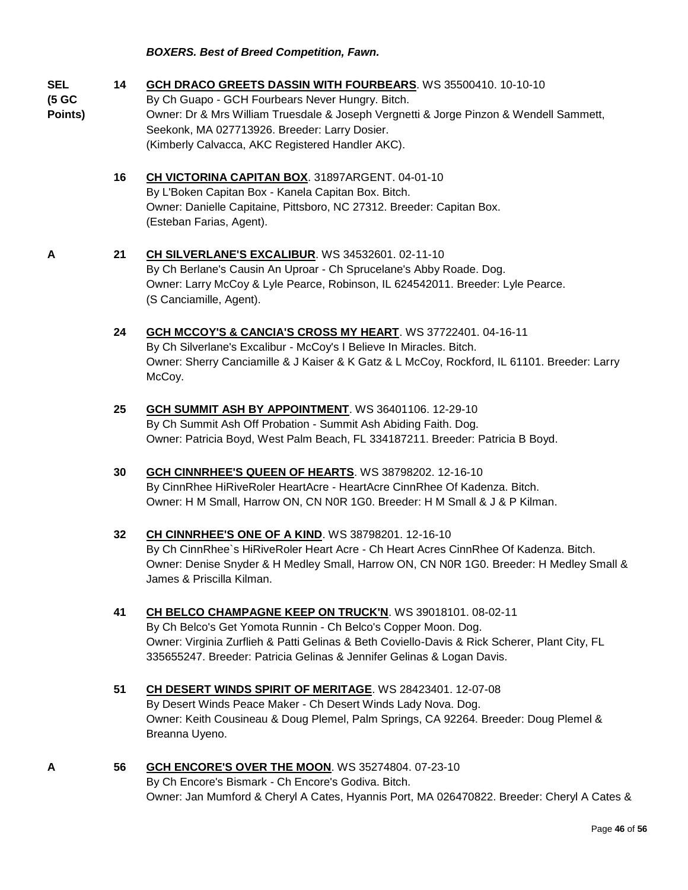#### *BOXERS. Best of Breed Competition, Fawn.*

| <b>SEL</b><br>(5 GC<br>Points) | 14 | GCH DRACO GREETS DASSIN WITH FOURBEARS. WS 35500410. 10-10-10<br>By Ch Guapo - GCH Fourbears Never Hungry. Bitch.<br>Owner: Dr & Mrs William Truesdale & Joseph Vergnetti & Jorge Pinzon & Wendell Sammett,<br>Seekonk, MA 027713926. Breeder: Larry Dosier.<br>(Kimberly Calvacca, AKC Registered Handler AKC). |
|--------------------------------|----|------------------------------------------------------------------------------------------------------------------------------------------------------------------------------------------------------------------------------------------------------------------------------------------------------------------|
|                                | 16 | CH VICTORINA CAPITAN BOX. 31897ARGENT. 04-01-10<br>By L'Boken Capitan Box - Kanela Capitan Box. Bitch.<br>Owner: Danielle Capitaine, Pittsboro, NC 27312. Breeder: Capitan Box.<br>(Esteban Farias, Agent).                                                                                                      |
| A                              | 21 | CH SILVERLANE'S EXCALIBUR. WS 34532601. 02-11-10<br>By Ch Berlane's Causin An Uproar - Ch Sprucelane's Abby Roade. Dog.<br>Owner: Larry McCoy & Lyle Pearce, Robinson, IL 624542011. Breeder: Lyle Pearce.<br>(S Canciamille, Agent).                                                                            |
|                                | 24 | GCH MCCOY'S & CANCIA'S CROSS MY HEART. WS 37722401.04-16-11<br>By Ch Silverlane's Excalibur - McCoy's I Believe In Miracles. Bitch.<br>Owner: Sherry Canciamille & J Kaiser & K Gatz & L McCoy, Rockford, IL 61101. Breeder: Larry<br>McCoy.                                                                     |
|                                | 25 | GCH SUMMIT ASH BY APPOINTMENT. WS 36401106. 12-29-10<br>By Ch Summit Ash Off Probation - Summit Ash Abiding Faith. Dog.<br>Owner: Patricia Boyd, West Palm Beach, FL 334187211. Breeder: Patricia B Boyd.                                                                                                        |
|                                | 30 | GCH CINNRHEE'S QUEEN OF HEARTS. WS 38798202. 12-16-10<br>By CinnRhee HiRiveRoler HeartAcre - HeartAcre CinnRhee Of Kadenza. Bitch.<br>Owner: H M Small, Harrow ON, CN N0R 1G0. Breeder: H M Small & J & P Kilman.                                                                                                |
|                                | 32 | <b>CH CINNRHEE'S ONE OF A KIND. WS 38798201. 12-16-10</b><br>By Ch CinnRhee's HiRiveRoler Heart Acre - Ch Heart Acres CinnRhee Of Kadenza. Bitch.<br>Owner: Denise Snyder & H Medley Small, Harrow ON, CN N0R 1G0. Breeder: H Medley Small &<br>James & Priscilla Kilman.                                        |
|                                | 41 | CH BELCO CHAMPAGNE KEEP ON TRUCK'N. WS 39018101. 08-02-11<br>By Ch Belco's Get Yomota Runnin - Ch Belco's Copper Moon. Dog.<br>Owner: Virginia Zurflieh & Patti Gelinas & Beth Coviello-Davis & Rick Scherer, Plant City, FL<br>335655247. Breeder: Patricia Gelinas & Jennifer Gelinas & Logan Davis.           |
|                                | 51 | CH DESERT WINDS SPIRIT OF MERITAGE. WS 28423401. 12-07-08<br>By Desert Winds Peace Maker - Ch Desert Winds Lady Nova. Dog.<br>Owner: Keith Cousineau & Doug Plemel, Palm Springs, CA 92264. Breeder: Doug Plemel &<br>Breanna Uyeno.                                                                             |

**A 56 [GCH ENCORE'S OVER THE MOON](http://www.infodog.com/files/bdogrsl1.prg;makc=WS%2035274804;mdog=GCH_Encore_s_Over_The_Moon;wins=all)**. WS 35274804. 07-23-10 By Ch Encore's Bismark - Ch Encore's Godiva. Bitch. Owner: Jan Mumford & Cheryl A Cates, Hyannis Port, MA 026470822. Breeder: Cheryl A Cates &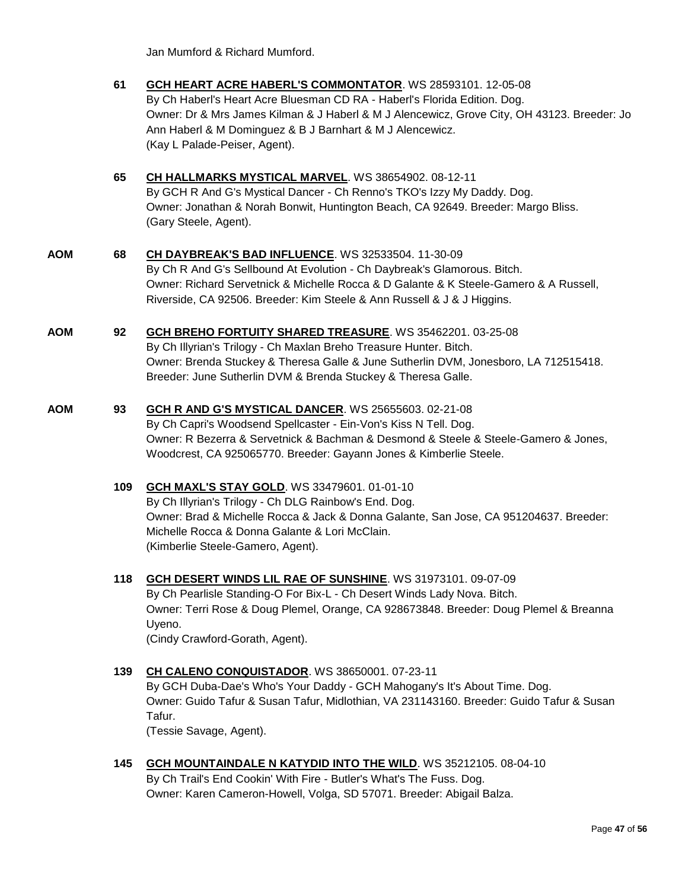Jan Mumford & Richard Mumford.

|     | 61  | <b>GCH HEART ACRE HABERL'S COMMONTATOR. WS 28593101. 12-05-08</b><br>By Ch Haberl's Heart Acre Bluesman CD RA - Haberl's Florida Edition. Dog.<br>Owner: Dr & Mrs James Kilman & J Haberl & M J Alencewicz, Grove City, OH 43123. Breeder: Jo<br>Ann Haberl & M Dominguez & B J Barnhart & M J Alencewicz.<br>(Kay L Palade-Peiser, Agent). |
|-----|-----|---------------------------------------------------------------------------------------------------------------------------------------------------------------------------------------------------------------------------------------------------------------------------------------------------------------------------------------------|
|     | 65  | CH HALLMARKS MYSTICAL MARVEL. WS 38654902. 08-12-11<br>By GCH R And G's Mystical Dancer - Ch Renno's TKO's Izzy My Daddy. Dog.<br>Owner: Jonathan & Norah Bonwit, Huntington Beach, CA 92649. Breeder: Margo Bliss.<br>(Gary Steele, Agent).                                                                                                |
| AOM | 68  | CH DAYBREAK'S BAD INFLUENCE. WS 32533504. 11-30-09<br>By Ch R And G's Sellbound At Evolution - Ch Daybreak's Glamorous. Bitch.<br>Owner: Richard Servetnick & Michelle Rocca & D Galante & K Steele-Gamero & A Russell,<br>Riverside, CA 92506. Breeder: Kim Steele & Ann Russell & J & J Higgins.                                          |
| AOM | 92  | GCH BREHO FORTUITY SHARED TREASURE. WS 35462201. 03-25-08<br>By Ch Illyrian's Trilogy - Ch Maxlan Breho Treasure Hunter. Bitch.<br>Owner: Brenda Stuckey & Theresa Galle & June Sutherlin DVM, Jonesboro, LA 712515418.<br>Breeder: June Sutherlin DVM & Brenda Stuckey & Theresa Galle.                                                    |
| AOM | 93  | GCH R AND G'S MYSTICAL DANCER. WS 25655603. 02-21-08<br>By Ch Capri's Woodsend Spellcaster - Ein-Von's Kiss N Tell. Dog.<br>Owner: R Bezerra & Servetnick & Bachman & Desmond & Steele & Steele-Gamero & Jones,<br>Woodcrest, CA 925065770. Breeder: Gayann Jones & Kimberlie Steele.                                                       |
|     | 109 | <b>GCH MAXL'S STAY GOLD. WS 33479601. 01-01-10</b><br>By Ch Illyrian's Trilogy - Ch DLG Rainbow's End. Dog.<br>Owner: Brad & Michelle Rocca & Jack & Donna Galante, San Jose, CA 951204637. Breeder:<br>Michelle Rocca & Donna Galante & Lori McClain.<br>(Kimberlie Steele-Gamero, Agent).                                                 |
|     | 118 | GCH DESERT WINDS LIL RAE OF SUNSHINE. WS 31973101. 09-07-09<br>By Ch Pearlisle Standing-O For Bix-L - Ch Desert Winds Lady Nova. Bitch.<br>Owner: Terri Rose & Doug Plemel, Orange, CA 928673848. Breeder: Doug Plemel & Breanna<br>Uyeno.<br>(Cindy Crawford-Gorath, Agent).                                                               |
|     | 139 | CH CALENO CONQUISTADOR. WS 38650001. 07-23-11<br>By GCH Duba-Dae's Who's Your Daddy - GCH Mahogany's It's About Time. Dog.<br>Owner: Guido Tafur & Susan Tafur, Midlothian, VA 231143160. Breeder: Guido Tafur & Susan<br>Tafur.<br>(Tessie Savage, Agent).                                                                                 |

**145 [GCH MOUNTAINDALE N KATYDID INTO THE WILD](http://www.infodog.com/files/bdogrsl1.prg;makc=WS%2035212105;mdog=GCH_Mountaindale_N_Katydid_Into_The_Wild;wins=all)**. WS 35212105. 08-04-10 By Ch Trail's End Cookin' With Fire - Butler's What's The Fuss. Dog. Owner: Karen Cameron-Howell, Volga, SD 57071. Breeder: Abigail Balza.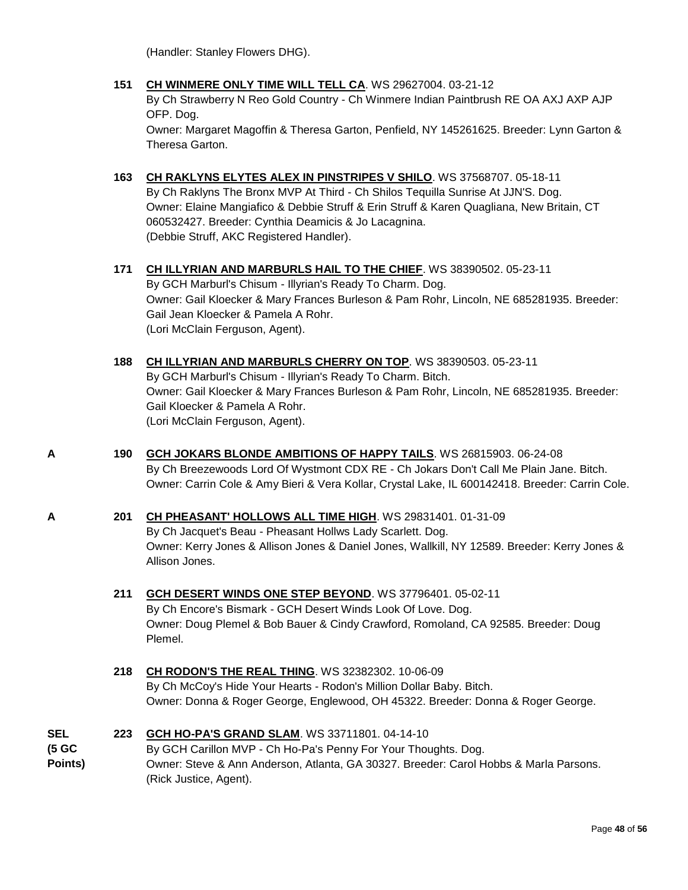(Handler: Stanley Flowers DHG).

**151 [CH WINMERE ONLY TIME WILL TELL CA](http://www.infodog.com/files/bdogrsl1.prg;makc=WS%2029627004;mdog=Ch_Winmere_Only_Time_Will_Tell_CA;wins=all)**. WS 29627004. 03-21-12

By Ch Strawberry N Reo Gold Country - Ch Winmere Indian Paintbrush RE OA AXJ AXP AJP OFP. Dog.

Owner: Margaret Magoffin & Theresa Garton, Penfield, NY 145261625. Breeder: Lynn Garton & Theresa Garton.

- **163 [CH RAKLYNS ELYTES ALEX IN PINSTRIPES V SHILO](http://www.infodog.com/files/bdogrsl1.prg;makc=WS%2037568707;mdog=Ch_Raklyns_Elytes_Alex_In_Pinstripes_V_Shilo;wins=all)**. WS 37568707. 05-18-11 By Ch Raklyns The Bronx MVP At Third - Ch Shilos Tequilla Sunrise At JJN'S. Dog. Owner: Elaine Mangiafico & Debbie Struff & Erin Struff & Karen Quagliana, New Britain, CT 060532427. Breeder: Cynthia Deamicis & Jo Lacagnina. (Debbie Struff, AKC Registered Handler).
- **171 [CH ILLYRIAN AND MARBURLS HAIL TO THE CHIEF](http://www.infodog.com/files/bdogrsl1.prg;makc=WS%2038390502;mdog=Ch_Illyrian_And_Marburls_Hail_To_The_Chief;wins=all)**. WS 38390502. 05-23-11 By GCH Marburl's Chisum - Illyrian's Ready To Charm. Dog. Owner: Gail Kloecker & Mary Frances Burleson & Pam Rohr, Lincoln, NE 685281935. Breeder: Gail Jean Kloecker & Pamela A Rohr. (Lori McClain Ferguson, Agent).
- **188 [CH ILLYRIAN AND MARBURLS CHERRY ON TOP](http://www.infodog.com/files/bdogrsl1.prg;makc=WS%2038390503;mdog=Ch_Illyrian_And_Marburls_Cherry_On_Top;wins=all)**. WS 38390503. 05-23-11 By GCH Marburl's Chisum - Illyrian's Ready To Charm. Bitch. Owner: Gail Kloecker & Mary Frances Burleson & Pam Rohr, Lincoln, NE 685281935. Breeder: Gail Kloecker & Pamela A Rohr. (Lori McClain Ferguson, Agent).
- **A 190 [GCH JOKARS BLONDE AMBITIONS OF HAPPY TAILS](http://www.infodog.com/files/bdogrsl1.prg;makc=WS%2026815903;mdog=GCH_Jokars_Blonde_Ambitions_Of_Happy_Tails;wins=all)**. WS 26815903. 06-24-08 By Ch Breezewoods Lord Of Wystmont CDX RE - Ch Jokars Don't Call Me Plain Jane. Bitch. Owner: Carrin Cole & Amy Bieri & Vera Kollar, Crystal Lake, IL 600142418. Breeder: Carrin Cole.
- **A 201 [CH PHEASANT' HOLLOWS ALL TIME HIGH](http://www.infodog.com/files/bdogrsl1.prg;makc=WS%2029831401;mdog=Ch_Pheasant__Hollows_All_Time_High;wins=all)**. WS 29831401. 01-31-09 By Ch Jacquet's Beau - Pheasant Hollws Lady Scarlett. Dog. Owner: Kerry Jones & Allison Jones & Daniel Jones, Wallkill, NY 12589. Breeder: Kerry Jones & Allison Jones.
	- **211 [GCH DESERT WINDS ONE STEP BEYOND](http://www.infodog.com/files/bdogrsl1.prg;makc=WS%2037796401;mdog=GCH_Desert_Winds_One_Step_Beyond;wins=all)**. WS 37796401. 05-02-11 By Ch Encore's Bismark - GCH Desert Winds Look Of Love. Dog. Owner: Doug Plemel & Bob Bauer & Cindy Crawford, Romoland, CA 92585. Breeder: Doug Plemel.
	- **218 [CH RODON'S THE REAL THING](http://www.infodog.com/files/bdogrsl1.prg;makc=WS%2032382302;mdog=Ch_Rodon_s_The_Real_Thing;wins=all)**. WS 32382302. 10-06-09 By Ch McCoy's Hide Your Hearts - Rodon's Million Dollar Baby. Bitch. Owner: Donna & Roger George, Englewood, OH 45322. Breeder: Donna & Roger George.
- **SEL (5 GC Points) 223 [GCH HO-PA'S GRAND SLAM](http://www.infodog.com/files/bdogrsl1.prg;makc=WS%2033711801;mdog=GCH_Ho-Pa_s_Grand_Slam;wins=all)**. WS 33711801. 04-14-10 By GCH Carillon MVP - Ch Ho-Pa's Penny For Your Thoughts. Dog. Owner: Steve & Ann Anderson, Atlanta, GA 30327. Breeder: Carol Hobbs & Marla Parsons. (Rick Justice, Agent).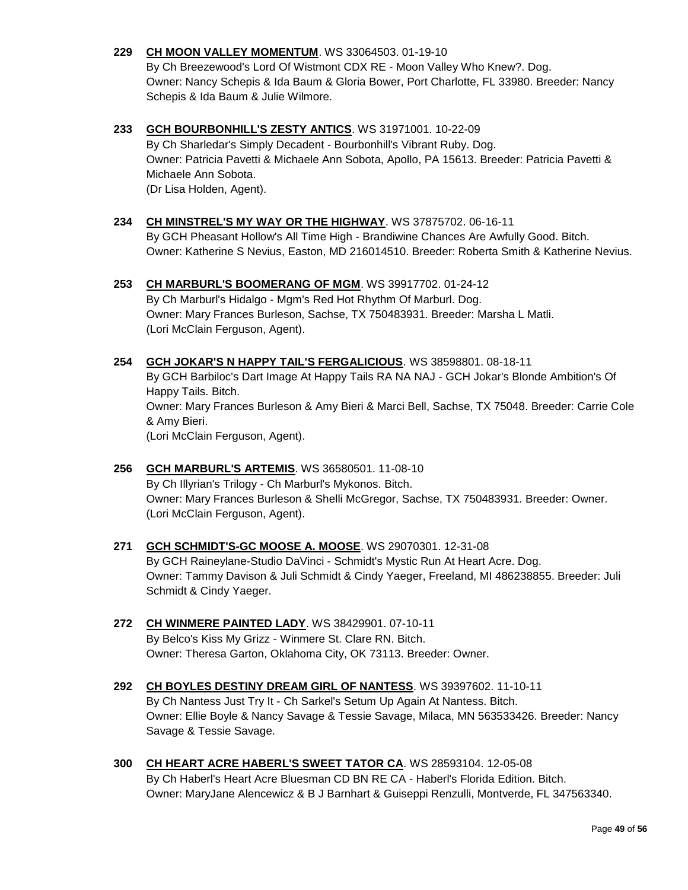#### **229 [CH MOON VALLEY MOMENTUM](http://www.infodog.com/files/bdogrsl1.prg;makc=WS%2033064503;mdog=Ch_Moon_Valley_Momentum;wins=all)**. WS 33064503. 01-19-10

By Ch Breezewood's Lord Of Wistmont CDX RE - Moon Valley Who Knew?. Dog. Owner: Nancy Schepis & Ida Baum & Gloria Bower, Port Charlotte, FL 33980. Breeder: Nancy Schepis & Ida Baum & Julie Wilmore.

#### **233 [GCH BOURBONHILL'S ZESTY ANTICS](http://www.infodog.com/files/bdogrsl1.prg;makc=WS%2031971001;mdog=GCH_Bourbonhill_s_Zesty_Antics;wins=all)**. WS 31971001. 10-22-09 By Ch Sharledar's Simply Decadent - Bourbonhill's Vibrant Ruby. Dog. Owner: Patricia Pavetti & Michaele Ann Sobota, Apollo, PA 15613. Breeder: Patricia Pavetti & Michaele Ann Sobota. (Dr Lisa Holden, Agent).

**234 [CH MINSTREL'S MY WAY OR THE HIGHWAY](http://www.infodog.com/files/bdogrsl1.prg;makc=WS%2037875702;mdog=Ch_Minstrel_s_My_Way_Or_The_Highway;wins=all)**. WS 37875702. 06-16-11 By GCH Pheasant Hollow's All Time High - Brandiwine Chances Are Awfully Good. Bitch. Owner: Katherine S Nevius, Easton, MD 216014510. Breeder: Roberta Smith & Katherine Nevius.

#### **253 [CH MARBURL'S BOOMERANG OF MGM](http://www.infodog.com/files/bdogrsl1.prg;makc=WS%2039917702;mdog=Ch_Marburl_s_Boomerang_Of_MGM;wins=all)**. WS 39917702. 01-24-12

By Ch Marburl's Hidalgo - Mgm's Red Hot Rhythm Of Marburl. Dog. Owner: Mary Frances Burleson, Sachse, TX 750483931. Breeder: Marsha L Matli. (Lori McClain Ferguson, Agent).

- **254 [GCH JOKAR'S N HAPPY TAIL'S FERGALICIOUS](http://www.infodog.com/files/bdogrsl1.prg;makc=WS%2038598801;mdog=GCH_Jokar_s_N_Happy_Tail_s_Fergalicious;wins=all)**. WS 38598801. 08-18-11 By GCH Barbiloc's Dart Image At Happy Tails RA NA NAJ - GCH Jokar's Blonde Ambition's Of Happy Tails. Bitch. Owner: Mary Frances Burleson & Amy Bieri & Marci Bell, Sachse, TX 75048. Breeder: Carrie Cole & Amy Bieri. (Lori McClain Ferguson, Agent).
- **256 [GCH MARBURL'S ARTEMIS](http://www.infodog.com/files/bdogrsl1.prg;makc=WS%2036580501;mdog=GCH_Marburl_s_Artemis;wins=all)**. WS 36580501. 11-08-10 By Ch Illyrian's Trilogy - Ch Marburl's Mykonos. Bitch. Owner: Mary Frances Burleson & Shelli McGregor, Sachse, TX 750483931. Breeder: Owner. (Lori McClain Ferguson, Agent).
- **271 [GCH SCHMIDT'S-GC MOOSE A. MOOSE](http://www.infodog.com/files/bdogrsl1.prg;makc=WS%2029070301;mdog=GCH_Schmidt_s-GC_Moose_A._Moose;wins=all)**. WS 29070301. 12-31-08 By GCH Raineylane-Studio DaVinci - Schmidt's Mystic Run At Heart Acre. Dog. Owner: Tammy Davison & Juli Schmidt & Cindy Yaeger, Freeland, MI 486238855. Breeder: Juli Schmidt & Cindy Yaeger.
- **272 [CH WINMERE PAINTED LADY](http://www.infodog.com/files/bdogrsl1.prg;makc=WS%2038429901;mdog=Ch_Winmere_Painted_Lady;wins=all)**. WS 38429901. 07-10-11 By Belco's Kiss My Grizz - Winmere St. Clare RN. Bitch. Owner: Theresa Garton, Oklahoma City, OK 73113. Breeder: Owner.
- **292 [CH BOYLES DESTINY DREAM GIRL OF NANTESS](http://www.infodog.com/files/bdogrsl1.prg;makc=WS%2039397602;mdog=Ch_Boyles_Destiny_Dream_Girl_Of_Nantess;wins=all)**. WS 39397602. 11-10-11 By Ch Nantess Just Try It - Ch Sarkel's Setum Up Again At Nantess. Bitch. Owner: Ellie Boyle & Nancy Savage & Tessie Savage, Milaca, MN 563533426. Breeder: Nancy Savage & Tessie Savage.
- **300 [CH HEART ACRE HABERL'S SWEET TATOR CA](http://www.infodog.com/files/bdogrsl1.prg;makc=WS%2028593104;mdog=Ch_Heart_Acre_Haberl_s_Sweet_Tator_CA;wins=all)**. WS 28593104. 12-05-08 By Ch Haberl's Heart Acre Bluesman CD BN RE CA - Haberl's Florida Edition. Bitch. Owner: MaryJane Alencewicz & B J Barnhart & Guiseppi Renzulli, Montverde, FL 347563340.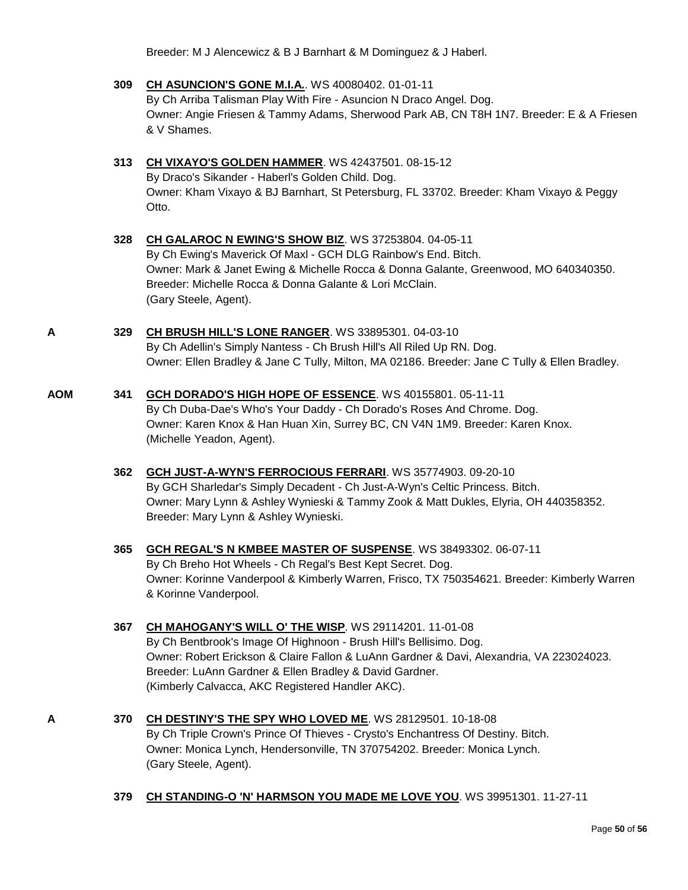Breeder: M J Alencewicz & B J Barnhart & M Dominguez & J Haberl.

- **309 [CH ASUNCION'S GONE M.I.A.](http://www.infodog.com/files/bdogrsl1.prg;makc=WS%2040080402;mdog=Ch_Asuncion_s_Gone_M.I.A.;wins=all)**. WS 40080402. 01-01-11 By Ch Arriba Talisman Play With Fire - Asuncion N Draco Angel. Dog. Owner: Angie Friesen & Tammy Adams, Sherwood Park AB, CN T8H 1N7. Breeder: E & A Friesen & V Shames.
- **313 [CH VIXAYO'S GOLDEN HAMMER](http://www.infodog.com/files/bdogrsl1.prg;makc=WS%2042437501;mdog=Ch_Vixayo_s_Golden_Hammer;wins=all)**. WS 42437501. 08-15-12 By Draco's Sikander - Haberl's Golden Child. Dog. Owner: Kham Vixayo & BJ Barnhart, St Petersburg, FL 33702. Breeder: Kham Vixayo & Peggy Otto.
- **328 [CH GALAROC N EWING'S SHOW BIZ](http://www.infodog.com/files/bdogrsl1.prg;makc=WS%2037253804;mdog=Ch_Galaroc_N_Ewing_s_Show_Biz;wins=all)**. WS 37253804. 04-05-11 By Ch Ewing's Maverick Of Maxl - GCH DLG Rainbow's End. Bitch. Owner: Mark & Janet Ewing & Michelle Rocca & Donna Galante, Greenwood, MO 640340350. Breeder: Michelle Rocca & Donna Galante & Lori McClain. (Gary Steele, Agent).
- **A 329 [CH BRUSH HILL'S LONE RANGER](http://www.infodog.com/files/bdogrsl1.prg;makc=WS%2033895301;mdog=Ch_Brush_Hill_s_Lone_Ranger;wins=all)**. WS 33895301. 04-03-10 By Ch Adellin's Simply Nantess - Ch Brush Hill's All Riled Up RN. Dog. Owner: Ellen Bradley & Jane C Tully, Milton, MA 02186. Breeder: Jane C Tully & Ellen Bradley.
- **AOM 341 [GCH DORADO'S HIGH HOPE OF ESSENCE](http://www.infodog.com/files/bdogrsl1.prg;makc=WS%2040155801;mdog=GCH_Dorado_s_High_Hope_Of_Essence;wins=all)**. WS 40155801. 05-11-11 By Ch Duba-Dae's Who's Your Daddy - Ch Dorado's Roses And Chrome. Dog. Owner: Karen Knox & Han Huan Xin, Surrey BC, CN V4N 1M9. Breeder: Karen Knox. (Michelle Yeadon, Agent).
	- **362 [GCH JUST-A-WYN'S FERROCIOUS FERRARI](http://www.infodog.com/files/bdogrsl1.prg;makc=WS%2035774903;mdog=GCH_Just-A-Wyn_s_Ferrocious_Ferrari;wins=all)**. WS 35774903. 09-20-10 By GCH Sharledar's Simply Decadent - Ch Just-A-Wyn's Celtic Princess. Bitch. Owner: Mary Lynn & Ashley Wynieski & Tammy Zook & Matt Dukles, Elyria, OH 440358352. Breeder: Mary Lynn & Ashley Wynieski.
	- **365 [GCH REGAL'S N KMBEE MASTER OF SUSPENSE](http://www.infodog.com/files/bdogrsl1.prg;makc=WS%2038493302;mdog=GCH_Regal_s_N_Kmbee_Master_Of_Suspense;wins=all)**. WS 38493302. 06-07-11 By Ch Breho Hot Wheels - Ch Regal's Best Kept Secret. Dog. Owner: Korinne Vanderpool & Kimberly Warren, Frisco, TX 750354621. Breeder: Kimberly Warren & Korinne Vanderpool.
	- **367 [CH MAHOGANY'S WILL O' THE WISP](http://www.infodog.com/files/bdogrsl1.prg;makc=WS%2029114201;mdog=Ch_Mahogany_s_Will_O__The_Wisp;wins=all)**. WS 29114201. 11-01-08 By Ch Bentbrook's Image Of Highnoon - Brush Hill's Bellisimo. Dog. Owner: Robert Erickson & Claire Fallon & LuAnn Gardner & Davi, Alexandria, VA 223024023. Breeder: LuAnn Gardner & Ellen Bradley & David Gardner. (Kimberly Calvacca, AKC Registered Handler AKC).
- **A 370 [CH DESTINY'S THE SPY WHO LOVED ME](http://www.infodog.com/files/bdogrsl1.prg;makc=WS%2028129501;mdog=Ch_Destiny_s_The_Spy_Who_Loved_Me;wins=all)**. WS 28129501. 10-18-08 By Ch Triple Crown's Prince Of Thieves - Crysto's Enchantress Of Destiny. Bitch. Owner: Monica Lynch, Hendersonville, TN 370754202. Breeder: Monica Lynch. (Gary Steele, Agent).
	- **379 [CH STANDING-O 'N' HARMSON YOU MADE ME LOVE YOU](http://www.infodog.com/files/bdogrsl1.prg;makc=WS%2039951301;mdog=Ch_Standing-O__N__Harmson_You_Made_Me_Love_You;wins=all)**. WS 39951301. 11-27-11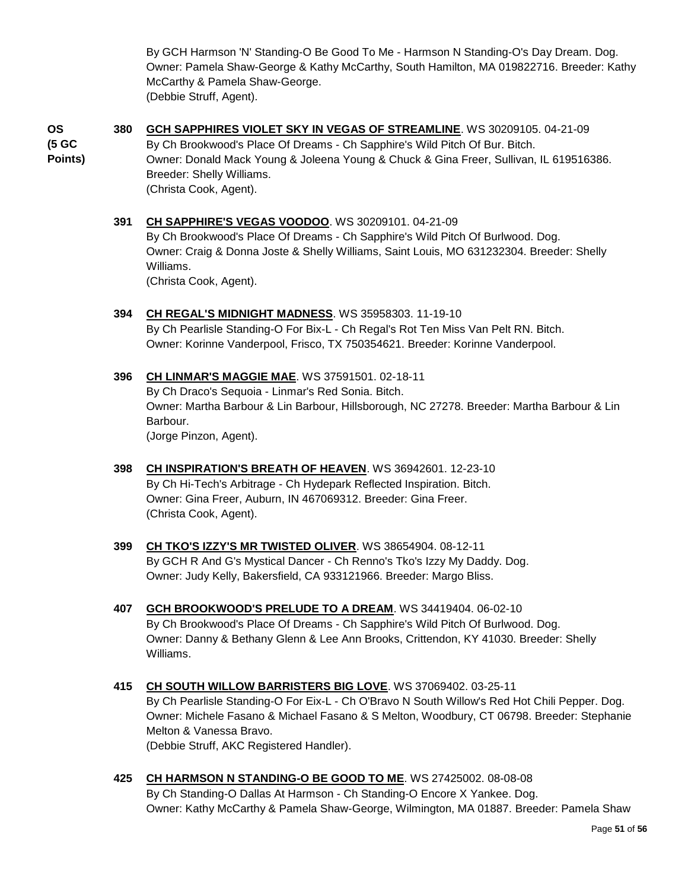By GCH Harmson 'N' Standing-O Be Good To Me - Harmson N Standing-O's Day Dream. Dog. Owner: Pamela Shaw-George & Kathy McCarthy, South Hamilton, MA 019822716. Breeder: Kathy McCarthy & Pamela Shaw-George. (Debbie Struff, Agent).

**OS (5 GC Points)** **380 [GCH SAPPHIRES VIOLET SKY IN VEGAS OF STREAMLINE](http://www.infodog.com/files/bdogrsl1.prg;makc=WS%2030209105;mdog=GCH_Sapphires_Violet_Sky_In_Vegas_Of_Streamline;wins=all)**. WS 30209105. 04-21-09 By Ch Brookwood's Place Of Dreams - Ch Sapphire's Wild Pitch Of Bur. Bitch. Owner: Donald Mack Young & Joleena Young & Chuck & Gina Freer, Sullivan, IL 619516386. Breeder: Shelly Williams. (Christa Cook, Agent).

#### **391 [CH SAPPHIRE'S VEGAS VOODOO](http://www.infodog.com/files/bdogrsl1.prg;makc=WS%2030209101;mdog=Ch_Sapphire_s_Vegas_VooDoo;wins=all)**. WS 30209101. 04-21-09 By Ch Brookwood's Place Of Dreams - Ch Sapphire's Wild Pitch Of Burlwood. Dog. Owner: Craig & Donna Joste & Shelly Williams, Saint Louis, MO 631232304. Breeder: Shelly Williams. (Christa Cook, Agent).

- **394 [CH REGAL'S MIDNIGHT MADNESS](http://www.infodog.com/files/bdogrsl1.prg;makc=WS%2035958303;mdog=Ch_Regal_s_Midnight_Madness;wins=all)**. WS 35958303. 11-19-10 By Ch Pearlisle Standing-O For Bix-L - Ch Regal's Rot Ten Miss Van Pelt RN. Bitch. Owner: Korinne Vanderpool, Frisco, TX 750354621. Breeder: Korinne Vanderpool.
- **396 [CH LINMAR'S MAGGIE MAE](http://www.infodog.com/files/bdogrsl1.prg;makc=WS%2037591501;mdog=Ch_Linmar_s_Maggie_Mae;wins=all)**. WS 37591501. 02-18-11 By Ch Draco's Sequoia - Linmar's Red Sonia. Bitch. Owner: Martha Barbour & Lin Barbour, Hillsborough, NC 27278. Breeder: Martha Barbour & Lin Barbour. (Jorge Pinzon, Agent).
- **398 [CH INSPIRATION'S BREATH OF HEAVEN](http://www.infodog.com/files/bdogrsl1.prg;makc=WS%2036942601;mdog=Ch_Inspiration_s_Breath_Of_Heaven;wins=all)**. WS 36942601. 12-23-10 By Ch Hi-Tech's Arbitrage - Ch Hydepark Reflected Inspiration. Bitch. Owner: Gina Freer, Auburn, IN 467069312. Breeder: Gina Freer. (Christa Cook, Agent).
- **399 [CH TKO'S IZZY'S MR TWISTED OLIVER](http://www.infodog.com/files/bdogrsl1.prg;makc=WS%2038654904;mdog=Ch_TKO_s_Izzy_s_Mr_Twisted_Oliver;wins=all)**. WS 38654904. 08-12-11 By GCH R And G's Mystical Dancer - Ch Renno's Tko's Izzy My Daddy. Dog. Owner: Judy Kelly, Bakersfield, CA 933121966. Breeder: Margo Bliss.
- **407 [GCH BROOKWOOD'S PRELUDE TO A DREAM](http://www.infodog.com/files/bdogrsl1.prg;makc=WS%2034419404;mdog=GCH_Brookwood_s_Prelude_To_A_Dream;wins=all)**. WS 34419404. 06-02-10 By Ch Brookwood's Place Of Dreams - Ch Sapphire's Wild Pitch Of Burlwood. Dog. Owner: Danny & Bethany Glenn & Lee Ann Brooks, Crittendon, KY 41030. Breeder: Shelly Williams.
- **415 [CH SOUTH WILLOW BARRISTERS BIG LOVE](http://www.infodog.com/files/bdogrsl1.prg;makc=WS%2037069402;mdog=Ch_South_Willow_Barristers_Big_Love;wins=all)**. WS 37069402. 03-25-11 By Ch Pearlisle Standing-O For Eix-L - Ch O'Bravo N South Willow's Red Hot Chili Pepper. Dog. Owner: Michele Fasano & Michael Fasano & S Melton, Woodbury, CT 06798. Breeder: Stephanie Melton & Vanessa Bravo. (Debbie Struff, AKC Registered Handler).
- **425 [CH HARMSON N STANDING-O BE GOOD TO ME](http://www.infodog.com/files/bdogrsl1.prg;makc=WS%2027425002;mdog=Ch_Harmson_N_Standing-O_Be_Good_To_Me;wins=all)**. WS 27425002. 08-08-08 By Ch Standing-O Dallas At Harmson - Ch Standing-O Encore X Yankee. Dog. Owner: Kathy McCarthy & Pamela Shaw-George, Wilmington, MA 01887. Breeder: Pamela Shaw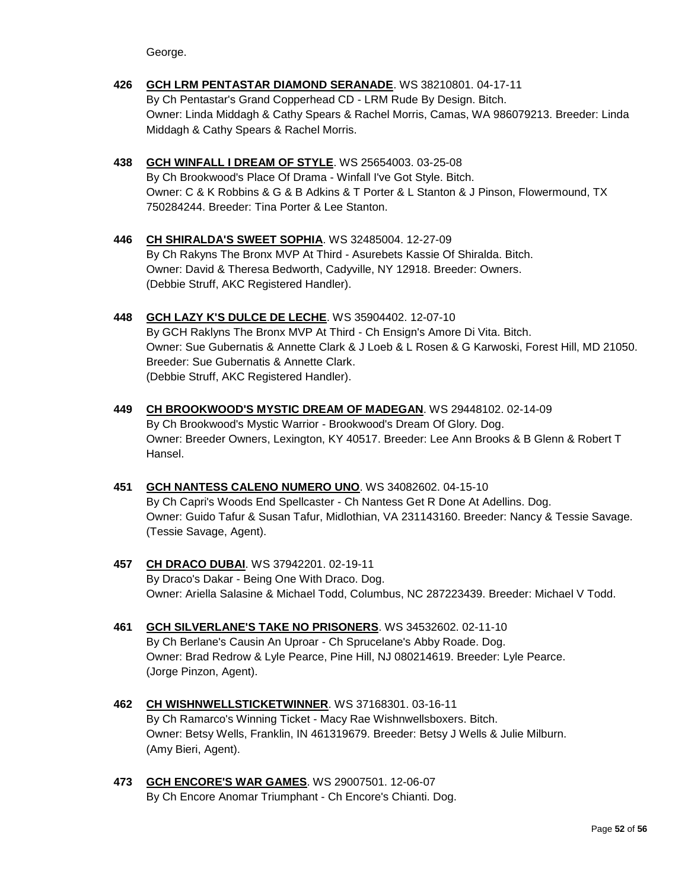George.

- **426 [GCH LRM PENTASTAR DIAMOND SERANADE](http://www.infodog.com/files/bdogrsl1.prg;makc=WS%2038210801;mdog=GCH_LRM_Pentastar_Diamond_Seranade;wins=all)**. WS 38210801. 04-17-11 By Ch Pentastar's Grand Copperhead CD - LRM Rude By Design. Bitch. Owner: Linda Middagh & Cathy Spears & Rachel Morris, Camas, WA 986079213. Breeder: Linda Middagh & Cathy Spears & Rachel Morris.
- **438 [GCH WINFALL I DREAM OF STYLE](http://www.infodog.com/files/bdogrsl1.prg;makc=WS%2025654003;mdog=GCH_Winfall_I_Dream_Of_Style;wins=all)**. WS 25654003. 03-25-08 By Ch Brookwood's Place Of Drama - Winfall I've Got Style. Bitch. Owner: C & K Robbins & G & B Adkins & T Porter & L Stanton & J Pinson, Flowermound, TX 750284244. Breeder: Tina Porter & Lee Stanton.
- **446 [CH SHIRALDA'S SWEET SOPHIA](http://www.infodog.com/files/bdogrsl1.prg;makc=WS%2032485004;mdog=Ch_Shiralda_s_Sweet_Sophia;wins=all)**. WS 32485004. 12-27-09 By Ch Rakyns The Bronx MVP At Third - Asurebets Kassie Of Shiralda. Bitch. Owner: David & Theresa Bedworth, Cadyville, NY 12918. Breeder: Owners. (Debbie Struff, AKC Registered Handler).
- **448 [GCH LAZY K'S DULCE DE LECHE](http://www.infodog.com/files/bdogrsl1.prg;makc=WS%2035904402;mdog=GCH_Lazy_K_s_Dulce_De_Leche;wins=all)**. WS 35904402. 12-07-10 By GCH Raklyns The Bronx MVP At Third - Ch Ensign's Amore Di Vita. Bitch. Owner: Sue Gubernatis & Annette Clark & J Loeb & L Rosen & G Karwoski, Forest Hill, MD 21050. Breeder: Sue Gubernatis & Annette Clark. (Debbie Struff, AKC Registered Handler).
- **449 [CH BROOKWOOD'S MYSTIC DREAM OF MADEGAN](http://www.infodog.com/files/bdogrsl1.prg;makc=WS%2029448102;mdog=Ch_Brookwood_s_Mystic_Dream_Of_Madegan;wins=all)**. WS 29448102. 02-14-09 By Ch Brookwood's Mystic Warrior - Brookwood's Dream Of Glory. Dog. Owner: Breeder Owners, Lexington, KY 40517. Breeder: Lee Ann Brooks & B Glenn & Robert T Hansel.
- **451 [GCH NANTESS CALENO NUMERO UNO](http://www.infodog.com/files/bdogrsl1.prg;makc=WS%2034082602;mdog=GCH_Nantess_Caleno_Numero_Uno;wins=all)**. WS 34082602. 04-15-10 By Ch Capri's Woods End Spellcaster - Ch Nantess Get R Done At Adellins. Dog. Owner: Guido Tafur & Susan Tafur, Midlothian, VA 231143160. Breeder: Nancy & Tessie Savage. (Tessie Savage, Agent).
- **457 [CH DRACO DUBAI](http://www.infodog.com/files/bdogrsl1.prg;makc=WS%2037942201;mdog=Ch_Draco_Dubai;wins=all)**. WS 37942201. 02-19-11 By Draco's Dakar - Being One With Draco. Dog. Owner: Ariella Salasine & Michael Todd, Columbus, NC 287223439. Breeder: Michael V Todd.
- **461 [GCH SILVERLANE'S TAKE NO PRISONERS](http://www.infodog.com/files/bdogrsl1.prg;makc=WS%2034532602;mdog=GCH_Silverlane_s_Take_No_Prisoners;wins=all)**. WS 34532602. 02-11-10 By Ch Berlane's Causin An Uproar - Ch Sprucelane's Abby Roade. Dog. Owner: Brad Redrow & Lyle Pearce, Pine Hill, NJ 080214619. Breeder: Lyle Pearce. (Jorge Pinzon, Agent).
- **462 [CH WISHNWELLSTICKETWINNER](http://www.infodog.com/files/bdogrsl1.prg;makc=WS%2037168301;mdog=Ch_Wishnwellsticketwinner;wins=all)**. WS 37168301. 03-16-11 By Ch Ramarco's Winning Ticket - Macy Rae Wishnwellsboxers. Bitch. Owner: Betsy Wells, Franklin, IN 461319679. Breeder: Betsy J Wells & Julie Milburn. (Amy Bieri, Agent).
- **473 [GCH ENCORE'S WAR GAMES](http://www.infodog.com/files/bdogrsl1.prg;makc=WS%2029007501;mdog=GCH_Encore_s_War_Games;wins=all)**. WS 29007501. 12-06-07 By Ch Encore Anomar Triumphant - Ch Encore's Chianti. Dog.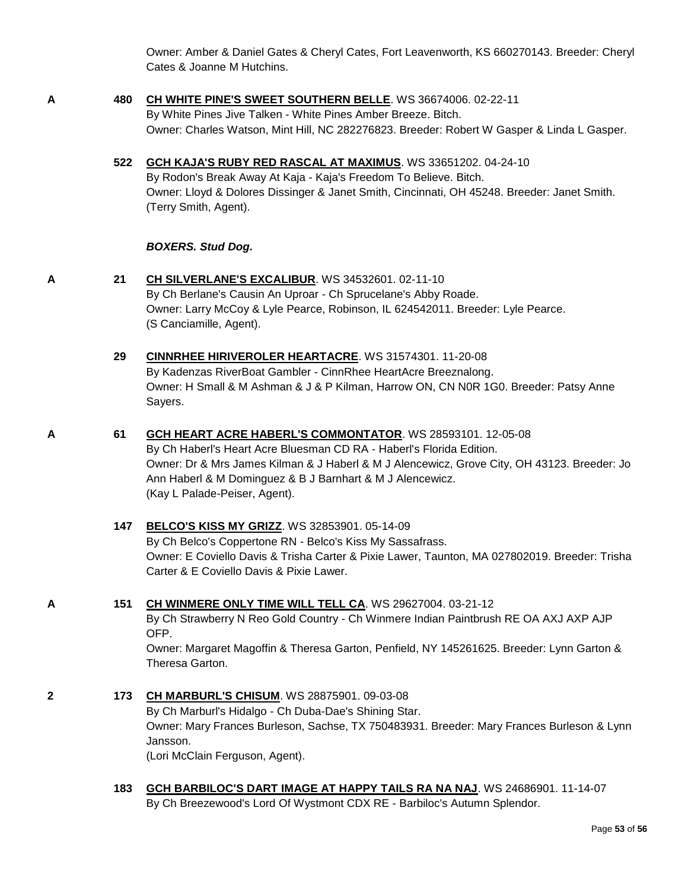Owner: Amber & Daniel Gates & Cheryl Cates, Fort Leavenworth, KS 660270143. Breeder: Cheryl Cates & Joanne M Hutchins.

- **A 480 [CH WHITE PINE'S SWEET SOUTHERN BELLE](http://www.infodog.com/files/bdogrsl1.prg;makc=WS%2036674006;mdog=Ch_White_Pine_s_Sweet_Southern_Belle;wins=all)**. WS 36674006. 02-22-11 By White Pines Jive Talken - White Pines Amber Breeze. Bitch. Owner: Charles Watson, Mint Hill, NC 282276823. Breeder: Robert W Gasper & Linda L Gasper.
	- **522 [GCH KAJA'S RUBY RED RASCAL AT MAXIMUS](http://www.infodog.com/files/bdogrsl1.prg;makc=WS%2033651202;mdog=GCH_Kaja_s_Ruby_Red_Rascal_At_Maximus;wins=all)**. WS 33651202. 04-24-10

By Rodon's Break Away At Kaja - Kaja's Freedom To Believe. Bitch. Owner: Lloyd & Dolores Dissinger & Janet Smith, Cincinnati, OH 45248. Breeder: Janet Smith. (Terry Smith, Agent).

#### *BOXERS. Stud Dog.*

(Kay L Palade-Peiser, Agent).

**A 21 [CH SILVERLANE'S EXCALIBUR](http://www.infodog.com/files/bdogrsl1.prg;makc=WS%2034532601;mdog=Ch_Silverlane_s_Excalibur;wins=all)**. WS 34532601. 02-11-10 By Ch Berlane's Causin An Uproar - Ch Sprucelane's Abby Roade. Owner: Larry McCoy & Lyle Pearce, Robinson, IL 624542011. Breeder: Lyle Pearce. (S Canciamille, Agent).

> **29 [CINNRHEE HIRIVEROLER HEARTACRE](http://www.infodog.com/files/bdogrsl1.prg;makc=WS%2031574301;mdog=CinnRhee_Hiriveroler_HeartAcre;wins=all)**. WS 31574301. 11-20-08 By Kadenzas RiverBoat Gambler - CinnRhee HeartAcre Breeznalong. Owner: H Small & M Ashman & J & P Kilman, Harrow ON, CN N0R 1G0. Breeder: Patsy Anne Sayers.

**A 61 [GCH HEART ACRE HABERL'S COMMONTATOR](http://www.infodog.com/files/bdogrsl1.prg;makc=WS%2028593101;mdog=GCH_Heart_Acre_Haberl_s_Commontator;wins=all)**. WS 28593101. 12-05-08 By Ch Haberl's Heart Acre Bluesman CD RA - Haberl's Florida Edition. Owner: Dr & Mrs James Kilman & J Haberl & M J Alencewicz, Grove City, OH 43123. Breeder: Jo Ann Haberl & M Dominguez & B J Barnhart & M J Alencewicz.

> **147 [BELCO'S KISS MY GRIZZ](http://www.infodog.com/files/bdogrsl1.prg;makc=WS%2032853901;mdog=Belco_s_Kiss_My_Grizz;wins=all)**. WS 32853901. 05-14-09 By Ch Belco's Coppertone RN - Belco's Kiss My Sassafrass. Owner: E Coviello Davis & Trisha Carter & Pixie Lawer, Taunton, MA 027802019. Breeder: Trisha Carter & E Coviello Davis & Pixie Lawer.

**A 151 [CH WINMERE ONLY TIME WILL TELL CA](http://www.infodog.com/files/bdogrsl1.prg;makc=WS%2029627004;mdog=Ch_Winmere_Only_Time_Will_Tell_CA;wins=all)**. WS 29627004. 03-21-12

By Ch Strawberry N Reo Gold Country - Ch Winmere Indian Paintbrush RE OA AXJ AXP AJP OFP.

Owner: Margaret Magoffin & Theresa Garton, Penfield, NY 145261625. Breeder: Lynn Garton & Theresa Garton.

- **2 173 [CH MARBURL'S CHISUM](http://www.infodog.com/files/bdogrsl1.prg;makc=WS%2028875901;mdog=Ch_Marburl_s_Chisum;wins=all)**. WS 28875901. 09-03-08 By Ch Marburl's Hidalgo - Ch Duba-Dae's Shining Star. Owner: Mary Frances Burleson, Sachse, TX 750483931. Breeder: Mary Frances Burleson & Lynn Jansson. (Lori McClain Ferguson, Agent).
	- **183 [GCH BARBILOC'S DART IMAGE AT HAPPY TAILS RA NA NAJ](http://www.infodog.com/files/bdogrsl1.prg;makc=WS%2024686901;mdog=GCH_Barbiloc_s_Dart_Image_At_Happy_Tails_RA_NA_NAJ;wins=all)**. WS 24686901. 11-14-07 By Ch Breezewood's Lord Of Wystmont CDX RE - Barbiloc's Autumn Splendor.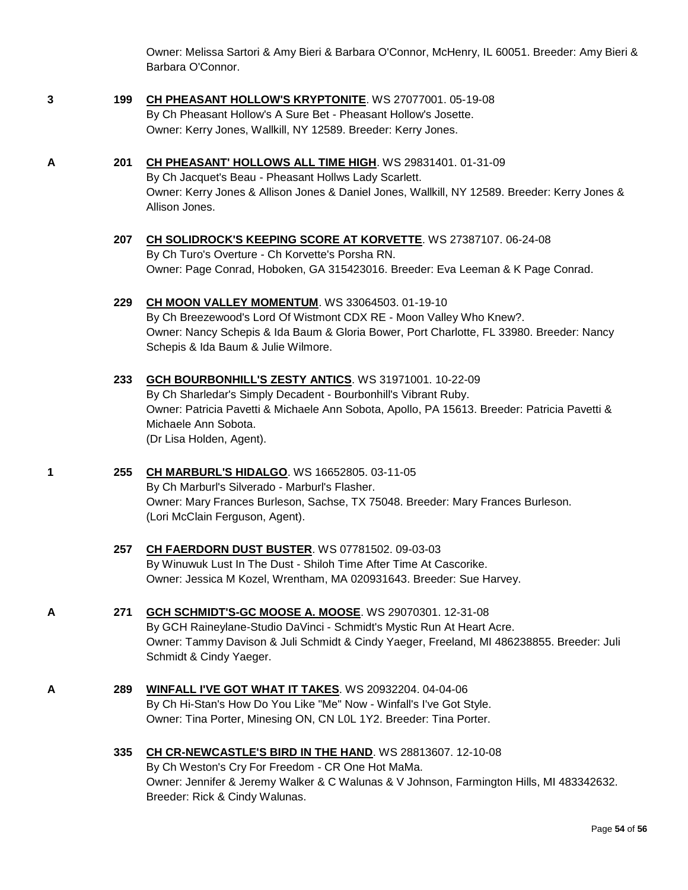Owner: Melissa Sartori & Amy Bieri & Barbara O'Connor, McHenry, IL 60051. Breeder: Amy Bieri & Barbara O'Connor.

- **3 199 [CH PHEASANT HOLLOW'S KRYPTONITE](http://www.infodog.com/files/bdogrsl1.prg;makc=WS%2027077001;mdog=Ch_Pheasant_Hollow_s_Kryptonite;wins=all)**. WS 27077001. 05-19-08 By Ch Pheasant Hollow's A Sure Bet - Pheasant Hollow's Josette. Owner: Kerry Jones, Wallkill, NY 12589. Breeder: Kerry Jones.
- **A 201 [CH PHEASANT' HOLLOWS ALL TIME HIGH](http://www.infodog.com/files/bdogrsl1.prg;makc=WS%2029831401;mdog=Ch_Pheasant__Hollows_All_Time_High;wins=all)**. WS 29831401. 01-31-09 By Ch Jacquet's Beau - Pheasant Hollws Lady Scarlett. Owner: Kerry Jones & Allison Jones & Daniel Jones, Wallkill, NY 12589. Breeder: Kerry Jones & Allison Jones.
	- **207 [CH SOLIDROCK'S KEEPING SCORE AT KORVETTE](http://www.infodog.com/files/bdogrsl1.prg;makc=WS%2027387107;mdog=Ch_Solidrock_s_Keeping_Score_At_Korvette;wins=all)**. WS 27387107. 06-24-08 By Ch Turo's Overture - Ch Korvette's Porsha RN. Owner: Page Conrad, Hoboken, GA 315423016. Breeder: Eva Leeman & K Page Conrad.

**229 [CH MOON VALLEY MOMENTUM](http://www.infodog.com/files/bdogrsl1.prg;makc=WS%2033064503;mdog=Ch_Moon_Valley_Momentum;wins=all)**. WS 33064503. 01-19-10 By Ch Breezewood's Lord Of Wistmont CDX RE - Moon Valley Who Knew?. Owner: Nancy Schepis & Ida Baum & Gloria Bower, Port Charlotte, FL 33980. Breeder: Nancy Schepis & Ida Baum & Julie Wilmore.

- **233 [GCH BOURBONHILL'S ZESTY ANTICS](http://www.infodog.com/files/bdogrsl1.prg;makc=WS%2031971001;mdog=GCH_Bourbonhill_s_Zesty_Antics;wins=all)**. WS 31971001. 10-22-09 By Ch Sharledar's Simply Decadent - Bourbonhill's Vibrant Ruby. Owner: Patricia Pavetti & Michaele Ann Sobota, Apollo, PA 15613. Breeder: Patricia Pavetti & Michaele Ann Sobota. (Dr Lisa Holden, Agent).
- **1 255 [CH MARBURL'S HIDALGO](http://www.infodog.com/files/bdogrsl1.prg;makc=WS%2016652805;mdog=Ch_Marburl_s_Hidalgo;wins=all)**. WS 16652805. 03-11-05 By Ch Marburl's Silverado - Marburl's Flasher. Owner: Mary Frances Burleson, Sachse, TX 75048. Breeder: Mary Frances Burleson. (Lori McClain Ferguson, Agent).
	- **257 [CH FAERDORN DUST BUSTER](http://www.infodog.com/files/bdogrsl1.prg;makc=WS%2007781502;mdog=Ch_Faerdorn_Dust_Buster;wins=all)**. WS 07781502. 09-03-03 By Winuwuk Lust In The Dust - Shiloh Time After Time At Cascorike. Owner: Jessica M Kozel, Wrentham, MA 020931643. Breeder: Sue Harvey.
- **A 271 [GCH SCHMIDT'S-GC MOOSE A. MOOSE](http://www.infodog.com/files/bdogrsl1.prg;makc=WS%2029070301;mdog=GCH_Schmidt_s-GC_Moose_A._Moose;wins=all)**. WS 29070301. 12-31-08 By GCH Raineylane-Studio DaVinci - Schmidt's Mystic Run At Heart Acre. Owner: Tammy Davison & Juli Schmidt & Cindy Yaeger, Freeland, MI 486238855. Breeder: Juli Schmidt & Cindy Yaeger.
- **A 289 [WINFALL I'VE GOT WHAT IT TAKES](http://www.infodog.com/files/bdogrsl1.prg;makc=WS%2020932204;mdog=Winfall_I_ve_Got_What_It_Takes;wins=all)**. WS 20932204. 04-04-06 By Ch Hi-Stan's How Do You Like "Me" Now - Winfall's I've Got Style. Owner: Tina Porter, Minesing ON, CN L0L 1Y2. Breeder: Tina Porter.
	- **335 [CH CR-NEWCASTLE'S BIRD IN THE HAND](http://www.infodog.com/files/bdogrsl1.prg;makc=WS%2028813607;mdog=Ch_CR-Newcastle_s_Bird_In_The_Hand;wins=all)**. WS 28813607. 12-10-08 By Ch Weston's Cry For Freedom - CR One Hot MaMa. Owner: Jennifer & Jeremy Walker & C Walunas & V Johnson, Farmington Hills, MI 483342632. Breeder: Rick & Cindy Walunas.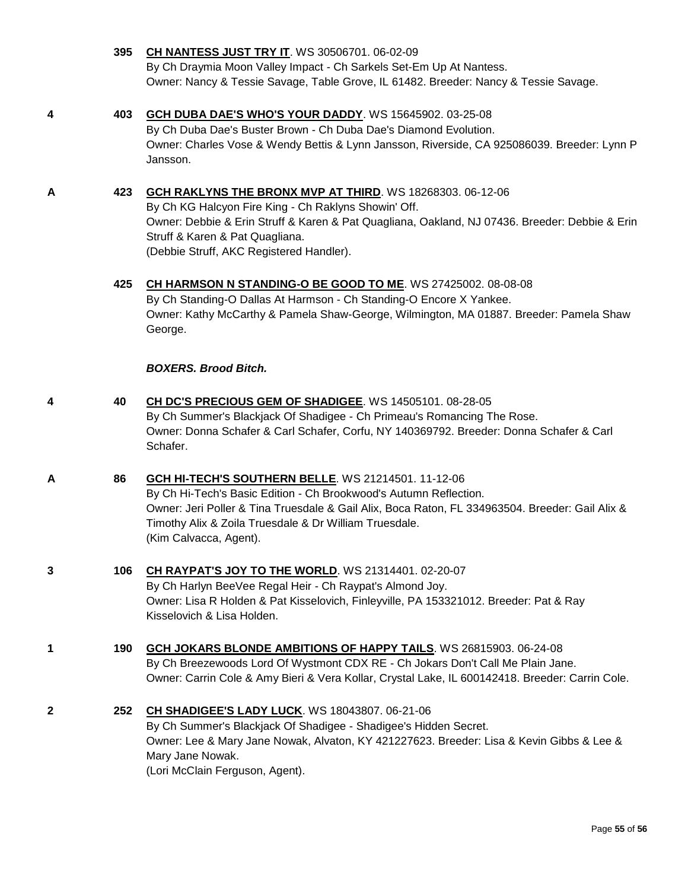Jansson. **A 423 [GCH RAKLYNS THE BRONX MVP AT THIRD](http://www.infodog.com/files/bdogrsl1.prg;makc=WS%2018268303;mdog=GCH_Raklyns_The_Bronx_MVP_At_Third;wins=all)**. WS 18268303. 06-12-06 By Ch KG Halcyon Fire King - Ch Raklyns Showin' Off. Owner: Debbie & Erin Struff & Karen & Pat Quagliana, Oakland, NJ 07436. Breeder: Debbie & Erin Struff & Karen & Pat Quagliana. (Debbie Struff, AKC Registered Handler). **425 [CH HARMSON N STANDING-O BE GOOD TO ME](http://www.infodog.com/files/bdogrsl1.prg;makc=WS%2027425002;mdog=Ch_Harmson_N_Standing-O_Be_Good_To_Me;wins=all)**. WS 27425002. 08-08-08 By Ch Standing-O Dallas At Harmson - Ch Standing-O Encore X Yankee. Owner: Kathy McCarthy & Pamela Shaw-George, Wilmington, MA 01887. Breeder: Pamela Shaw George. *BOXERS. Brood Bitch.* **4 40 [CH DC'S PRECIOUS GEM OF SHADIGEE](http://www.infodog.com/files/bdogrsl1.prg;makc=WS%2014505101;mdog=Ch_DC_s_Precious_Gem_Of_Shadigee;wins=all)**. WS 14505101. 08-28-05 By Ch Summer's Blackjack Of Shadigee - Ch Primeau's Romancing The Rose. Owner: Donna Schafer & Carl Schafer, Corfu, NY 140369792. Breeder: Donna Schafer & Carl Schafer. **A 86 [GCH HI-TECH'S SOUTHERN BELLE](http://www.infodog.com/files/bdogrsl1.prg;makc=WS%2021214501;mdog=GCH_Hi-Tech_s_Southern_Belle;wins=all)**. WS 21214501. 11-12-06 By Ch Hi-Tech's Basic Edition - Ch Brookwood's Autumn Reflection. Owner: Jeri Poller & Tina Truesdale & Gail Alix, Boca Raton, FL 334963504. Breeder: Gail Alix & Timothy Alix & Zoila Truesdale & Dr William Truesdale. (Kim Calvacca, Agent). **3 106 [CH RAYPAT'S JOY TO THE WORLD](http://www.infodog.com/files/bdogrsl1.prg;makc=WS%2021314401;mdog=Ch_Raypat_s_Joy_To_The_World;wins=all)**. WS 21314401. 02-20-07 By Ch Harlyn BeeVee Regal Heir - Ch Raypat's Almond Joy. Owner: Lisa R Holden & Pat Kisselovich, Finleyville, PA 153321012. Breeder: Pat & Ray Kisselovich & Lisa Holden. **1 190 [GCH JOKARS BLONDE AMBITIONS OF HAPPY TAILS](http://www.infodog.com/files/bdogrsl1.prg;makc=WS%2026815903;mdog=GCH_Jokars_Blonde_Ambitions_Of_Happy_Tails;wins=all)**. WS 26815903. 06-24-08 By Ch Breezewoods Lord Of Wystmont CDX RE - Ch Jokars Don't Call Me Plain Jane. Owner: Carrin Cole & Amy Bieri & Vera Kollar, Crystal Lake, IL 600142418. Breeder: Carrin Cole. **2 252 [CH SHADIGEE'S LADY LUCK](http://www.infodog.com/files/bdogrsl1.prg;makc=WS%2018043807;mdog=Ch_Shadigee_s_Lady_Luck;wins=all)**. WS 18043807. 06-21-06 By Ch Summer's Blackjack Of Shadigee - Shadigee's Hidden Secret. Owner: Lee & Mary Jane Nowak, Alvaton, KY 421227623. Breeder: Lisa & Kevin Gibbs & Lee & Mary Jane Nowak. (Lori McClain Ferguson, Agent).

**395 [CH NANTESS JUST TRY IT](http://www.infodog.com/files/bdogrsl1.prg;makc=WS%2030506701;mdog=Ch_Nantess_Just_Try_It;wins=all)**. WS 30506701. 06-02-09

**4 403 [GCH DUBA DAE'S WHO'S YOUR DADDY](http://www.infodog.com/files/bdogrsl1.prg;makc=WS%2015645902;mdog=GCH_Duba_Dae_s_Who_s_Your_Daddy;wins=all)**. WS 15645902. 03-25-08

By Ch Draymia Moon Valley Impact - Ch Sarkels Set-Em Up At Nantess.

By Ch Duba Dae's Buster Brown - Ch Duba Dae's Diamond Evolution.

Owner: Nancy & Tessie Savage, Table Grove, IL 61482. Breeder: Nancy & Tessie Savage.

Owner: Charles Vose & Wendy Bettis & Lynn Jansson, Riverside, CA 925086039. Breeder: Lynn P